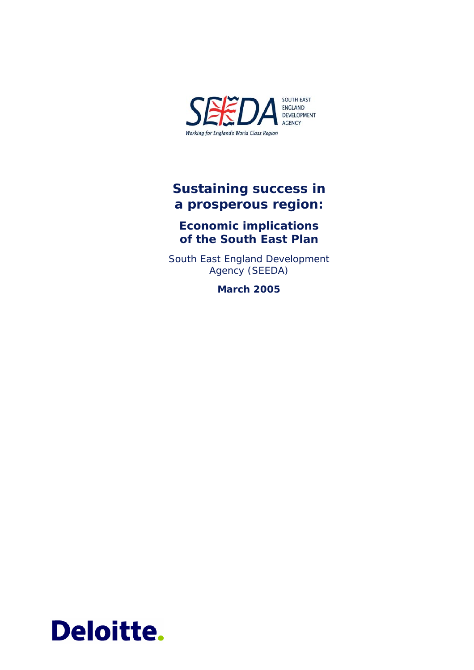

# **Sustaining success in a prosperous region:**

# **Economic implications of the South East Plan**

South East England Development Agency (SEEDA)

**March 2005** 

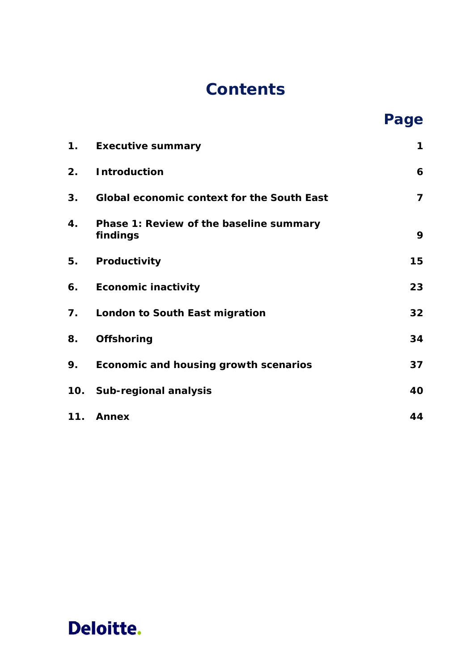# **Contents**

|     |                                                     | Page |
|-----|-----------------------------------------------------|------|
| 1.  | <b>Executive summary</b>                            | 1    |
| 2.  | <b>Introduction</b>                                 | 6    |
| 3.  | <b>Global economic context for the South East</b>   | 7    |
| 4.  | Phase 1: Review of the baseline summary<br>findings | 9    |
| 5.  | Productivity                                        | 15   |
| 6.  | <b>Economic inactivity</b>                          | 23   |
| 7.  | London to South East migration                      | 32   |
| 8.  | Offshoring                                          | 34   |
| 9.  | Economic and housing growth scenarios               | 37   |
|     | 10. Sub-regional analysis                           | 40   |
| 11. | <b>Annex</b>                                        | 44   |

# **Deloitte.**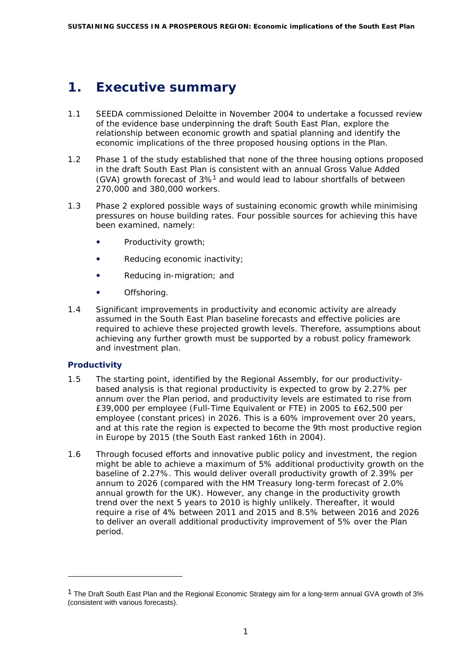# <span id="page-2-0"></span>**1. Executive summary**

- 1.1 SEEDA commissioned Deloitte in November 2004 to undertake a focussed review of the evidence base underpinning the draft South East Plan, explore the relationship between economic growth and spatial planning and identify the economic implications of the three proposed housing options in the Plan.
- 1.2 Phase 1 of the study established that none of the three housing options proposed in the draft South East Plan is consistent with an annual Gross Value Added (GVA) growth forecast of 3%[1](#page-2-1) and would lead to labour shortfalls of between 270,000 and 380,000 workers.
- 1.3 Phase 2 explored possible ways of sustaining economic growth while minimising pressures on house building rates. Four possible sources for achieving this have been examined, namely:
	- Productivity growth;
	- Reducing economic inactivity;
	- Reducing in-migration; and
	- $\bullet$  Offshoring.
- 1.4 Significant improvements in productivity and economic activity are already assumed in the South East Plan baseline forecasts and effective policies are required to achieve these projected growth levels. Therefore, assumptions about achieving any further growth must be supported by a robust policy framework and investment plan.

# **Productivity**

ł

- 1.5 The starting point, identified by the Regional Assembly, for our productivitybased analysis is that regional productivity is expected to grow by 2.27% per annum over the Plan period, and productivity levels are estimated to rise from £39,000 per employee (Full-Time Equivalent or FTE) in 2005 to £62,500 per employee (constant prices) in 2026. This is a 60% improvement over 20 years, and at this rate the region is expected to become the 9th most productive region in Europe by 2015 (the South East ranked 16th in 2004).
- 1.6 Through focused efforts and innovative public policy and investment, the region might be able to achieve a maximum of 5% additional productivity growth on the baseline of 2.27%. This would deliver overall productivity growth of 2.39% per annum to 2026 (compared with the HM Treasury long-term forecast of 2.0% annual growth for the UK). However, any change in the productivity growth trend over the next 5 years to 2010 is highly unlikely. Thereafter, it would require a rise of 4% between 2011 and 2015 and 8.5% between 2016 and 2026 to deliver an overall additional productivity improvement of 5% over the Plan period.

<span id="page-2-1"></span><sup>&</sup>lt;sup>1</sup> The Draft South East Plan and the Regional Economic Strategy aim for a long-term annual GVA growth of 3% (consistent with various forecasts).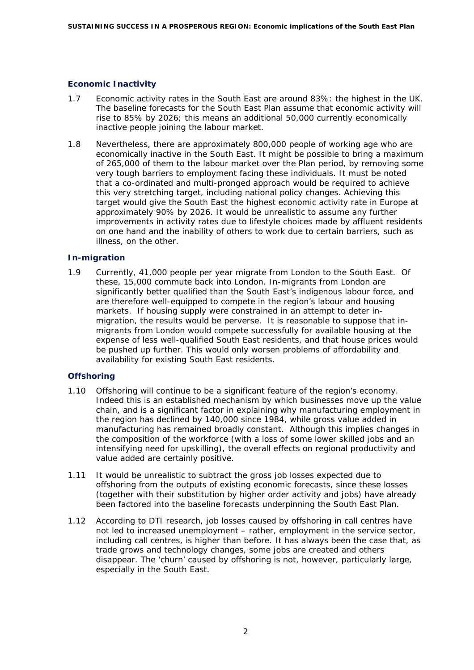### **Economic Inactivity**

- 1.7 Economic activity rates in the South East are around 83%: the highest in the UK. The baseline forecasts for the South East Plan assume that economic activity will rise to 85% by 2026; this means an additional 50,000 currently economically inactive people joining the labour market.
- 1.8 Nevertheless, there are approximately 800,000 people of working age who are economically inactive in the South East. It might be possible to bring a maximum of 265,000 of them to the labour market over the Plan period, by removing some very tough barriers to employment facing these individuals. It must be noted that a co-ordinated and multi-pronged approach would be required to achieve this very stretching target, including national policy changes. Achieving this target would give the South East the highest economic activity rate in Europe at approximately 90% by 2026. It would be unrealistic to assume any further improvements in activity rates due to lifestyle choices made by affluent residents on one hand and the inability of others to work due to certain barriers, such as illness, on the other.

### **In-migration**

1.9 Currently, 41,000 people per year migrate from London to the South East. Of these, 15,000 commute back into London. In-migrants from London are significantly better qualified than the South East's indigenous labour force, and are therefore well-equipped to compete in the region's labour and housing markets. If housing supply were constrained in an attempt to deter inmigration, the results would be perverse. It is reasonable to suppose that inmigrants from London would compete successfully for available housing at the expense of less well-qualified South East residents, and that house prices would be pushed up further. This would only worsen problems of affordability and availability for existing South East residents.

### **Offshoring**

- 1.10 Offshoring will continue to be a significant feature of the region's economy. Indeed this is an established mechanism by which businesses move up the value chain, and is a significant factor in explaining why manufacturing employment in the region has declined by 140,000 since 1984, while gross value added in manufacturing has remained broadly constant. Although this implies changes in the composition of the workforce (with a loss of some lower skilled jobs and an intensifying need for upskilling), the overall effects on regional productivity and value added are certainly positive.
- 1.11 It would be unrealistic to subtract the gross job losses expected due to offshoring from the outputs of existing economic forecasts, since these losses (together with their substitution by higher order activity and jobs) have already been factored into the baseline forecasts underpinning the South East Plan.
- 1.12 According to DTI research, job losses caused by offshoring in call centres have not led to increased unemployment – rather, employment in the service sector, including call centres, is higher than before. It has always been the case that, as trade grows and technology changes, some jobs are created and others disappear. The 'churn' caused by offshoring is not, however, particularly large, especially in the South East.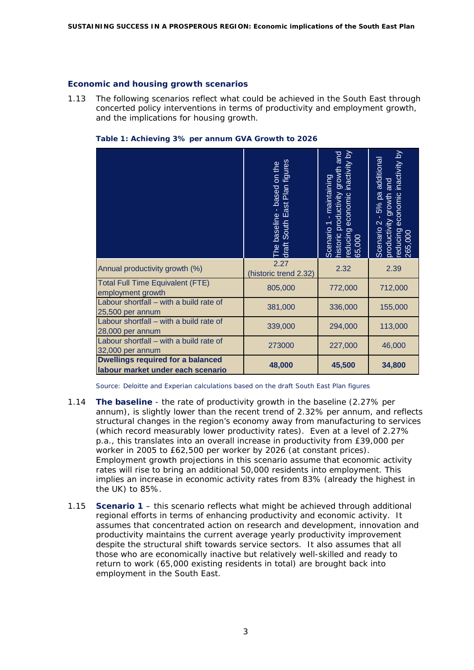#### **Economic and housing growth scenarios**

1.13 The following scenarios reflect what could be achieved in the South East through concerted policy interventions in terms of productivity and employment growth, and the implications for housing growth.

|                                                                               | draft South East Plan figures<br>on the<br>The baseline - based | educing economic inactivity by<br>and<br>nistoric productivity growth<br>maintaining<br>Scenario 1<br>65,000 | educing economic inactivity by<br>additional<br>and<br>5% pa<br>growth<br>Scenario 2 -<br>productivity<br>265,000 |
|-------------------------------------------------------------------------------|-----------------------------------------------------------------|--------------------------------------------------------------------------------------------------------------|-------------------------------------------------------------------------------------------------------------------|
| Annual productivity growth (%)                                                | 2.27<br>(historic trend 2.32)                                   | 2.32                                                                                                         | 2.39                                                                                                              |
| <b>Total Full Time Equivalent (FTE)</b><br>employment growth                  | 805,000                                                         | 772,000                                                                                                      | 712,000                                                                                                           |
| Labour shortfall - with a build rate of<br>25,500 per annum                   | 381,000                                                         | 336,000                                                                                                      | 155,000                                                                                                           |
| Labour shortfall - with a build rate of<br>28,000 per annum                   | 339,000                                                         | 294,000                                                                                                      | 113,000                                                                                                           |
| Labour shortfall - with a build rate of<br>32,000 per annum                   | 273000                                                          | 227,000                                                                                                      | 46,000                                                                                                            |
| <b>Dwellings required for a balanced</b><br>labour market under each scenario | 48,000                                                          | 45,500                                                                                                       | 34,800                                                                                                            |

**Table 1: Achieving 3% per annum GVA Growth to 2026** 

*Source: Deloitte and Experian calculations based on the draft South East Plan figures* 

- 1.14 **The baseline** the rate of productivity growth in the baseline (2.27% per annum), is slightly lower than the recent trend of 2.32% per annum, and reflects structural changes in the region's economy away from manufacturing to services (which record measurably lower productivity rates). Even at a level of 2.27% p.a., this translates into an overall increase in productivity from £39,000 per worker in 2005 to £62,500 per worker by 2026 (at constant prices). Employment growth projections in this scenario assume that economic activity rates will rise to bring an additional 50,000 residents into employment. This implies an increase in economic activity rates from 83% (already the highest in the UK) to 85%.
- 1.15 **Scenario 1** this scenario reflects what might be achieved through additional regional efforts in terms of enhancing productivity and economic activity. It assumes that concentrated action on research and development, innovation and productivity maintains the current average yearly productivity improvement despite the structural shift towards service sectors. It also assumes that all those who are economically inactive but relatively well-skilled and ready to return to work (65,000 existing residents in total) are brought back into employment in the South East.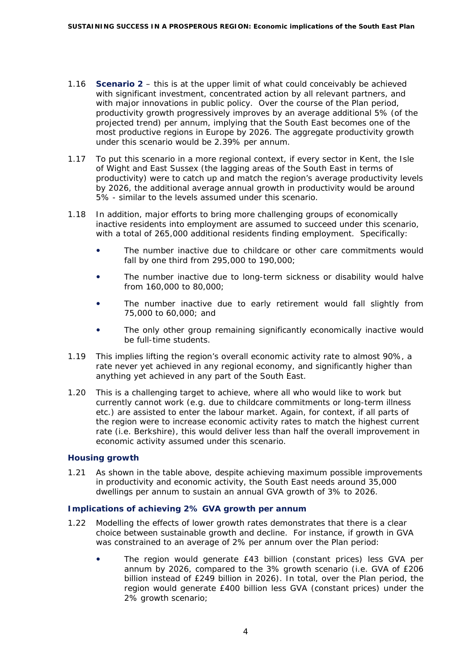- 1.16 **Scenario 2** this is at the upper limit of what could conceivably be achieved with significant investment, concentrated action by all relevant partners, and with major innovations in public policy. Over the course of the Plan period, productivity growth progressively improves by an average additional 5% (of the projected trend) per annum, implying that the South East becomes one of the most productive regions in Europe by 2026. The aggregate productivity growth under this scenario would be 2.39% per annum.
- 1.17 To put this scenario in a more regional context, if every sector in Kent, the Isle of Wight and East Sussex (the lagging areas of the South East in terms of productivity) were to catch up and match the region's average productivity levels by 2026, the additional average annual growth in productivity would be around 5% - similar to the levels assumed under this scenario.
- 1.18 In addition, major efforts to bring more challenging groups of economically inactive residents into employment are assumed to succeed under this scenario, with a total of 265,000 additional residents finding employment. Specifically:
	- The number inactive due to childcare or other care commitments would fall by one third from 295,000 to 190,000;
	- The number inactive due to long-term sickness or disability would halve from 160,000 to 80,000;
	- The number inactive due to early retirement would fall slightly from 75,000 to 60,000; and
	- The only other group remaining significantly economically inactive would be full-time students.
- 1.19 This implies lifting the region's overall economic activity rate to almost 90%, a rate never yet achieved in any regional economy, and significantly higher than anything yet achieved in any part of the South East.
- 1.20 This is a challenging target to achieve, where all who would like to work but currently cannot work (e.g. due to childcare commitments or long-term illness etc.) are assisted to enter the labour market. Again, for context, if all parts of the region were to increase economic activity rates to match the highest current rate (i.e. Berkshire), this would deliver less than half the overall improvement in economic activity assumed under this scenario.

### **Housing growth**

1.21 As shown in the table above, despite achieving maximum possible improvements in productivity and economic activity, the South East needs around 35,000 dwellings per annum to sustain an annual GVA growth of 3% to 2026.

### **Implications of achieving 2% GVA growth per annum**

- 1.22 Modelling the effects of lower growth rates demonstrates that there is a clear choice between sustainable growth and decline. For instance, if growth in GVA was constrained to an average of 2% per annum over the Plan period:
	- The region would generate £43 billion (constant prices) less GVA per annum by 2026, compared to the 3% growth scenario (i.e. GVA of £206 billion instead of £249 billion in 2026). In total, over the Plan period, the region would generate £400 billion less GVA (constant prices) under the 2% growth scenario;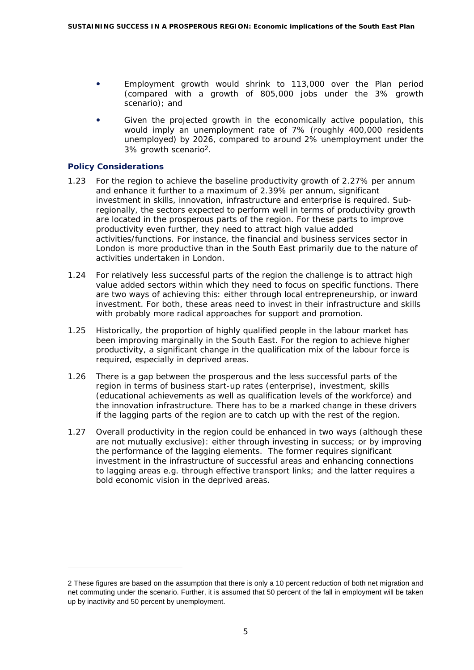- Employment growth would shrink to 113,000 over the Plan period (compared with a growth of 805,000 jobs under the 3% growth scenario); and
- Given the projected growth in the economically active population, this would imply an unemployment rate of 7% (roughly 400,000 residents unemployed) by 2026, compared to around 2% unemployment under the 3% growth scenario[2](#page-6-0).

### **Policy Considerations**

ł

- 1.23 For the region to achieve the baseline productivity growth of 2.27% per annum and enhance it further to a maximum of 2.39% per annum, significant investment in skills, innovation, infrastructure and enterprise is required. Subregionally, the sectors expected to perform well in terms of productivity growth are located in the prosperous parts of the region. For these parts to improve productivity even further, they need to attract high value added activities/functions. For instance, the financial and business services sector in London is more productive than in the South East primarily due to the nature of activities undertaken in London.
- 1.24 For relatively less successful parts of the region the challenge is to attract high value added sectors within which they need to focus on specific functions. There are two ways of achieving this: either through local entrepreneurship, or inward investment. For both, these areas need to invest in their infrastructure and skills with probably more radical approaches for support and promotion.
- 1.25 Historically, the proportion of highly qualified people in the labour market has been improving marginally in the South East. For the region to achieve higher productivity, a significant change in the qualification mix of the labour force is required, especially in deprived areas.
- 1.26 There is a gap between the prosperous and the less successful parts of the region in terms of business start-up rates (enterprise), investment, skills (educational achievements as well as qualification levels of the workforce) and the innovation infrastructure. There has to be a marked change in these drivers if the lagging parts of the region are to catch up with the rest of the region.
- 1.27 Overall productivity in the region could be enhanced in two ways (although these are not mutually exclusive): either through investing in success; or by improving the performance of the lagging elements. The former requires significant investment in the infrastructure of successful areas and enhancing connections to lagging areas e.g. through effective transport links; and the latter requires a bold economic vision in the deprived areas.

<span id="page-6-0"></span><sup>2</sup> These figures are based on the assumption that there is only a 10 percent reduction of both net migration and net commuting under the scenario. Further, it is assumed that 50 percent of the fall in employment will be taken up by inactivity and 50 percent by unemployment.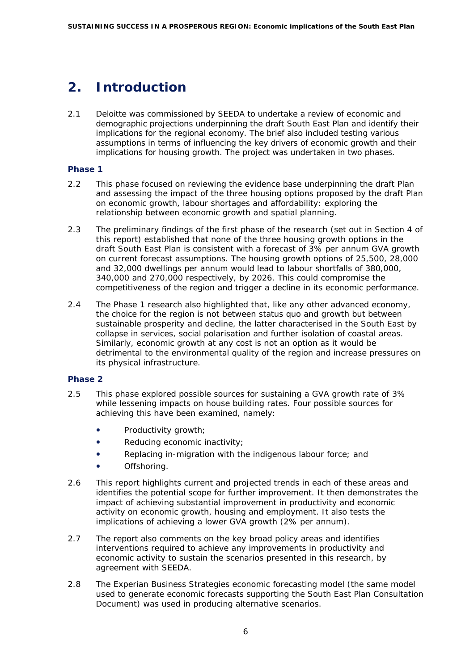# <span id="page-7-0"></span>**2. Introduction**

2.1 Deloitte was commissioned by SEEDA to undertake a review of economic and demographic projections underpinning the draft South East Plan and identify their implications for the regional economy. The brief also included testing various assumptions in terms of influencing the key drivers of economic growth and their implications for housing growth. The project was undertaken in two phases.

# **Phase 1**

- 2.2 This phase focused on reviewing the evidence base underpinning the draft Plan and assessing the impact of the three housing options proposed by the draft Plan on economic growth, labour shortages and affordability: exploring the relationship between economic growth and spatial planning.
- 2.3 The preliminary findings of the first phase of the research (set out in Section 4 of this report) established that none of the three housing growth options in the draft South East Plan is consistent with a forecast of 3% per annum GVA growth on current forecast assumptions. The housing growth options of 25,500, 28,000 and 32,000 dwellings per annum would lead to labour shortfalls of 380,000, 340,000 and 270,000 respectively, by 2026. This could compromise the competitiveness of the region and trigger a decline in its economic performance.
- 2.4 The Phase 1 research also highlighted that, like any other advanced economy, the choice for the region is not between status quo and growth but between sustainable prosperity and decline, the latter characterised in the South East by collapse in services, social polarisation and further isolation of coastal areas. Similarly, economic growth at any cost is not an option as it would be detrimental to the environmental quality of the region and increase pressures on its physical infrastructure.

# **Phase 2**

- 2.5 This phase explored possible sources for sustaining a GVA growth rate of 3% while lessening impacts on house building rates. Four possible sources for achieving this have been examined, namely:
	- Productivity growth;
	- Reducing economic inactivity;
	- Replacing in-migration with the indigenous labour force; and
	- Offshoring.
- 2.6 This report highlights current and projected trends in each of these areas and identifies the potential scope for further improvement. It then demonstrates the impact of achieving substantial improvement in productivity and economic activity on economic growth, housing and employment. It also tests the implications of achieving a lower GVA growth (2% per annum).
- 2.7 The report also comments on the key broad policy areas and identifies interventions required to achieve any improvements in productivity and economic activity to sustain the scenarios presented in this research, by agreement with SEEDA.
- 2.8 The Experian Business Strategies economic forecasting model (the same model used to generate economic forecasts supporting the South East Plan Consultation Document) was used in producing alternative scenarios.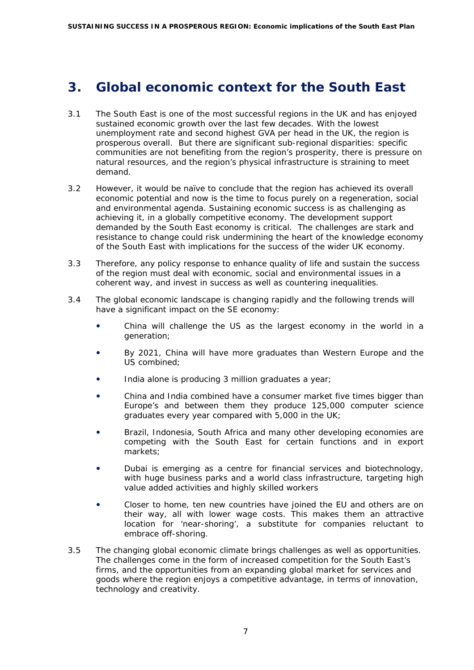# <span id="page-8-0"></span>**3. Global economic context for the South East**

- 3.1 The South East is one of the most successful regions in the UK and has enjoyed sustained economic growth over the last few decades. With the lowest unemployment rate and second highest GVA per head in the UK, the region is prosperous overall. But there are significant sub-regional disparities: specific communities are not benefiting from the region's prosperity, there is pressure on natural resources, and the region's physical infrastructure is straining to meet demand.
- 3.2 However, it would be naïve to conclude that the region has achieved its overall economic potential and now is the time to focus purely on a regeneration, social and environmental agenda. Sustaining economic success is as challenging as achieving it, in a globally competitive economy. The development support demanded by the South East economy is critical. The challenges are stark and resistance to change could risk undermining the heart of the knowledge economy of the South East with implications for the success of the wider UK economy.
- 3.3 Therefore, any policy response to enhance quality of life and sustain the success of the region must deal with economic, social and environmental issues in a coherent way, and invest in success as well as countering inequalities.
- 3.4 The global economic landscape is changing rapidly and the following trends will have a significant impact on the SE economy:
	- China will challenge the US as the largest economy in the world in a generation;
	- By 2021, China will have more graduates than Western Europe and the US combined;
	- India alone is producing 3 million graduates a year;
	- China and India combined have a consumer market five times bigger than Europe's and between them they produce 125,000 computer science graduates every year compared with 5,000 in the UK;
	- y Brazil, Indonesia, South Africa and many other developing economies are competing with the South East for certain functions and in export markets;
	- Dubai is emerging as a centre for financial services and biotechnology, with huge business parks and a world class infrastructure, targeting high value added activities and highly skilled workers
	- Closer to home, ten new countries have joined the EU and others are on their way, all with lower wage costs. This makes them an attractive location for 'near-shoring', a substitute for companies reluctant to embrace off-shoring.
- 3.5 The changing global economic climate brings challenges as well as opportunities. The challenges come in the form of increased competition for the South East's firms, and the opportunities from an expanding global market for services and goods where the region enjoys a competitive advantage, in terms of innovation, technology and creativity.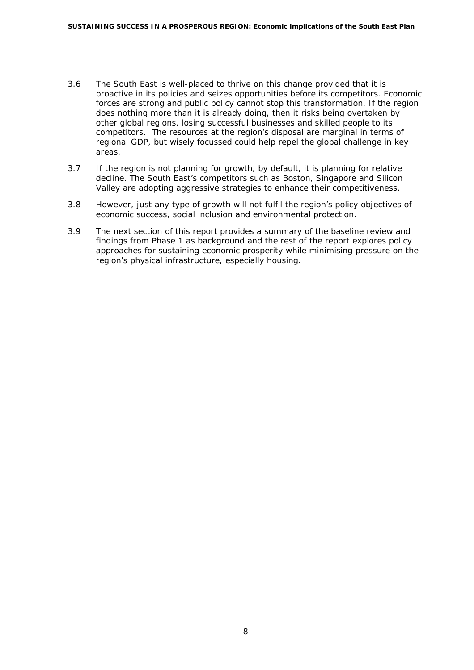- 3.6 The South East is well-placed to thrive on this change provided that it is proactive in its policies and seizes opportunities before its competitors. Economic forces are strong and public policy cannot stop this transformation. If the region does nothing more than it is already doing, then it risks being overtaken by other global regions, losing successful businesses and skilled people to its competitors. The resources at the region's disposal are marginal in terms of regional GDP, but wisely focussed could help repel the global challenge in key areas.
- 3.7 If the region is not planning for growth, by default, it is planning for relative decline. The South East's competitors such as Boston, Singapore and Silicon Valley are adopting aggressive strategies to enhance their competitiveness.
- 3.8 However, just any type of growth will not fulfil the region's policy objectives of economic success, social inclusion and environmental protection.
- 3.9 The next section of this report provides a summary of the baseline review and findings from Phase 1 as background and the rest of the report explores policy approaches for sustaining economic prosperity while minimising pressure on the region's physical infrastructure, especially housing.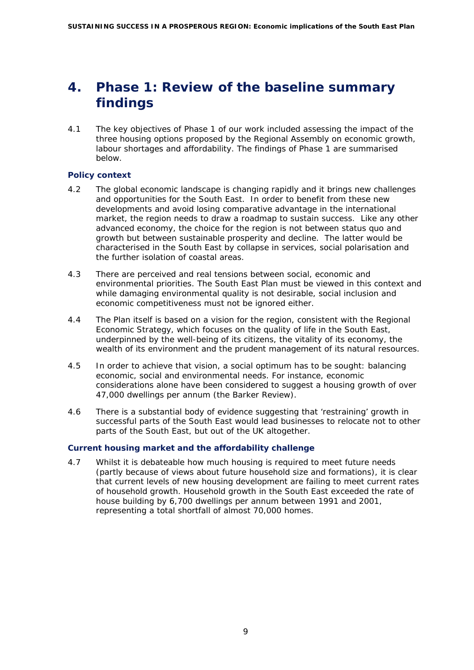# <span id="page-10-0"></span>**4. Phase 1: Review of the baseline summary findings**

4.1 The key objectives of Phase 1 of our work included assessing the impact of the three housing options proposed by the Regional Assembly on economic growth, labour shortages and affordability. The findings of Phase 1 are summarised below.

# **Policy context**

- 4.2 The global economic landscape is changing rapidly and it brings new challenges and opportunities for the South East. In order to benefit from these new developments and avoid losing comparative advantage in the international market, the region needs to draw a roadmap to sustain success. Like any other advanced economy, the choice for the region is not between status quo and growth but between sustainable prosperity and decline. The latter would be characterised in the South East by collapse in services, social polarisation and the further isolation of coastal areas.
- 4.3 There are perceived and real tensions between social, economic and environmental priorities. The South East Plan must be viewed in this context and while damaging environmental quality is not desirable, social inclusion and economic competitiveness must not be ignored either.
- 4.4 The Plan itself is based on a vision for the region, consistent with the Regional Economic Strategy, which focuses on the quality of life in the South East, underpinned by the well-being of its citizens, the vitality of its economy, the wealth of its environment and the prudent management of its natural resources.
- 4.5 In order to achieve that vision, a social optimum has to be sought: balancing economic, social and environmental needs. For instance, economic considerations alone have been considered to suggest a housing growth of over 47,000 dwellings per annum (the Barker Review).
- 4.6 There is a substantial body of evidence suggesting that 'restraining' growth in successful parts of the South East would lead businesses to relocate not to other parts of the South East, but out of the UK altogether.

# **Current housing market and the affordability challenge**

4.7 Whilst it is debateable how much housing is required to meet future needs (partly because of views about future household size and formations), it is clear that current levels of new housing development are failing to meet current rates of household growth. Household growth in the South East exceeded the rate of house building by 6,700 dwellings per annum between 1991 and 2001, representing a total shortfall of almost 70,000 homes.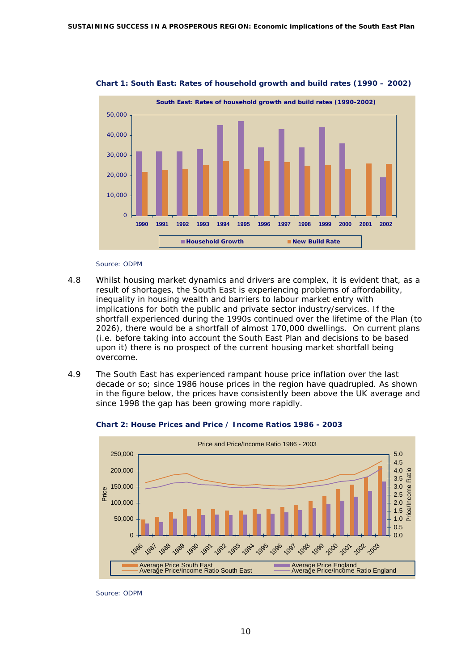

**Chart 1: South East: Rates of household growth and build rates (1990 – 2002)** 

#### *Source: ODPM*

- 4.8 Whilst housing market dynamics and drivers are complex, it is evident that, as a result of shortages, the South East is experiencing problems of affordability, inequality in housing wealth and barriers to labour market entry with implications for both the public and private sector industry/services. If the shortfall experienced during the 1990s continued over the lifetime of the Plan (to 2026), there would be a shortfall of almost 170,000 dwellings. On current plans (i.e. before taking into account the South East Plan and decisions to be based upon it) there is no prospect of the current housing market shortfall being overcome.
- 4.9 The South East has experienced rampant house price inflation over the last decade or so; since 1986 house prices in the region have quadrupled. As shown in the figure below, the prices have consistently been above the UK average and since 1998 the gap has been growing more rapidly.



**Chart 2: House Prices and Price / Income Ratios 1986 - 2003** 

*Source: ODPM*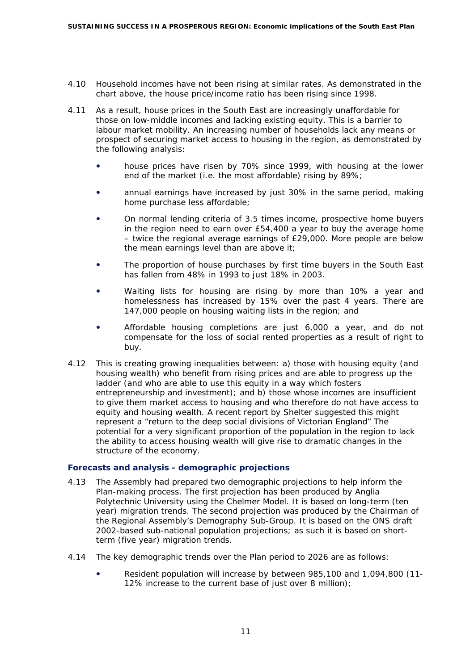- 4.10 Household incomes have not been rising at similar rates. As demonstrated in the chart above, the house price/income ratio has been rising since 1998.
- 4.11 As a result, house prices in the South East are increasingly unaffordable for those on low-middle incomes and lacking existing equity. This is a barrier to labour market mobility. An increasing number of households lack any means or prospect of securing market access to housing in the region, as demonstrated by the following analysis:
	- house prices have risen by 70% since 1999, with housing at the lower end of the market (i.e. the most affordable) rising by 89%;
	- annual earnings have increased by just 30% in the same period, making home purchase less affordable;
	- On normal lending criteria of 3.5 times income, prospective home buyers in the region need to earn over £54,400 a year to buy the average home – twice the regional average earnings of £29,000. More people are below the mean earnings level than are above it;
	- The proportion of house purchases by first time buyers in the South East has fallen from 48% in 1993 to just 18% in 2003.
	- Waiting lists for housing are rising by more than 10% a year and homelessness has increased by 15% over the past 4 years. There are 147,000 people on housing waiting lists in the region; and
	- Affordable housing completions are just 6,000 a year, and do not compensate for the loss of social rented properties as a result of right to buy.
- 4.12 This is creating growing inequalities between: a) those with housing equity (and housing wealth) who benefit from rising prices and are able to progress up the ladder (and who are able to use this equity in a way which fosters entrepreneurship and investment); and b) those whose incomes are insufficient to give them market access to housing and who therefore do not have access to equity and housing wealth. A recent report by Shelter suggested this might represent a "return to the deep social divisions of Victorian England" The potential for a very significant proportion of the population in the region to lack the ability to access housing wealth will give rise to dramatic changes in the structure of the economy.

### **Forecasts and analysis - demographic projections**

- 4.13 The Assembly had prepared two demographic projections to help inform the Plan-making process. The first projection has been produced by Anglia Polytechnic University using the Chelmer Model. It is based on long-term (ten year) migration trends. The second projection was produced by the Chairman of the Regional Assembly's Demography Sub-Group. It is based on the ONS draft 2002-based sub-national population projections; as such it is based on shortterm (five year) migration trends.
- 4.14 The key demographic trends over the Plan period to 2026 are as follows:
	- Resident population will increase by between 985,100 and 1,094,800 (11-12% increase to the current base of just over 8 million);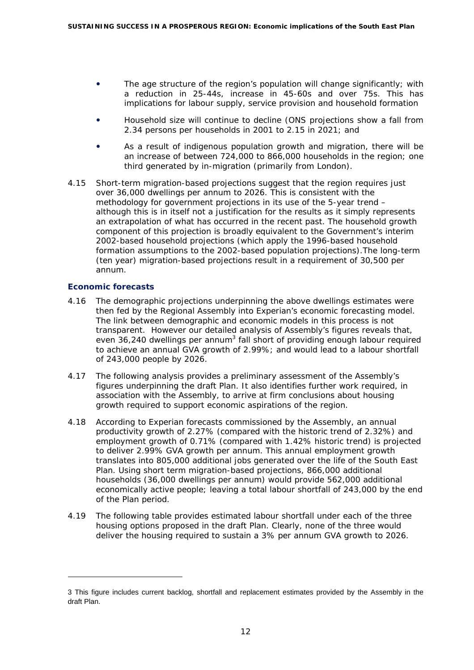- The age structure of the region's population will change significantly; with a reduction in 25-44s, increase in 45-60s and over 75s. This has implications for labour supply, service provision and household formation
- Household size will continue to decline (ONS projections show a fall from 2.34 persons per households in 2001 to 2.15 in 2021; and
- As a result of indigenous population growth and migration, there will be an increase of between 724,000 to 866,000 households in the region; one third generated by in-migration (primarily from London).
- 4.15 Short-term migration-based projections suggest that the region requires just over 36,000 dwellings per annum to 2026. This is consistent with the methodology for government projections in its use of the 5-year trend – although this is in itself not a justification for the results as it simply represents an extrapolation of what has occurred in the recent past. The household growth component of this projection is broadly equivalent to the Government's interim 2002-based household projections (which apply the 1996-based household formation assumptions to the 2002-based population projections).The long-term (ten year) migration-based projections result in a requirement of 30,500 per annum.

### **Economic forecasts**

l

- 4.16 The demographic projections underpinning the above dwellings estimates were then fed by the Regional Assembly into Experian's economic forecasting model. The link between demographic and economic models in this process is not transparent. However our detailed analysis of Assembly's figures reveals that, even 36,240 dwellings per annum<sup>3</sup> fall short of providing enough labour required to achieve an annual GVA growth of 2.99%; and would lead to a labour shortfall of 243,000 people by 2026.
- 4.17 The following analysis provides a preliminary assessment of the Assembly's figures underpinning the draft Plan. It also identifies further work required, in association with the Assembly, to arrive at firm conclusions about housing growth required to support economic aspirations of the region.
- 4.18 According to Experian forecasts commissioned by the Assembly, an annual productivity growth of 2.27% (compared with the historic trend of 2.32%) and employment growth of 0.71% (compared with 1.42% historic trend) is projected to deliver 2.99% GVA growth per annum. This annual employment growth translates into 805,000 additional jobs generated over the life of the South East Plan. Using short term migration-based projections, 866,000 additional households (36,000 dwellings per annum) would provide 562,000 additional economically active people; leaving a total labour shortfall of 243,000 by the end of the Plan period.
- 4.19 The following table provides estimated labour shortfall under each of the three housing options proposed in the draft Plan. Clearly, none of the three would deliver the housing required to sustain a 3% per annum GVA growth to 2026.

<span id="page-13-0"></span><sup>3</sup> This figure includes current backlog, shortfall and replacement estimates provided by the Assembly in the draft Plan.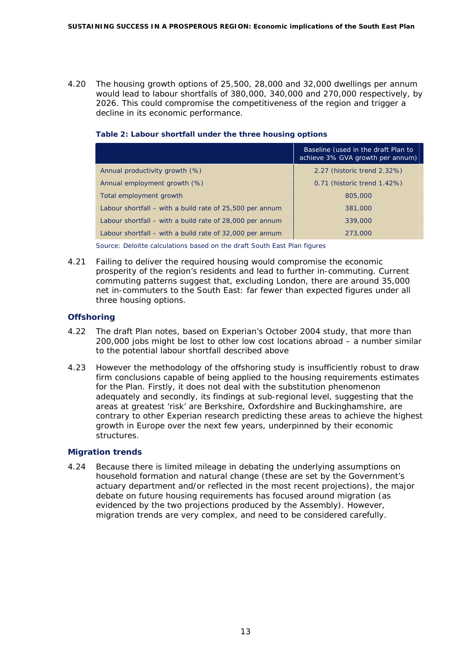4.20 The housing growth options of 25,500, 28,000 and 32,000 dwellings per annum would lead to labour shortfalls of 380,000, 340,000 and 270,000 respectively, by 2026. This could compromise the competitiveness of the region and trigger a decline in its economic performance.

### **Table 2: Labour shortfall under the three housing options**

|                                                            | Baseline (used in the draft Plan to<br>achieve 3% GVA growth per annum) |
|------------------------------------------------------------|-------------------------------------------------------------------------|
| Annual productivity growth (%)                             | 2.27 (historic trend 2.32%)                                             |
| Annual employment growth (%)                               | 0.71 (historic trend 1.42%)                                             |
| Total employment growth                                    | 805,000                                                                 |
| Labour shortfall $-$ with a build rate of 25,500 per annum | 381,000                                                                 |
| Labour shortfall – with a build rate of 28,000 per annum   | 339,000                                                                 |
| Labour shortfall $-$ with a build rate of 32,000 per annum | 273,000                                                                 |

*Source: Deloitte calculations based on the draft South East Plan figures* 

4.21 Failing to deliver the required housing would compromise the economic prosperity of the region's residents and lead to further in-commuting. Current commuting patterns suggest that, excluding London, there are around 35,000 net in-commuters to the South East: far fewer than expected figures under all three housing options.

# **Offshoring**

- 4.22 The draft Plan notes, based on Experian's October 2004 study, that more than 200,000 jobs might be lost to other low cost locations abroad – a number similar to the potential labour shortfall described above
- 4.23 However the methodology of the offshoring study is insufficiently robust to draw firm conclusions capable of being applied to the housing requirements estimates for the Plan. Firstly, it does not deal with the substitution phenomenon adequately and secondly, its findings at sub-regional level, suggesting that the areas at greatest 'risk' are Berkshire, Oxfordshire and Buckinghamshire, are contrary to other Experian research predicting these areas to achieve the highest growth in Europe over the next few years, underpinned by their economic structures.

### **Migration trends**

4.24 Because there is limited mileage in debating the underlying assumptions on household formation and natural change (these are set by the Government's actuary department and/or reflected in the most recent projections), the major debate on future housing requirements has focused around migration (as evidenced by the two projections produced by the Assembly). However, migration trends are very complex, and need to be considered carefully.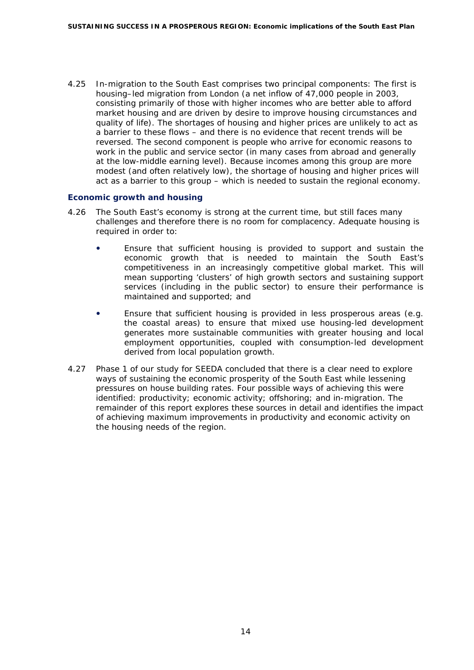4.25 In-migration to the South East comprises two principal components: The first is housing–led migration from London (a net inflow of 47,000 people in 2003, consisting primarily of those with higher incomes who are better able to afford market housing and are driven by desire to improve housing circumstances and quality of life). The shortages of housing and higher prices are unlikely to act as a barrier to these flows – and there is no evidence that recent trends will be reversed. The second component is people who arrive for economic reasons to work in the public and service sector (in many cases from abroad and generally at the low-middle earning level). Because incomes among this group are more modest (and often relatively low), the shortage of housing and higher prices will act as a barrier to this group – which is needed to sustain the regional economy.

# **Economic growth and housing**

- 4.26 The South East's economy is strong at the current time, but still faces many challenges and therefore there is no room for complacency. Adequate housing is required in order to:
	- Ensure that sufficient housing is provided to support and sustain the economic growth that is needed to maintain the South East's competitiveness in an increasingly competitive global market. This will mean supporting 'clusters' of high growth sectors and sustaining support services (including in the public sector) to ensure their performance is maintained and supported; and
	- Ensure that sufficient housing is provided in less prosperous areas (e.g. the coastal areas) to ensure that mixed use housing-led development generates more sustainable communities with greater housing and local employment opportunities, coupled with consumption-led development derived from local population growth.
- 4.27 Phase 1 of our study for SEEDA concluded that there is a clear need to explore ways of sustaining the economic prosperity of the South East while lessening pressures on house building rates. Four possible ways of achieving this were identified: productivity; economic activity; offshoring; and in-migration. The remainder of this report explores these sources in detail and identifies the impact of achieving maximum improvements in productivity and economic activity on the housing needs of the region.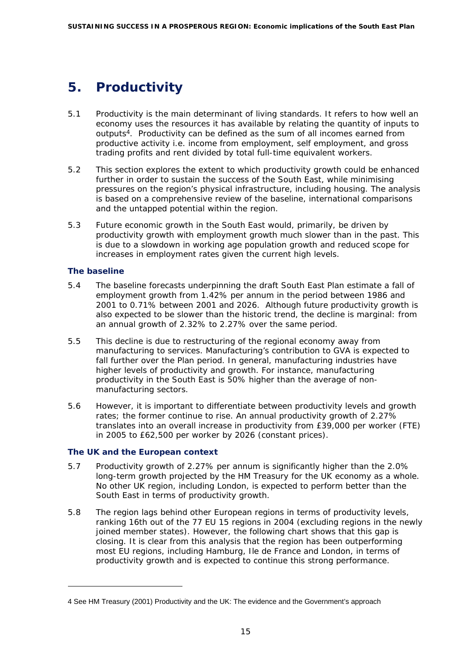# <span id="page-16-0"></span>**5. Productivity**

- 5.1 Productivity is the main determinant of living standards. It refers to how well an economy uses the resources it has available by relating the quantity of inputs to outputs $\frac{4}{7}$  $\frac{4}{7}$  $\frac{4}{7}$ . Productivity can be defined as the sum of all incomes earned from productive activity i.e. income from employment, self employment, and gross trading profits and rent divided by total full-time equivalent workers.
- 5.2 This section explores the extent to which productivity growth could be enhanced further in order to sustain the success of the South East, while minimising pressures on the region's physical infrastructure, including housing. The analysis is based on a comprehensive review of the baseline, international comparisons and the untapped potential within the region.
- 5.3 Future economic growth in the South East would, primarily, be driven by productivity growth with employment growth much slower than in the past. This is due to a slowdown in working age population growth and reduced scope for increases in employment rates given the current high levels.

# **The baseline**

ł

- 5.4 The baseline forecasts underpinning the draft South East Plan estimate a fall of employment growth from 1.42% per annum in the period between 1986 and 2001 to 0.71% between 2001 and 2026. Although future productivity growth is also expected to be slower than the historic trend, the decline is marginal: from an annual growth of 2.32% to 2.27% over the same period.
- 5.5 This decline is due to restructuring of the regional economy away from manufacturing to services. Manufacturing's contribution to GVA is expected to fall further over the Plan period. In general, manufacturing industries have higher levels of productivity and growth. For instance, manufacturing productivity in the South East is 50% higher than the average of nonmanufacturing sectors.
- 5.6 However, it is important to differentiate between productivity levels and growth rates; the former continue to rise. An annual productivity growth of 2.27% translates into an overall increase in productivity from £39,000 per worker (FTE) in 2005 to £62,500 per worker by 2026 (constant prices).

# **The UK and the European context**

- 5.7 Productivity growth of 2.27% per annum is significantly higher than the 2.0% long-term growth projected by the HM Treasury for the UK economy as a whole. No other UK region, including London, is expected to perform better than the South East in terms of productivity growth.
- 5.8 The region lags behind other European regions in terms of productivity levels, ranking 16th out of the 77 EU 15 regions in 2004 (excluding regions in the newly joined member states). However, the following chart shows that this gap is closing. It is clear from this analysis that the region has been outperforming most EU regions, including Hamburg, Ile de France and London, in terms of productivity growth and is expected to continue this strong performance.

<span id="page-16-1"></span><sup>4</sup> See HM Treasury (2001) Productivity and the UK: The evidence and the Government's approach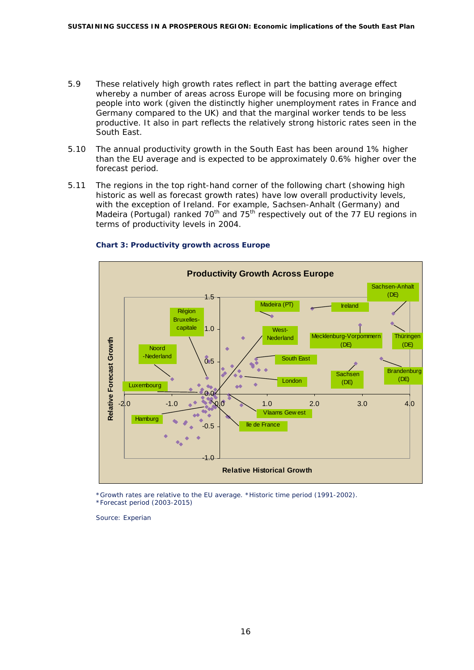- 5.9 These relatively high growth rates reflect in part the batting average effect whereby a number of areas across Europe will be focusing more on bringing people into work (given the distinctly higher unemployment rates in France and Germany compared to the UK) and that the marginal worker tends to be less productive. It also in part reflects the relatively strong historic rates seen in the South East.
- 5.10 The annual productivity growth in the South East has been around 1% higher than the EU average and is expected to be approximately 0.6% higher over the forecast period.
- 5.11 The regions in the top right-hand corner of the following chart (showing high historic as well as forecast growth rates) have low overall productivity levels, with the exception of Ireland. For example, Sachsen-Anhalt (Germany) and Madeira (Portugal) ranked 70<sup>th</sup> and 75<sup>th</sup> respectively out of the 77 EU regions in terms of productivity levels in 2004.



### **Chart 3: Productivity growth across Europe**

*\*Growth rates are relative to the EU average. \*Historic time period (1991-2002). \*Forecast period (2003-2015)* 

*Source: Experian*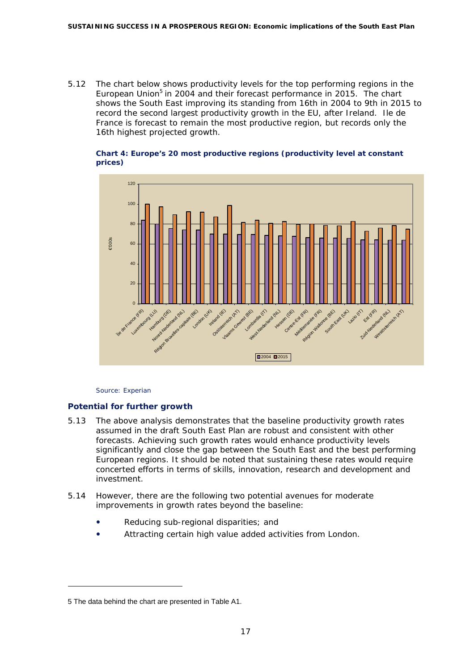5.12 The chart below shows productivity levels for the top performing regions in the European Union<sup>5</sup> in 2004 and their forecast performance in 2015. The chart shows the South East improving its standing from 16th in 2004 to 9th in 2015 to record the second largest productivity growth in the EU, after Ireland. Ile de France is forecast to remain the most productive region, but records only the 16th highest projected growth.

#### **Chart 4: Europe's 20 most productive regions (productivity level at constant prices)**



*Source: Experian* 

### **Potential for further growth**

- 5.13 The above analysis demonstrates that the baseline productivity growth rates assumed in the draft South East Plan are robust and consistent with other forecasts. Achieving such growth rates would enhance productivity levels significantly and close the gap between the South East and the best performing European regions. It should be noted that sustaining these rates would require concerted efforts in terms of skills, innovation, research and development and investment.
- 5.14 However, there are the following two potential avenues for moderate improvements in growth rates beyond the baseline:
	- Reducing sub-regional disparities; and
	- Attracting certain high value added activities from London.

ł

<span id="page-18-0"></span><sup>5</sup> The data behind the chart are presented in Table A1.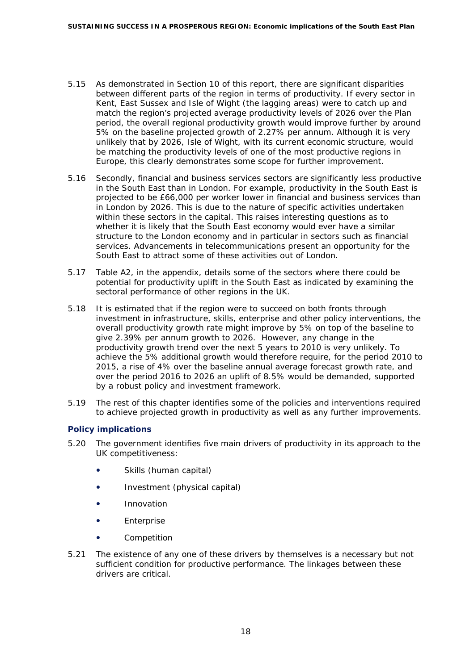- 5.15 As demonstrated in Section 10 of this report, there are significant disparities between different parts of the region in terms of productivity. If every sector in Kent, East Sussex and Isle of Wight (the lagging areas) were to catch up and match the region's projected average productivity levels of 2026 over the Plan period, the overall regional productivity growth would improve further by around 5% on the baseline projected growth of 2.27% per annum. Although it is very unlikely that by 2026, Isle of Wight, with its current economic structure, would be matching the productivity levels of one of the most productive regions in Europe, this clearly demonstrates some scope for further improvement.
- 5.16 Secondly, financial and business services sectors are significantly less productive in the South East than in London. For example, productivity in the South East is projected to be £66,000 per worker lower in financial and business services than in London by 2026. This is due to the nature of specific activities undertaken within these sectors in the capital. This raises interesting questions as to whether it is likely that the South East economy would ever have a similar structure to the London economy and in particular in sectors such as financial services. Advancements in telecommunications present an opportunity for the South East to attract some of these activities out of London.
- 5.17 Table A2, in the appendix, details some of the sectors where there could be potential for productivity uplift in the South East as indicated by examining the sectoral performance of other regions in the UK.
- 5.18 It is estimated that if the region were to succeed on both fronts through investment in infrastructure, skills, enterprise and other policy interventions, the overall productivity growth rate might improve by 5% on top of the baseline to give 2.39% per annum growth to 2026. However, any change in the productivity growth trend over the next 5 years to 2010 is very unlikely. To achieve the 5% additional growth would therefore require, for the period 2010 to 2015, a rise of 4% over the baseline annual average forecast growth rate, and over the period 2016 to 2026 an uplift of 8.5% would be demanded, supported by a robust policy and investment framework.
- 5.19 The rest of this chapter identifies some of the policies and interventions required to achieve projected growth in productivity as well as any further improvements.

### **Policy implications**

- 5.20 The government identifies five main drivers of productivity in its approach to the UK competitiveness:
	- Skills (human capital)
	- Investment (physical capital)
	- **•** Innovation
	- **•** Enterprise
	- Competition
- 5.21 The existence of any one of these drivers by themselves is a necessary but not sufficient condition for productive performance. The linkages between these drivers are critical.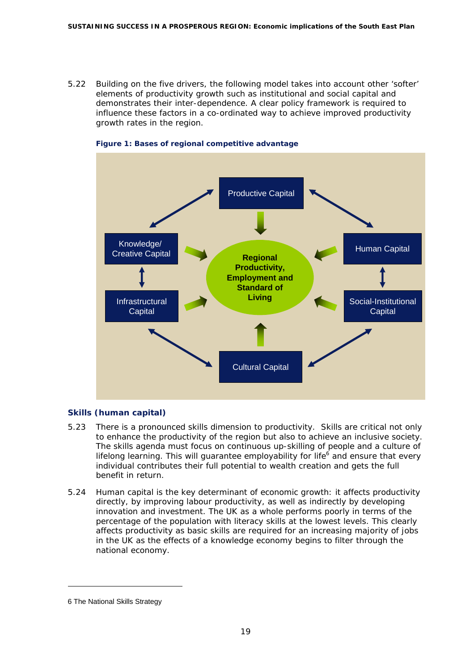5.22 Building on the five drivers, the following model takes into account other 'softer' elements of productivity growth such as institutional and social capital and demonstrates their inter-dependence. A clear policy framework is required to influence these factors in a co-ordinated way to achieve improved productivity growth rates in the region.





### **Skills (human capital)**

- 5.23 There is a pronounced skills dimension to productivity. Skills are critical not only to enhance the productivity of the region but also to achieve an inclusive society. The skills agenda must focus on continuous up-skilling of people and a culture of lifelong learning. This will guarantee *employability for life*<sup>[6](#page-20-0)</sup> and ensure that every individual contributes their full potential to wealth creation and gets the full benefit in return.
- 5.24 Human capital is the key determinant of economic growth: it affects productivity directly, by improving labour productivity, as well as indirectly by developing innovation and investment. The UK as a whole performs poorly in terms of the percentage of the population with literacy skills at the lowest levels. This clearly affects productivity as basic skills are required for an increasing majority of jobs in the UK as the effects of a knowledge economy begins to filter through the national economy.

ł

<span id="page-20-0"></span><sup>6</sup> The National Skills Strategy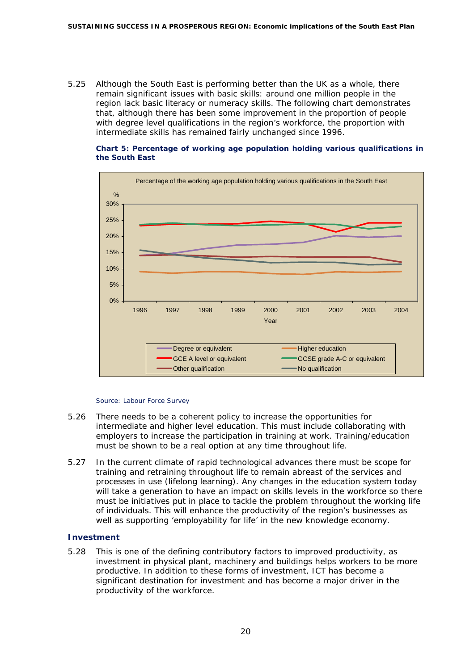5.25 Although the South East is performing better than the UK as a whole, there remain significant issues with basic skills: around one million people in the region lack basic literacy or numeracy skills. The following chart demonstrates that, although there has been some improvement in the proportion of people with degree level qualifications in the region's workforce, the proportion with intermediate skills has remained fairly unchanged since 1996.

#### **Chart 5: Percentage of working age population holding various qualifications in the South East**



#### *Source: Labour Force Survey*

- 5.26 There needs to be a coherent policy to increase the opportunities for intermediate and higher level education. This must include collaborating with employers to increase the participation in training at work. Training/education must be shown to be a real option at any time throughout life.
- 5.27 In the current climate of rapid technological advances there must be scope for training and retraining throughout life to remain abreast of the services and processes in use (lifelong learning). Any changes in the education system today will take a generation to have an impact on skills levels in the workforce so there must be initiatives put in place to tackle the problem throughout the working life of individuals. This will enhance the productivity of the region's businesses as well as supporting 'employability for life' in the new knowledge economy.

### **Investment**

5.28 This is one of the defining contributory factors to improved productivity, as investment in physical plant, machinery and buildings helps workers to be more productive. In addition to these forms of investment, ICT has become a significant destination for investment and has become a major driver in the productivity of the workforce.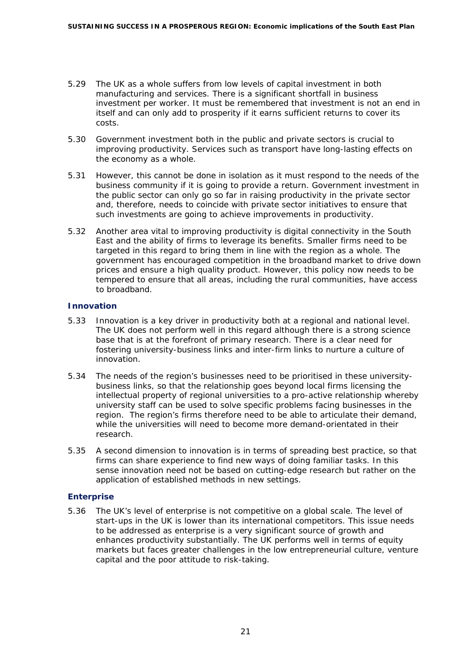- 5.29 The UK as a whole suffers from low levels of capital investment in both manufacturing and services. There is a significant shortfall in business investment per worker. It must be remembered that investment is not an end in itself and can only add to prosperity if it earns sufficient returns to cover its costs.
- 5.30 Government investment both in the public and private sectors is crucial to improving productivity. Services such as transport have long-lasting effects on the economy as a whole.
- 5.31 However, this cannot be done in isolation as it must respond to the needs of the business community if it is going to provide a return. Government investment in the public sector can only go so far in raising productivity in the private sector and, therefore, needs to coincide with private sector initiatives to ensure that such investments are going to achieve improvements in productivity.
- 5.32 Another area vital to improving productivity is digital connectivity in the South East and the ability of firms to leverage its benefits. Smaller firms need to be targeted in this regard to bring them in line with the region as a whole. The government has encouraged competition in the broadband market to drive down prices and ensure a high quality product. However, this policy now needs to be tempered to ensure that all areas, including the rural communities, have access to broadband.

### **Innovation**

- 5.33 Innovation is a key driver in productivity both at a regional and national level. The UK does not perform well in this regard although there is a strong science base that is at the forefront of primary research. There is a clear need for fostering university-business links and inter-firm links to nurture a culture of innovation.
- 5.34 The needs of the region's businesses need to be prioritised in these universitybusiness links, so that the relationship goes beyond local firms licensing the intellectual property of regional universities to a pro-active relationship whereby university staff can be used to solve specific problems facing businesses in the region. The region's firms therefore need to be able to articulate their demand, while the universities will need to become more demand-orientated in their research.
- 5.35 A second dimension to innovation is in terms of spreading best practice, so that firms can share experience to find new ways of doing familiar tasks. In this sense innovation need not be based on cutting-edge research but rather on the application of established methods in new settings.

### **Enterprise**

5.36 The UK's level of enterprise is not competitive on a global scale. The level of start-ups in the UK is lower than its international competitors. This issue needs to be addressed as enterprise is a very significant source of growth and enhances productivity substantially. The UK performs well in terms of equity markets but faces greater challenges in the low entrepreneurial culture, venture capital and the poor attitude to risk-taking.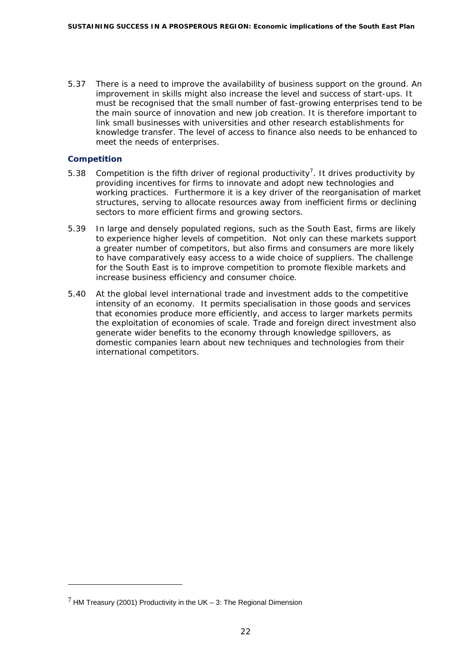5.37 There is a need to improve the availability of business support on the ground. An improvement in skills might also increase the level and success of start-ups. It must be recognised that the small number of fast-growing enterprises tend to be the main source of innovation and new job creation. It is therefore important to link small businesses with universities and other research establishments for knowledge transfer. The level of access to finance also needs to be enhanced to meet the needs of enterprises.

### **Competition**

ł

- 5.38 Competition is the fifth driver of regional productivity<sup>7</sup>. It drives productivity by providing incentives for firms to innovate and adopt new technologies and working practices. Furthermore it is a key driver of the reorganisation of market structures, serving to allocate resources away from inefficient firms or declining sectors to more efficient firms and growing sectors.
- 5.39 In large and densely populated regions, such as the South East, firms are likely to experience higher levels of competition. Not only can these markets support a greater number of competitors, but also firms and consumers are more likely to have comparatively easy access to a wide choice of suppliers. The challenge for the South East is to improve competition to promote flexible markets and increase business efficiency and consumer choice.
- 5.40 At the global level international trade and investment adds to the competitive intensity of an economy. It permits specialisation in those goods and services that economies produce more efficiently, and access to larger markets permits the exploitation of economies of scale. Trade and foreign direct investment also generate wider benefits to the economy through knowledge spillovers, as domestic companies learn about new techniques and technologies from their international competitors.

<span id="page-23-0"></span> $7$  HM Treasury (2001) Productivity in the UK – 3: The Regional Dimension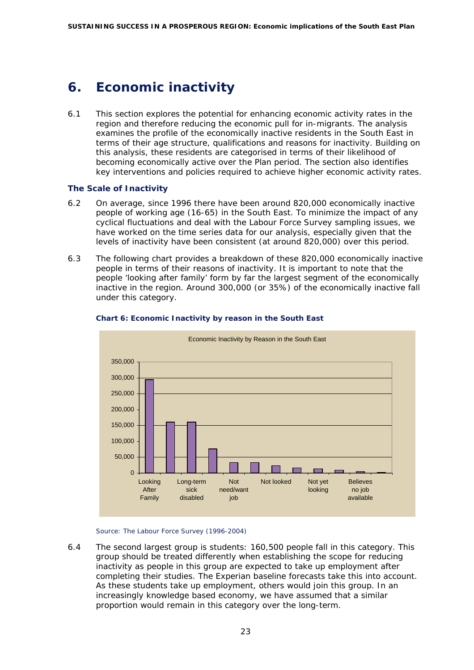# <span id="page-24-0"></span>**6. Economic inactivity**

6.1 This section explores the potential for enhancing economic activity rates in the region and therefore reducing the economic pull for in-migrants. The analysis examines the profile of the economically inactive residents in the South East in terms of their age structure, qualifications and reasons for inactivity. Building on this analysis, these residents are categorised in terms of their likelihood of becoming economically active over the Plan period. The section also identifies key interventions and policies required to achieve higher economic activity rates.

#### **The Scale of Inactivity**

- 6.2 On average, since 1996 there have been around 820,000 economically inactive people of working age (16-65) in the South East. To minimize the impact of any cyclical fluctuations and deal with the Labour Force Survey sampling issues, we have worked on the time series data for our analysis, especially given that the levels of inactivity have been consistent (at around 820,000) over this period.
- 6.3 The following chart provides a breakdown of these 820,000 economically inactive people in terms of their reasons of inactivity. It is important to note that the people 'looking after family' form by far the largest segment of the economically inactive in the region. Around 300,000 (or 35%) of the economically inactive fall under this category.



#### **Chart 6: Economic Inactivity by reason in the South East**

*Source: The Labour Force Survey (1996-2004)* 

6.4 The second largest group is students: 160,500 people fall in this category. This group should be treated differently when establishing the scope for reducing inactivity as people in this group are expected to take up employment after completing their studies. The Experian baseline forecasts take this into account. As these students take up employment, others would join this group. In an increasingly knowledge based economy, we have assumed that a similar proportion would remain in this category over the long-term.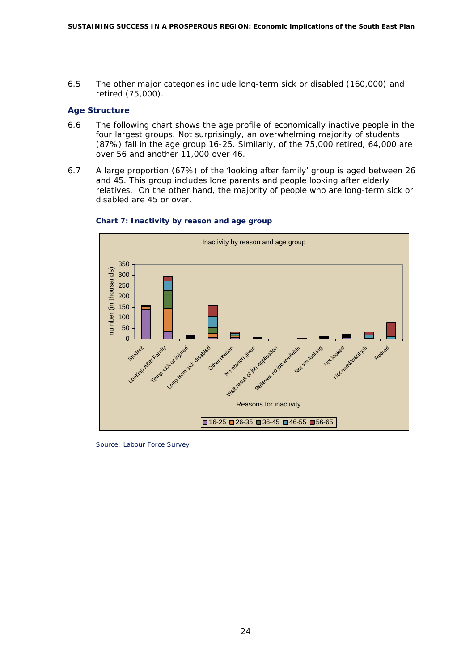6.5 The other major categories include long-term sick or disabled (160,000) and retired (75,000).

### **Age Structure**

- 6.6 The following chart shows the age profile of economically inactive people in the four largest groups. Not surprisingly, an overwhelming majority of students (87%) fall in the age group 16-25. Similarly, of the 75,000 retired, 64,000 are over 56 and another 11,000 over 46.
- 6.7 A large proportion (67%) of the 'looking after family' group is aged between 26 and 45. This group includes lone parents and people looking after elderly relatives. On the other hand, the majority of people who are long-term sick or disabled are 45 or over.



#### **Chart 7: Inactivity by reason and age group**

*Source: Labour Force Survey*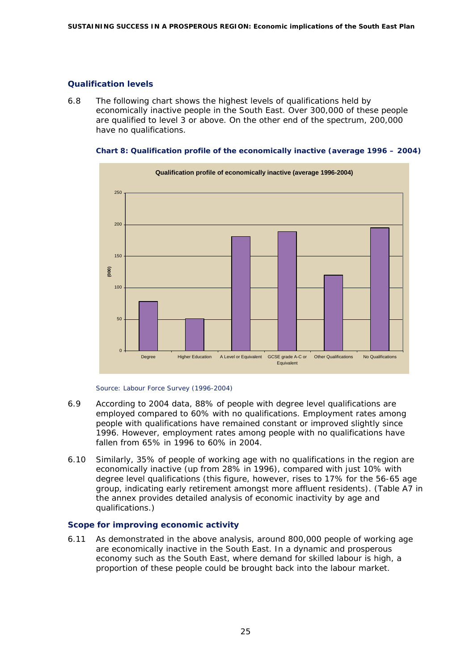### **Qualification levels**

6.8 The following chart shows the highest levels of qualifications held by economically inactive people in the South East. Over 300,000 of these people are qualified to level 3 or above. On the other end of the spectrum, 200,000 have no qualifications.

**Chart 8: Qualification profile of the economically inactive (average 1996 – 2004)** 



*Source: Labour Force Survey (1996-2004)* 

- 6.9 According to 2004 data, 88% of people with degree level qualifications are employed compared to 60% with no qualifications. Employment rates among people with qualifications have remained constant or improved slightly since 1996. However, employment rates among people with no qualifications have fallen from 65% in 1996 to 60% in 2004.
- 6.10 Similarly, 35% of people of working age with no qualifications in the region are economically inactive (up from 28% in 1996), compared with just 10% with degree level qualifications (this figure, however, rises to 17% for the 56-65 age group, indicating early retirement amongst more affluent residents). (Table A7 in the annex provides detailed analysis of economic inactivity by age and qualifications.)

### **Scope for improving economic activity**

6.11 As demonstrated in the above analysis, around 800,000 people of working age are economically inactive in the South East. In a dynamic and prosperous economy such as the South East, where demand for skilled labour is high, a proportion of these people could be brought back into the labour market.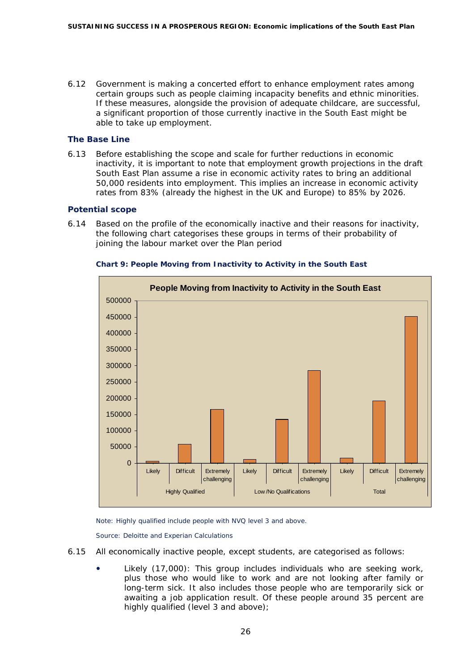6.12 Government is making a concerted effort to enhance employment rates among certain groups such as people claiming incapacity benefits and ethnic minorities. If these measures, alongside the provision of adequate childcare, are successful, a significant proportion of those currently inactive in the South East might be able to take up employment.

#### **The Base Line**

6.13 Before establishing the scope and scale for further reductions in economic inactivity, it is important to note that employment growth projections in the draft South East Plan assume a rise in economic activity rates to bring an additional 50,000 residents into employment. This implies an increase in economic activity rates from 83% (already the highest in the UK and Europe) to 85% by 2026.

#### **Potential scope**

6.14 Based on the profile of the economically inactive and their reasons for inactivity, the following chart categorises these groups in terms of their probability of joining the labour market over the Plan period



#### **Chart 9: People Moving from Inactivity to Activity in the South East**

*Note: Highly qualified include people with NVQ level 3 and above.* 

*Source: Deloitte and Experian Calculations* 

- 6.15 All economically inactive people, except students, are categorised as follows:
	- Likely (17,000): This group includes individuals who are seeking work, plus those who would like to work and are not looking after family or long-term sick. It also includes those people who are temporarily sick or awaiting a job application result. Of these people around 35 percent are highly qualified (level 3 and above);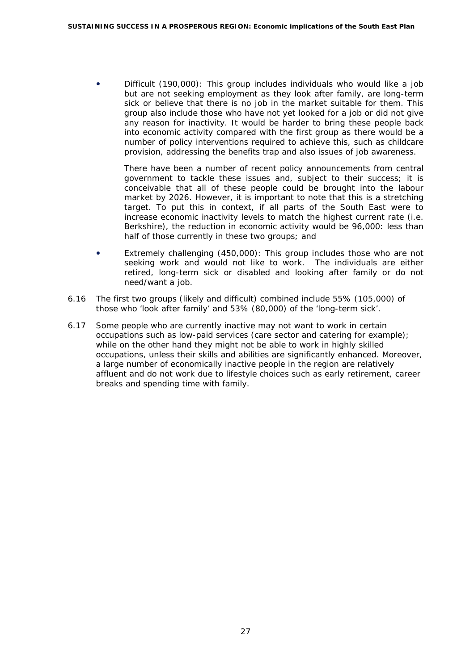Difficult (190,000): This group includes individuals who would like a job but are not seeking employment as they look after family, are long-term sick or believe that there is no job in the market suitable for them. This group also include those who have not yet looked for a job or did not give any reason for inactivity. It would be harder to bring these people back into economic activity compared with the first group as there would be a number of policy interventions required to achieve this, such as childcare provision, addressing the benefits trap and also issues of job awareness.

There have been a number of recent policy announcements from central government to tackle these issues and, subject to their success; it is conceivable that all of these people could be brought into the labour market by 2026. However, it is important to note that this is a stretching target. To put this in context, if all parts of the South East were to increase economic inactivity levels to match the highest current rate (i.e. Berkshire), the reduction in economic activity would be 96,000: less than half of those currently in these two groups; and

- Extremely challenging (450,000): This group includes those who are not seeking work and would not like to work. The individuals are either retired, long-term sick or disabled and looking after family or do not need/want a job.
- 6.16 The first two groups (likely and difficult) combined include 55% (105,000) of those who 'look after family' and 53% (80,000) of the 'long-term sick'.
- 6.17 Some people who are currently inactive may not want to work in certain occupations such as low-paid services (care sector and catering for example); while on the other hand they might not be able to work in highly skilled occupations, unless their skills and abilities are significantly enhanced. Moreover, a large number of economically inactive people in the region are relatively affluent and do not work due to lifestyle choices such as early retirement, career breaks and spending time with family.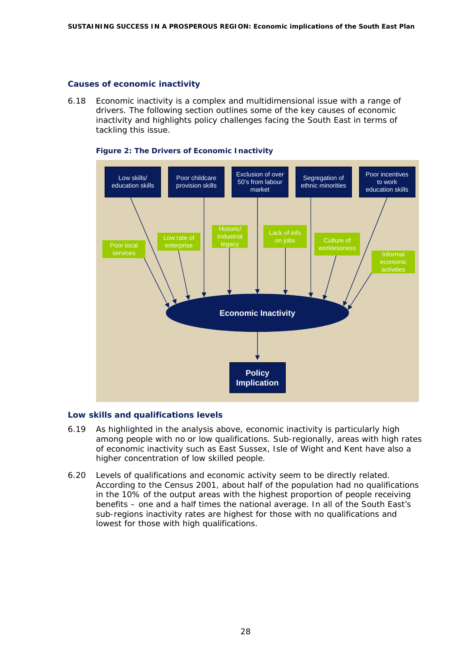#### **Causes of economic inactivity**

6.18 Economic inactivity is a complex and multidimensional issue with a range of drivers. The following section outlines some of the key causes of economic inactivity and highlights policy challenges facing the South East in terms of tackling this issue.



#### **Figure 2: The Drivers of Economic Inactivity**

#### **Low skills and qualifications levels**

- 6.19 As highlighted in the analysis above, economic inactivity is particularly high among people with no or low qualifications. Sub-regionally, areas with high rates of economic inactivity such as East Sussex, Isle of Wight and Kent have also a higher concentration of low skilled people.
- 6.20 Levels of qualifications and economic activity seem to be directly related. According to the Census 2001, about half of the population had no qualifications in the 10% of the output areas with the highest proportion of people receiving benefits – one and a half times the national average. In all of the South East's sub-regions inactivity rates are highest for those with no qualifications and lowest for those with high qualifications.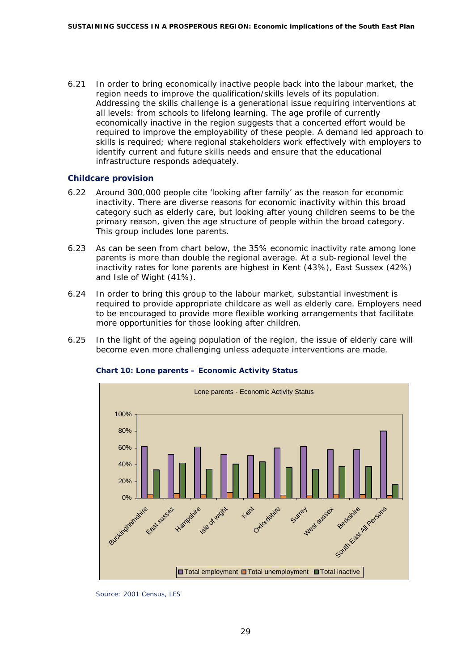6.21 In order to bring economically inactive people back into the labour market, the region needs to improve the qualification/skills levels of its population. Addressing the skills challenge is a generational issue requiring interventions at all levels: from schools to lifelong learning. The age profile of currently economically inactive in the region suggests that a concerted effort would be required to improve the employability of these people. A demand led approach to skills is required; where regional stakeholders work effectively with employers to identify current and future skills needs and ensure that the educational infrastructure responds adequately.

#### **Childcare provision**

- 6.22 Around 300,000 people cite 'looking after family' as the reason for economic inactivity. There are diverse reasons for economic inactivity within this broad category such as elderly care, but looking after young children seems to be the primary reason, given the age structure of people within the broad category. This group includes lone parents.
- 6.23 As can be seen from chart below, the 35% economic inactivity rate among lone parents is more than double the regional average. At a sub-regional level the inactivity rates for lone parents are highest in Kent (43%), East Sussex (42%) and Isle of Wight (41%).
- 6.24 In order to bring this group to the labour market, substantial investment is required to provide appropriate childcare as well as elderly care. Employers need to be encouraged to provide more flexible working arrangements that facilitate more opportunities for those looking after children.
- 6.25 In the light of the ageing population of the region, the issue of elderly care will become even more challenging unless adequate interventions are made.



#### **Chart 10: Lone parents – Economic Activity Status**

*Source: 2001 Census, LFS*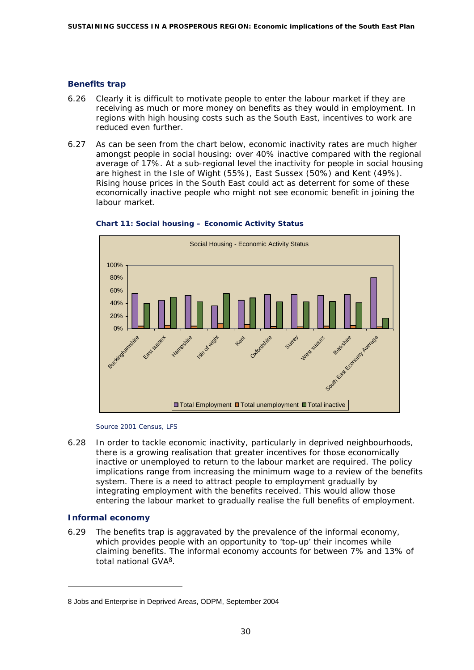### **Benefits trap**

- 6.26 Clearly it is difficult to motivate people to enter the labour market if they are receiving as much or more money on benefits as they would in employment. In regions with high housing costs such as the South East, incentives to work are reduced even further.
- 6.27 As can be seen from the chart below, economic inactivity rates are much higher amongst people in social housing: over 40% inactive compared with the regional average of 17%. At a sub-regional level the inactivity for people in social housing are highest in the Isle of Wight (55%), East Sussex (50%) and Kent (49%). Rising house prices in the South East could act as deterrent for some of these economically inactive people who might not see economic benefit in joining the labour market.





*Source 2001 Census, LFS* 

6.28 In order to tackle economic inactivity, particularly in deprived neighbourhoods, there is a growing realisation that greater incentives for those economically inactive or unemployed to return to the labour market are required. The policy implications range from increasing the minimum wage to a review of the benefits system. There is a need to attract people to employment gradually by integrating employment with the benefits received. This would allow those entering the labour market to gradually realise the full benefits of employment.

### **Informal economy**

ł

6.29 The benefits trap is aggravated by the prevalence of the informal economy, which provides people with an opportunity to 'top-up' their incomes while claiming benefits. The informal economy accounts for between 7% and 13% of total national GVA[8](#page-31-0).

<span id="page-31-0"></span><sup>8</sup> Jobs and Enterprise in Deprived Areas, ODPM, September 2004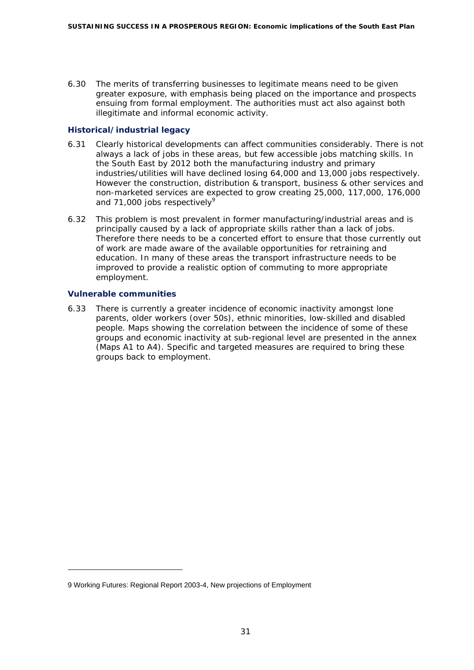6.30 The merits of transferring businesses to legitimate means need to be given greater exposure, with emphasis being placed on the importance and prospects ensuing from formal employment. The authorities must act also against both illegitimate and informal economic activity.

# **Historical/industrial legacy**

- 6.31 Clearly historical developments can affect communities considerably. There is not always a lack of jobs in these areas, but few accessible jobs matching skills. In the South East by 2012 both the manufacturing industry and primary industries/utilities will have declined losing 64,000 and 13,000 jobs respectively. However the construction, distribution & transport, business & other services and non-marketed services are expected to grow creating 25,000, 117,000, 176,000 and 71,000 jobs respectively $9$
- 6.32 This problem is most prevalent in former manufacturing/industrial areas and is principally caused by a lack of appropriate skills rather than a lack of jobs. Therefore there needs to be a concerted effort to ensure that those currently out of work are made aware of the available opportunities for retraining and education. In many of these areas the transport infrastructure needs to be improved to provide a realistic option of commuting to more appropriate employment.

### **Vulnerable communities**

l

6.33 There is currently a greater incidence of economic inactivity amongst lone parents, older workers (over 50s), ethnic minorities, low-skilled and disabled people. Maps showing the correlation between the incidence of some of these groups and economic inactivity at sub-regional level are presented in the annex (Maps A1 to A4). Specific and targeted measures are required to bring these groups back to employment.

<span id="page-32-0"></span><sup>9</sup> Working Futures: Regional Report 2003-4, New projections of Employment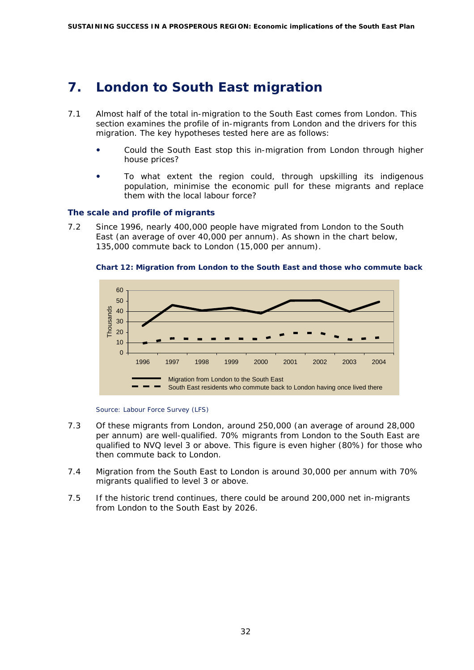# <span id="page-33-0"></span>**7. London to South East migration**

- 7.1 Almost half of the total in-migration to the South East comes from London. This section examines the profile of in-migrants from London and the drivers for this migration. The key hypotheses tested here are as follows:
	- Could the South East stop this in-migration from London through higher house prices?
	- To what extent the region could, through upskilling its indigenous population, minimise the economic pull for these migrants and replace them with the local labour force?

### **The scale and profile of migrants**

7.2 Since 1996, nearly 400,000 people have migrated from London to the South East (an average of over 40,000 per annum). As shown in the chart below, 135,000 commute back to London (15,000 per annum).



**Chart 12: Migration from London to the South East and those who commute back** 

*Source: Labour Force Survey (LFS)* 

- 7.3 Of these migrants from London, around 250,000 (an average of around 28,000 per annum) are well-qualified. 70% migrants from London to the South East are qualified to NVQ level 3 or above. This figure is even higher (80%) for those who then commute back to London.
- 7.4 Migration from the South East to London is around 30,000 per annum with 70% migrants qualified to level 3 or above.
- 7.5 If the historic trend continues, there could be around 200,000 net in-migrants from London to the South East by 2026.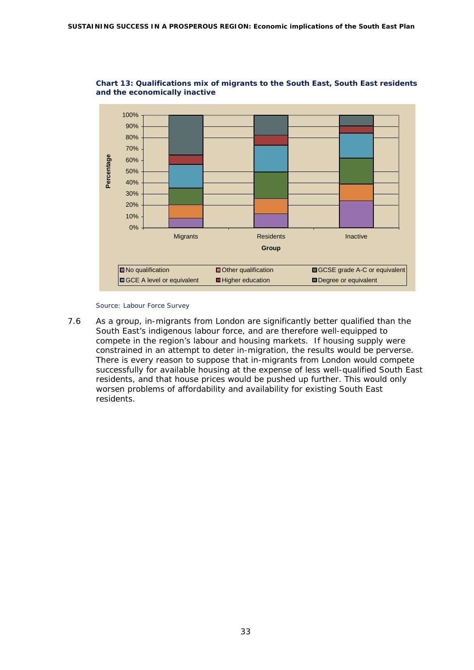

#### **Chart 13: Qualifications mix of migrants to the South East, South East residents and the economically inactive**

#### *Source: Labour Force Survey*

7.6 As a group, in-migrants from London are significantly better qualified than the South East's indigenous labour force, and are therefore well-equipped to compete in the region's labour and housing markets. If housing supply were constrained in an attempt to deter in-migration, the results would be perverse. There is every reason to suppose that in-migrants from London would compete successfully for available housing at the expense of less well-qualified South East residents, and that house prices would be pushed up further. This would only worsen problems of affordability and availability for existing South East residents.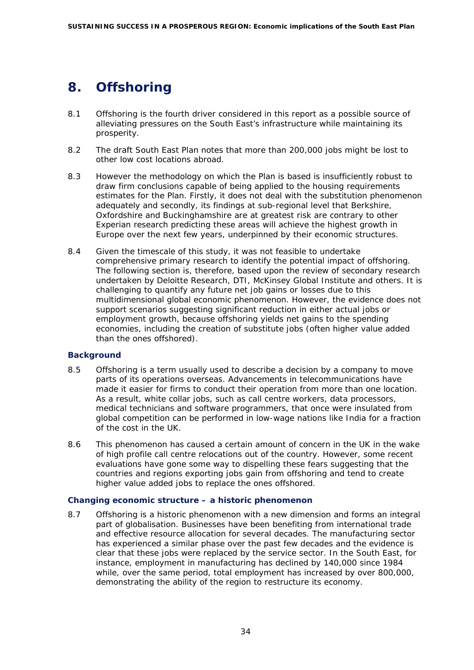# <span id="page-35-0"></span>**8. Offshoring**

- 8.1 Offshoring is the fourth driver considered in this report as a possible source of alleviating pressures on the South East's infrastructure while maintaining its prosperity.
- 8.2 The draft South East Plan notes that more than 200,000 jobs might be lost to other low cost locations abroad.
- 8.3 However the methodology on which the Plan is based is insufficiently robust to draw firm conclusions capable of being applied to the housing requirements estimates for the Plan. Firstly, it does not deal with the substitution phenomenon adequately and secondly, its findings at sub-regional level that Berkshire, Oxfordshire and Buckinghamshire are at greatest risk are contrary to other Experian research predicting these areas will achieve the highest growth in Europe over the next few years, underpinned by their economic structures.
- 8.4 Given the timescale of this study, it was not feasible to undertake comprehensive primary research to identify the potential impact of offshoring. The following section is, therefore, based upon the review of secondary research undertaken by Deloitte Research, DTI, McKinsey Global Institute and others. It is challenging to quantify any future net job gains or losses due to this multidimensional global economic phenomenon. However, the evidence does not support scenarios suggesting significant reduction in either actual jobs or employment growth, because offshoring yields net gains to the spending economies, including the creation of substitute jobs (often higher value added than the ones offshored).

### **Background**

- 8.5 Offshoring is a term usually used to describe a decision by a company to move parts of its operations overseas. Advancements in telecommunications have made it easier for firms to conduct their operation from more than one location. As a result, white collar jobs, such as call centre workers, data processors, medical technicians and software programmers, that once were insulated from global competition can be performed in low-wage nations like India for a fraction of the cost in the UK.
- 8.6 This phenomenon has caused a certain amount of concern in the UK in the wake of high profile call centre relocations out of the country. However, some recent evaluations have gone some way to dispelling these fears suggesting that the countries and regions exporting jobs gain from offshoring and tend to create higher value added jobs to replace the ones offshored.

### **Changing economic structure – a historic phenomenon**

8.7 Offshoring is a historic phenomenon with a new dimension and forms an integral part of globalisation. Businesses have been benefiting from international trade and effective resource allocation for several decades. The manufacturing sector has experienced a similar phase over the past few decades and the evidence is clear that these jobs were replaced by the service sector. In the South East, for instance, employment in manufacturing has declined by 140,000 since 1984 while, over the same period, total employment has increased by over 800,000, demonstrating the ability of the region to restructure its economy.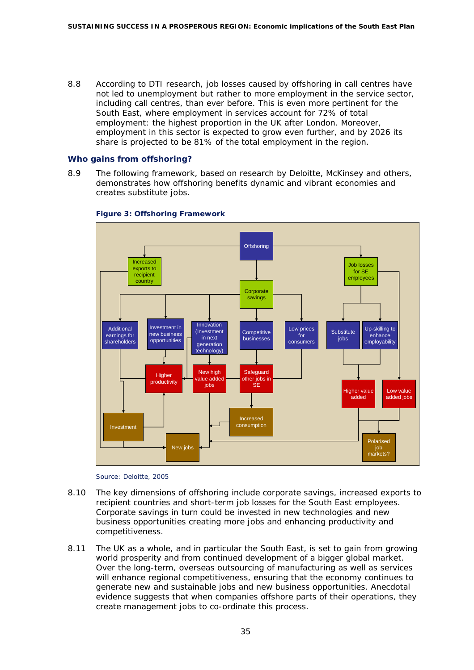8.8 According to DTI research, job losses caused by offshoring in call centres have not led to unemployment but rather to more employment in the service sector, including call centres, than ever before. This is even more pertinent for the South East, where employment in services account for 72% of total employment: the highest proportion in the UK after London. Moreover, employment in this sector is expected to grow even further, and by 2026 its share is projected to be 81% of the total employment in the region.

#### **Who gains from offshoring?**

8.9 The following framework, based on research by Deloitte, McKinsey and others, demonstrates how offshoring benefits dynamic and vibrant economies and creates substitute jobs.



#### **Figure 3: Offshoring Framework**



- 8.10 The key dimensions of offshoring include corporate savings, increased exports to recipient countries and short-term job losses for the South East employees. Corporate savings in turn could be invested in new technologies and new business opportunities creating more jobs and enhancing productivity and competitiveness.
- 8.11 The UK as a whole, and in particular the South East, is set to gain from growing world prosperity and from continued development of a bigger global market. Over the long-term, overseas outsourcing of manufacturing as well as services will enhance regional competitiveness, ensuring that the economy continues to generate new and sustainable jobs and new business opportunities. Anecdotal evidence suggests that when companies offshore parts of their operations, they create management jobs to co-ordinate this process.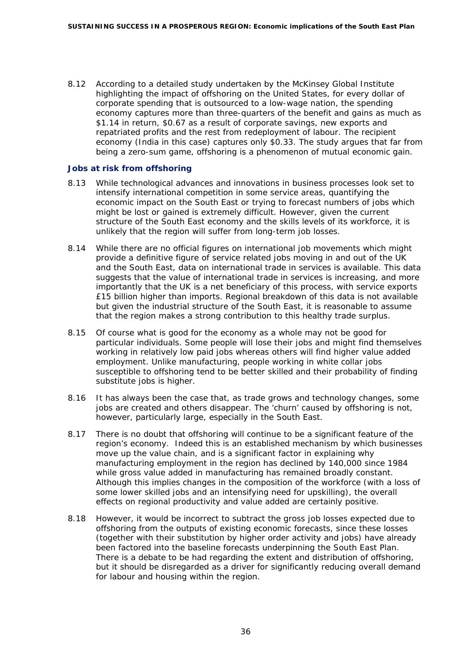8.12 According to a detailed study undertaken by the McKinsey Global Institute highlighting the impact of offshoring on the United States, for every dollar of corporate spending that is outsourced to a low-wage nation, the spending economy captures more than three-quarters of the benefit and gains as much as \$1.14 in return, \$0.67 as a result of corporate savings, new exports and repatriated profits and the rest from redeployment of labour. The recipient economy (India in this case) captures only \$0.33. The study argues that far from being a zero-sum game, offshoring is a phenomenon of mutual economic gain.

#### **Jobs at risk from offshoring**

- 8.13 While technological advances and innovations in business processes look set to intensify international competition in some service areas, quantifying the economic impact on the South East or trying to forecast numbers of jobs which might be lost or gained is extremely difficult. However, given the current structure of the South East economy and the skills levels of its workforce, it is unlikely that the region will suffer from long-term job losses.
- 8.14 While there are no official figures on international job movements which might provide a definitive figure of service related jobs moving in and out of the UK and the South East, data on international trade in services is available. This data suggests that the value of international trade in services is increasing, and more importantly that the UK is a net beneficiary of this process, with service exports £15 billion higher than imports. Regional breakdown of this data is not available but given the industrial structure of the South East, it is reasonable to assume that the region makes a strong contribution to this healthy trade surplus.
- 8.15 Of course what is good for the economy as a whole may not be good for particular individuals. Some people will lose their jobs and might find themselves working in relatively low paid jobs whereas others will find higher value added employment. Unlike manufacturing, people working in white collar jobs susceptible to offshoring tend to be better skilled and their probability of finding substitute jobs is higher.
- 8.16 It has always been the case that, as trade grows and technology changes, some jobs are created and others disappear. The 'churn' caused by offshoring is not, however, particularly large, especially in the South East.
- 8.17 There is no doubt that offshoring will continue to be a significant feature of the region's economy. Indeed this is an established mechanism by which businesses move up the value chain, and is a significant factor in explaining why manufacturing employment in the region has declined by 140,000 since 1984 while gross value added in manufacturing has remained broadly constant. Although this implies changes in the composition of the workforce (with a loss of some lower skilled jobs and an intensifying need for upskilling), the overall effects on regional productivity and value added are certainly positive.
- 8.18 However, it would be incorrect to subtract the gross job losses expected due to offshoring from the outputs of existing economic forecasts, since these losses (together with their substitution by higher order activity and jobs) have already been factored into the baseline forecasts underpinning the South East Plan. There is a debate to be had regarding the extent and distribution of offshoring, but it should be disregarded as a driver for significantly reducing overall demand for labour and housing within the region.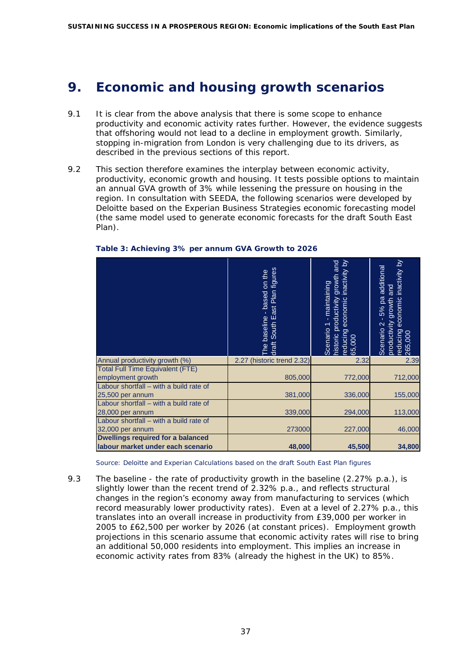# <span id="page-38-0"></span>**9. Economic and housing growth scenarios**

- 9.1 It is clear from the above analysis that there is some scope to enhance productivity and economic activity rates further. However, the evidence suggests that offshoring would not lead to a decline in employment growth. Similarly, stopping in-migration from London is very challenging due to its drivers, as described in the previous sections of this report.
- 9.2 This section therefore examines the interplay between economic activity, productivity, economic growth and housing. It tests possible options to maintain an annual GVA growth of 3% while lessening the pressure on housing in the region. In consultation with SEEDA, the following scenarios were developed by Deloitte based on the Experian Business Strategies economic forecasting model (the same model used to generate economic forecasts for the draft South East Plan).

|                                          | draft South East Plan figures<br>on the<br>based<br>baseline<br>ջ | nistoric productivity growth and<br>economic inactivity by<br>maintaining<br>Scenario<br>reducing<br>65,000 | inactivity by<br>additional<br>loue<br>economic<br>5% pa<br>growth<br>Scenario <sub>2</sub><br>productivity<br>reducing<br>265,000 |
|------------------------------------------|-------------------------------------------------------------------|-------------------------------------------------------------------------------------------------------------|------------------------------------------------------------------------------------------------------------------------------------|
| Annual productivity growth (%)           | (historic trend 2.32)<br>2.27                                     | 2.32                                                                                                        | 2.39                                                                                                                               |
| <b>Total Full Time Equivalent (FTE)</b>  |                                                                   |                                                                                                             |                                                                                                                                    |
| employment growth                        | 805,000                                                           | 772,000                                                                                                     | 712,000                                                                                                                            |
| Labour shortfall - with a build rate of  |                                                                   |                                                                                                             |                                                                                                                                    |
| 25,500 per annum                         | 381,000                                                           | 336,000                                                                                                     | 155,000                                                                                                                            |
| Labour shortfall - with a build rate of  |                                                                   |                                                                                                             |                                                                                                                                    |
| 28,000 per annum                         | 339,000                                                           | 294,000                                                                                                     | 113,000                                                                                                                            |
| Labour shortfall - with a build rate of  |                                                                   |                                                                                                             |                                                                                                                                    |
| 32,000 per annum                         | 273000                                                            | 227,000                                                                                                     | 46,000                                                                                                                             |
| <b>Dwellings required for a balanced</b> |                                                                   |                                                                                                             |                                                                                                                                    |
| labour market under each scenario        | 48,000                                                            | 45,500                                                                                                      | 34,800                                                                                                                             |

#### **Table 3: Achieving 3% per annum GVA Growth to 2026**

*Source: Deloitte and Experian Calculations based on the draft South East Plan figures*

9.3 The baseline - the rate of productivity growth in the baseline (2.27% p.a.), is slightly lower than the recent trend of 2.32% p.a., and reflects structural changes in the region's economy away from manufacturing to services (which record measurably lower productivity rates). Even at a level of 2.27% p.a., this translates into an overall increase in productivity from £39,000 per worker in 2005 to £62,500 per worker by 2026 (at constant prices). Employment growth projections in this scenario assume that economic activity rates will rise to bring an additional 50,000 residents into employment. This implies an increase in economic activity rates from 83% (already the highest in the UK) to 85%.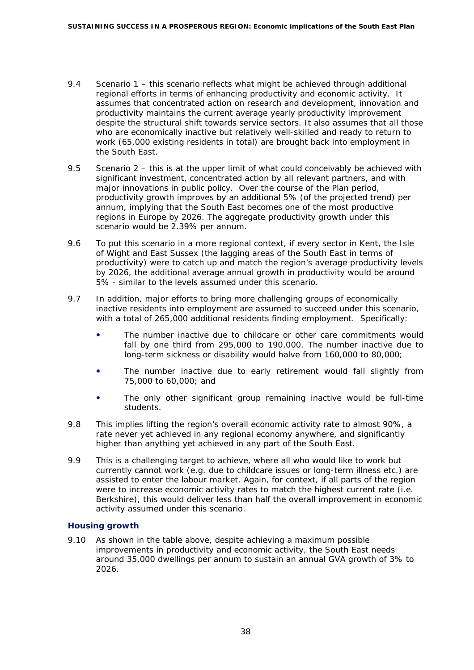- 9.4 Scenario 1 this scenario reflects what might be achieved through additional regional efforts in terms of enhancing productivity and economic activity. It assumes that concentrated action on research and development, innovation and productivity maintains the current average yearly productivity improvement despite the structural shift towards service sectors. It also assumes that all those who are economically inactive but relatively well-skilled and ready to return to work (65,000 existing residents in total) are brought back into employment in the South East.
- 9.5 Scenario 2 this is at the upper limit of what could conceivably be achieved with significant investment, concentrated action by all relevant partners, and with major innovations in public policy. Over the course of the Plan period, productivity growth improves by an additional 5% (of the projected trend) per annum, implying that the South East becomes one of the most productive regions in Europe by 2026. The aggregate productivity growth under this scenario would be 2.39% per annum.
- 9.6 To put this scenario in a more regional context, if every sector in Kent, the Isle of Wight and East Sussex (the lagging areas of the South East in terms of productivity) were to catch up and match the region's average productivity levels by 2026, the additional average annual growth in productivity would be around 5% - similar to the levels assumed under this scenario.
- 9.7 In addition, major efforts to bring more challenging groups of economically inactive residents into employment are assumed to succeed under this scenario, with a total of 265,000 additional residents finding employment. Specifically:
	- The number inactive due to childcare or other care commitments would fall by one third from 295,000 to 190,000. The number inactive due to long-term sickness or disability would halve from 160,000 to 80,000;
	- The number inactive due to early retirement would fall slightly from 75,000 to 60,000; and
	- The only other significant group remaining inactive would be full-time students.
- 9.8 This implies lifting the region's overall economic activity rate to almost 90%, a rate never yet achieved in any regional economy anywhere, and significantly higher than anything yet achieved in any part of the South East.
- 9.9 This is a challenging target to achieve, where all who would like to work but currently cannot work (e.g. due to childcare issues or long-term illness etc.) are assisted to enter the labour market. Again, for context, if all parts of the region were to increase economic activity rates to match the highest current rate (i.e. Berkshire), this would deliver less than half the overall improvement in economic activity assumed under this scenario.

### **Housing growth**

9.10 As shown in the table above, despite achieving a maximum possible improvements in productivity and economic activity, the South East needs around 35,000 dwellings per annum to sustain an annual GVA growth of 3% to 2026.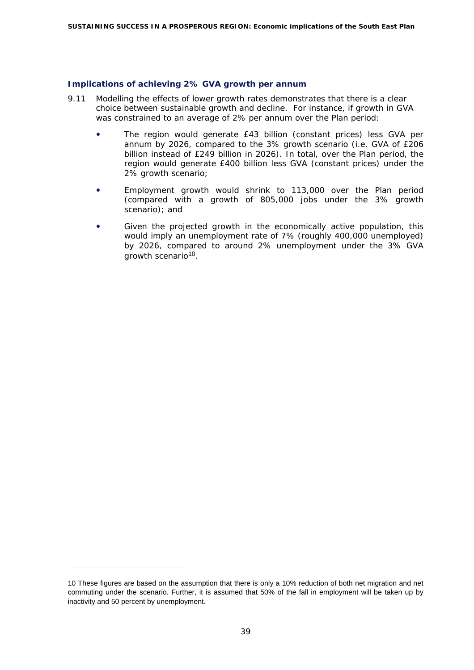#### **Implications of achieving 2% GVA growth per annum**

- 9.11 Modelling the effects of lower growth rates demonstrates that there is a clear choice between sustainable growth and decline. For instance, if growth in GVA was constrained to an average of 2% per annum over the Plan period:
	- The region would generate £43 billion (constant prices) less GVA per annum by 2026, compared to the 3% growth scenario (i.e. GVA of £206 billion instead of £249 billion in 2026). In total, over the Plan period, the region would generate £400 billion less GVA (constant prices) under the 2% growth scenario;
	- Employment growth would shrink to 113,000 over the Plan period (compared with a growth of 805,000 jobs under the 3% growth scenario); and
	- Given the projected growth in the economically active population, this would imply an unemployment rate of 7% (roughly 400,000 unemployed) by 2026, compared to around 2% unemployment under the 3% GVA growth scenario[10](#page-40-0).

ł

<span id="page-40-0"></span><sup>10</sup> These figures are based on the assumption that there is only a 10% reduction of both net migration and net commuting under the scenario. Further, it is assumed that 50% of the fall in employment will be taken up by inactivity and 50 percent by unemployment.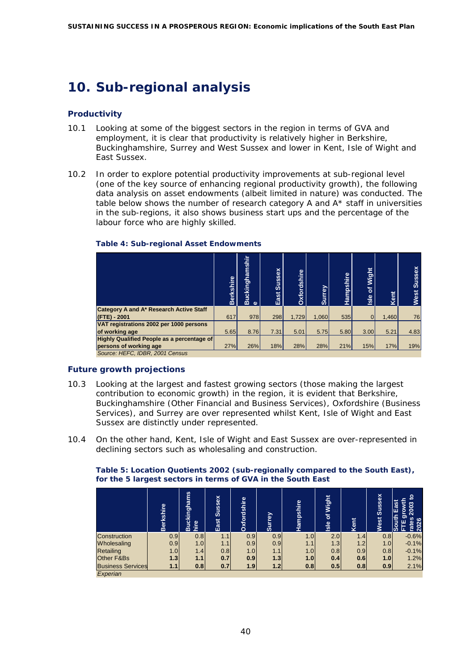# <span id="page-41-0"></span>**10. Sub-regional analysis**

# **Productivity**

- 10.1 Looking at some of the biggest sectors in the region in terms of GVA and employment, it is clear that productivity is relatively higher in Berkshire, Buckinghamshire, Surrey and West Sussex and lower in Kent, Isle of Wight and East Sussex.
- 10.2 In order to explore potential productivity improvements at sub-regional level (one of the key source of enhancing regional productivity growth), the following data analysis on asset endowments (albeit limited in nature) was conducted. The table below shows the number of research category A and  $A^*$  staff in universities in the sub-regions, it also shows business start ups and the percentage of the labour force who are highly skilled.

|                                                   | Berkshire | <b>Buckinghamshir</b><br>$\omega$ | Sussex<br>East | Oxfordshire | Surrey | Hampshire | Wight<br>৳<br>Isle | Kent  | <b>Sussex</b><br><b>West</b> |
|---------------------------------------------------|-----------|-----------------------------------|----------------|-------------|--------|-----------|--------------------|-------|------------------------------|
| Category A and A* Research Active Staff           |           |                                   |                |             |        |           |                    |       |                              |
| (FTE) - 2001                                      | 617       | 978                               | 298            | 1.729       | 1.060  | 535       |                    | 1.460 | 76                           |
| VAT registrations 2002 per 1000 persons           |           |                                   |                |             |        |           |                    |       |                              |
| of working age                                    | 5.65      | 8.76                              | 7.31           | 5.01        | 5.75   | 5.80      | 3.00               | 5.21  | 4.83                         |
| <b>Highly Qualified People as a percentage of</b> |           |                                   |                |             |        |           |                    |       |                              |
| persons of working age                            | 27%       | 26%                               | 18%            | <b>28%</b>  | 28%    | 21%       | 15%                | 17%   | 19%                          |
| Source: HEFC, IDBR, 2001 Census                   |           |                                   |                |             |        |           |                    |       |                              |

#### **Table 4: Sub-regional Asset Endowments**

# **Future growth projections**

- 10.3 Looking at the largest and fastest growing sectors (those making the largest contribution to economic growth) in the region, it is evident that Berkshire, Buckinghamshire (Other Financial and Business Services), Oxfordshire (Business Services), and Surrey are over represented whilst Kent, Isle of Wight and East Sussex are distinctly under represented.
- 10.4 On the other hand, Kent, Isle of Wight and East Sussex are over-represented in declining sectors such as wholesaling and construction.

#### **Table 5: Location Quotients 2002 (sub-regionally compared to the South East), for the 5 largest sectors in terms of GVA in the South East**

|                          | <b>Berkshire</b> | <b>Buckinghams</b><br>hire | East Sussex | Oxfordshire | <b>Surrey</b> | Hampshire        | <b>Wight</b><br>히<br>Isle | Kent | Sussex<br>Vest | g<br>East<br>growth<br>2003<br><b>South</b><br><u>Sed</u><br>2026<br>ш<br>현 |
|--------------------------|------------------|----------------------------|-------------|-------------|---------------|------------------|---------------------------|------|----------------|-----------------------------------------------------------------------------|
| Construction             | 0.9              | 0.8                        | 1.1         | 0.9         | 0.9           | 1.0 <sub>l</sub> | 2.0                       | 1.4  | 0.8            | $-0.6%$                                                                     |
| Wholesaling              | 0.9              | 1.0                        | 1.1         | 0.9         | 0.9           | 1.1              | 1.3                       | 1.2  | 1.0            | $-0.1%$                                                                     |
| Retailing                | 1.0              | 1.4                        | 0.8         | 1.0         | 1.1           | 1.0 <sub>l</sub> | 0.8                       | 0.9  | 0.8            | $-0.1%$                                                                     |
| Other F&Bs               | 1.3              | 1.1                        | 0.7         | 0.9         | 1.3           | 1.0              | 0.4                       | 0.6  | 1.0            | 1.2%                                                                        |
| <b>Business Services</b> | 1.1              | 0.8                        | 0.7         | 1.9         | 1.2           | 0.8              | 0.5                       | 0.8  | 0.9            | 2.1%                                                                        |
| Experian                 |                  |                            |             |             |               |                  |                           |      |                |                                                                             |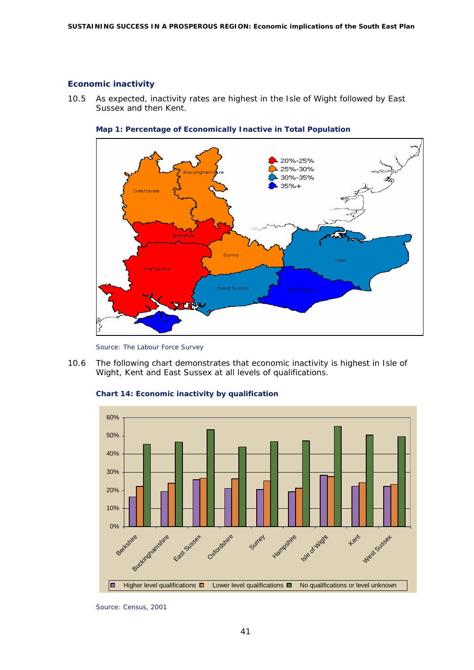#### **Economic inactivity**

10.5 As expected, inactivity rates are highest in the Isle of Wight followed by East Sussex and then Kent.





*Source: The Labour Force Survey* 

10.6 The following chart demonstrates that economic inactivity is highest in Isle of Wight, Kent and East Sussex at all levels of qualifications.





*Source: Census, 2001*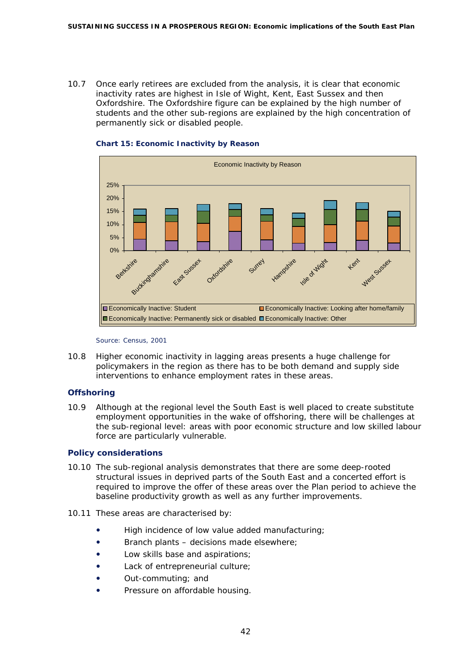10.7 Once early retirees are excluded from the analysis, it is clear that economic inactivity rates are highest in Isle of Wight, Kent, East Sussex and then Oxfordshire. The Oxfordshire figure can be explained by the high number of students and the other sub-regions are explained by the high concentration of permanently sick or disabled people.



#### **Chart 15: Economic Inactivity by Reason**

#### *Source: Census, 2001*

10.8 Higher economic inactivity in lagging areas presents a huge challenge for policymakers in the region as there has to be both demand and supply side interventions to enhance employment rates in these areas.

### **Offshoring**

10.9 Although at the regional level the South East is well placed to create substitute employment opportunities in the wake of offshoring, there will be challenges at the sub-regional level: areas with poor economic structure and low skilled labour force are particularly vulnerable.

### **Policy considerations**

- 10.10 The sub-regional analysis demonstrates that there are some deep-rooted structural issues in deprived parts of the South East and a concerted effort is required to improve the offer of these areas over the Plan period to achieve the baseline productivity growth as well as any further improvements.
- 10.11 These areas are characterised by:
	- High incidence of low value added manufacturing;
	- Branch plants decisions made elsewhere;
	- Low skills base and aspirations;
	- Lack of entrepreneurial culture;
	- Out-commuting; and
	- Pressure on affordable housing.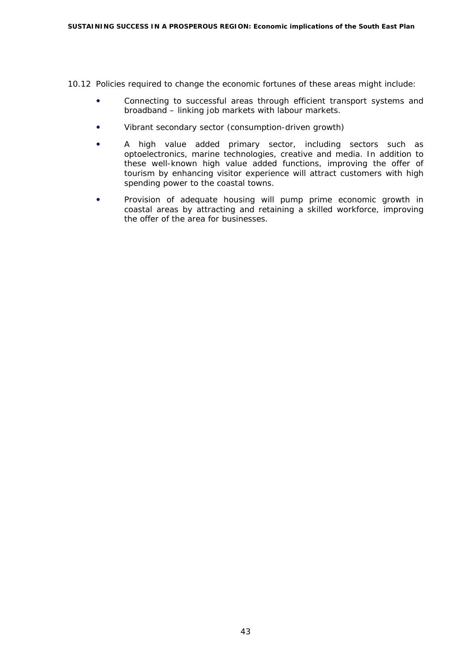10.12 Policies required to change the economic fortunes of these areas might include:

- Connecting to successful areas through efficient transport systems and broadband – linking job markets with labour markets.
- Vibrant secondary sector (consumption-driven growth)
- A high value added primary sector, including sectors such as optoelectronics, marine technologies, creative and media. In addition to these well-known high value added functions, improving the offer of tourism by enhancing visitor experience will attract customers with high spending power to the coastal towns.
- Provision of adequate housing will pump prime economic growth in coastal areas by attracting and retaining a skilled workforce, improving the offer of the area for businesses.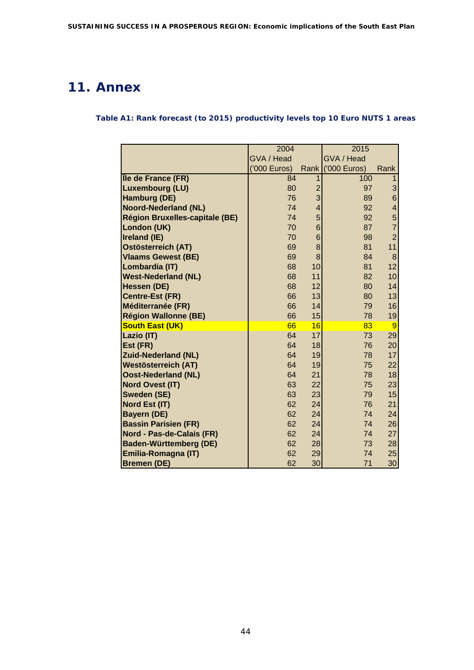# <span id="page-45-0"></span>**11. Annex**

**Table A1: Rank forecast (to 2015) productivity levels top 10 Euro NUTS 1 areas** 

|                                       | 2004         |                | 2015         |                         |
|---------------------------------------|--------------|----------------|--------------|-------------------------|
|                                       | GVA / Head   |                | GVA / Head   |                         |
|                                       | ('000 Euros) | <b>Rank</b>    | ('000 Euros) | Rank                    |
| Île de France (FR)                    | 84           | $\mathbf 1$    | 100          | $\mathbf{1}$            |
| <b>Luxembourg (LU)</b>                | 80           | $\overline{2}$ | 97           | 3                       |
| Hamburg (DE)                          | 76           | 3              | 89           | 6                       |
| <b>Noord-Nederland (NL)</b>           | 74           | $\overline{4}$ | 92           | $\overline{\mathbf{4}}$ |
| <b>Région Bruxelles-capitale (BE)</b> | 74           | 5              | 92           | $\overline{5}$          |
| London (UK)                           | 70           | 6              | 87           | $\overline{7}$          |
| Ireland (IE)                          | 70           | 6              | 98           | $\overline{2}$          |
| <b>Ostösterreich (AT)</b>             | 69           | 8              | 81           | 11                      |
| <b>Vlaams Gewest (BE)</b>             | 69           | 8              | 84           | 8                       |
| Lombardia (IT)                        | 68           | 10             | 81           | 12                      |
| <b>West-Nederland (NL)</b>            | 68           | 11             | 82           | 10                      |
| Hessen (DE)                           | 68           | 12             | 80           | 14                      |
| <b>Centre-Est (FR)</b>                | 66           | 13             | 80           | 13                      |
| Méditerranée (FR)                     | 66           | 14             | 79           | 16                      |
| <b>Région Wallonne (BE)</b>           | 66           | 15             | 78           | 19                      |
| <b>South East (UK)</b>                | 66           | 16             | 83           | 9                       |
| Lazio (IT)                            | 64           | 17             | 73           | 29                      |
| Est (FR)                              | 64           | 18             | 76           | 20                      |
| <b>Zuid-Nederland (NL)</b>            | 64           | 19             | 78           | 17                      |
| <b>Westösterreich (AT)</b>            | 64           | 19             | 75           | 22                      |
| <b>Oost-Nederland (NL)</b>            | 64           | 21             | 78           | 18                      |
| <b>Nord Ovest (IT)</b>                | 63           | 22             | 75           | 23                      |
| <b>Sweden (SE)</b>                    | 63           | 23             | 79           | 15                      |
| Nord Est (IT)                         | 62           | 24             | 76           | 21                      |
| <b>Bayern (DE)</b>                    | 62           | 24             | 74           | 24                      |
| <b>Bassin Parisien (FR)</b>           | 62           | 24             | 74           | 26                      |
| Nord - Pas-de-Calais (FR)             | 62           | 24             | 74           | 27                      |
| <b>Baden-Württemberg (DE)</b>         | 62           | 28             | 73           | 28                      |
| Emilia-Romagna (IT)                   | 62           | 29             | 74           | 25                      |
| <b>Bremen (DE)</b>                    | 62           | 30             | 71           | 30                      |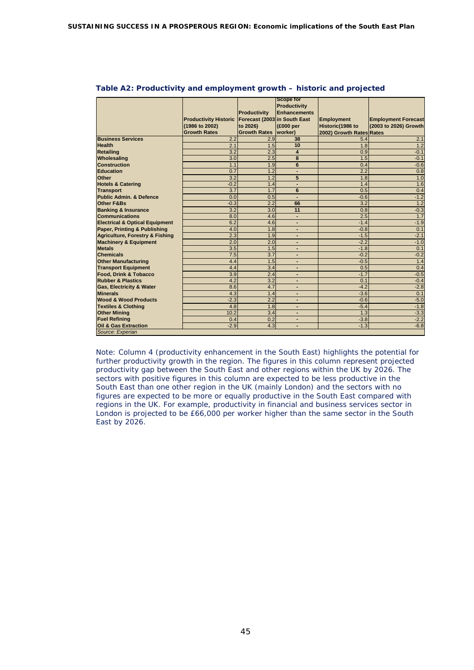|                                            |                              |                              | <b>Scope for</b>        |                          |                            |
|--------------------------------------------|------------------------------|------------------------------|-------------------------|--------------------------|----------------------------|
|                                            |                              |                              | Productivity            |                          |                            |
|                                            |                              | <b>Productivity</b>          | Enhancements            |                          |                            |
|                                            | <b>Productivity Historic</b> | Forecast (2003 in South East |                         | <b>Employment</b>        | <b>Employment Forecast</b> |
|                                            | (1986 to 2002)               | to 2026)                     | (£000 per               | Historic(1986 to         | (2003 to 2026) Growth      |
|                                            | <b>Growth Rates</b>          |                              |                         |                          |                            |
| <b>Business Services</b>                   |                              | <b>Growth Rates Iworker)</b> | 38                      | 2002) Growth Rates Rates |                            |
|                                            | 2.2                          | 2.9                          |                         | 5.4                      | 2.1                        |
| <b>Health</b>                              | 2.1                          | 1.5                          | 10                      | 1.8                      | 1.2                        |
| <b>Retailing</b>                           | 3.2                          | 2.3                          | $\overline{\mathbf{A}}$ | 0.9                      | $-0.1$                     |
| Wholesaling                                | $\overline{3.0}$             | 2.5                          | 8                       | 1.5                      | $-0.1$                     |
| <b>Construction</b>                        | 1.1                          | 1.9                          | 6                       | 0.4                      | $-0.6$                     |
| <b>Education</b>                           | 0.7                          | 1.2                          |                         | 2.2                      | 0.8                        |
| Other                                      | 3.2                          | 1.2                          | 5                       | 1.8                      | 1.0                        |
| <b>Hotels &amp; Catering</b>               | $-0.2$                       | 1.4                          |                         | 1.4                      | 1.6                        |
| <b>Transport</b>                           | 3.7                          | 1.7                          | 6                       | 0.5                      | 0.4                        |
| <b>Public Admin, &amp; Defence</b>         | 0.0                          | 0.5                          |                         | $-0.6$                   | $-1.2$                     |
| <b>Other F&amp;Bs</b>                      | $-0.3$                       | 2.2                          | 66                      | 3.2                      | 1.2                        |
| <b>Banking &amp; Insurance</b>             | 3.2                          | 3.0                          | 11                      | 0.8                      | $-0.3$                     |
| <b>Communications</b>                      | 8.0                          | 4.6                          |                         | 2.5                      | 1.7                        |
| <b>Electrical &amp; Optical Equipment</b>  | 6.2                          | 4.6                          |                         | $-1.4$                   | $-1.9$                     |
| Paper, Printing & Publishing               | 4.0                          | 1.8                          |                         | $-0.8$                   | 0.1                        |
| <b>Agriculture, Forestry &amp; Fishing</b> | 2.3                          | 1.9                          |                         | $-1.5$                   | $-2.1$                     |
| <b>Machinery &amp; Equipment</b>           | 2.0                          | 2.0                          |                         | $-2.2$                   | $-1.0$                     |
| <b>Metals</b>                              | 3.5                          | 1.5                          |                         | $-1.8$                   | 0.1                        |
| <b>Chemicals</b>                           | 7.5                          | 3.7                          |                         | $-0.2$                   | $-0.2$                     |
| <b>Other Manufacturing</b>                 | 4.4                          | 1.5                          |                         | $-0.5$                   | 1.4                        |
| <b>Transport Equipment</b>                 | 4.4                          | 3.4                          |                         | 0.5                      | 0.4                        |
| <b>Food. Drink &amp; Tobacco</b>           | 3.9                          | 2.4                          |                         | $-1.7$                   | $-0.5$                     |
| <b>Rubber &amp; Plastics</b>               | 4.2                          | 3.2                          |                         | 0.1                      | $-0.4$                     |
| <b>Gas, Electricity &amp; Water</b>        | 8.6                          | 4.7                          |                         | $-4.2$                   | $-2.8$                     |
| <b>Minerals</b>                            | 4.3                          | 1.4                          |                         | $-3.6$                   | 0.1                        |
| <b>Wood &amp; Wood Products</b>            | $-2.3$                       | 2.2                          |                         | $-0.6$                   | $-5.0$                     |
| <b>Textiles &amp; Clothing</b>             | 4.8                          | 1.8                          |                         | $-5.4$                   | $-1.8$                     |
| <b>Other Mining</b>                        | 10.2                         | 3.4                          |                         | 1.3                      | $-3.3$                     |
| <b>Fuel Refining</b>                       | 0.4                          | 0.2                          | ٠                       | $-3.8$                   | $-2.2$                     |
| <b>Oil &amp; Gas Extraction</b>            | $-2.9$                       | 4.3                          |                         | $-1.3$                   | $-6.8$                     |
| Source: Experian                           |                              |                              |                         |                          |                            |

#### **Table A2: Productivity and employment growth – historic and projected**

Note: Column 4 (productivity enhancement in the South East) highlights the potential for further productivity growth in the region. The figures in this column represent projected productivity gap between the South East and other regions within the UK by 2026. The sectors with positive figures in this column are expected to be less productive in the South East than one other region in the UK (mainly London) and the sectors with no figures are expected to be more or equally productive in the South East compared with regions in the UK. For example, productivity in financial and business services sector in London is projected to be £66,000 per worker higher than the same sector in the South East by 2026.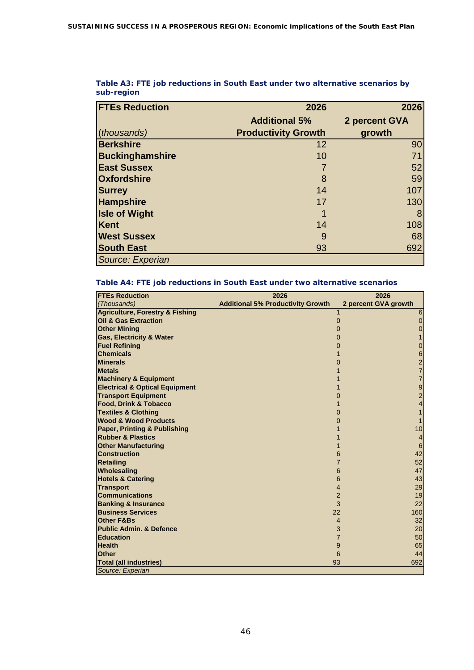| <b>FTEs Reduction</b>  | 2026                       | 2026            |
|------------------------|----------------------------|-----------------|
|                        | <b>Additional 5%</b>       | 2 percent GVA   |
| (thousands)            | <b>Productivity Growth</b> | growth          |
| <b>Berkshire</b>       | 12                         | 90 <sub>l</sub> |
| <b>Buckinghamshire</b> | 10                         | 71              |
| <b>East Sussex</b>     |                            | 52              |
| <b>Oxfordshire</b>     | 8                          | 59              |
| <b>Surrey</b>          | 14                         | 107             |
| <b>Hampshire</b>       | 17                         | 130             |
| <b>Isle of Wight</b>   | 1                          | 8               |
| <b>Kent</b>            | 14                         | 108             |
| <b>West Sussex</b>     | 9                          | 68              |
| <b>South East</b>      | 93                         | 692             |
| Source: Experian       |                            |                 |

### **Table A3: FTE job reductions in South East under two alternative scenarios by sub-region**

### **Table A4: FTE job reductions in South East under two alternative scenarios**

| <b>FTEs Reduction</b>                      | 2026                                     | 2026                         |
|--------------------------------------------|------------------------------------------|------------------------------|
| (Thousands)                                | <b>Additional 5% Productivity Growth</b> | 2 percent GVA growth         |
| <b>Agriculture, Forestry &amp; Fishing</b> |                                          | 6                            |
| <b>Oil &amp; Gas Extraction</b>            |                                          | $\pmb{0}$<br>$\mathbf 0$     |
| <b>Other Mining</b>                        |                                          | $\pmb{0}$<br>$\Omega$        |
| <b>Gas, Electricity &amp; Water</b>        |                                          | 0                            |
| <b>Fuel Refining</b>                       |                                          | 0<br>$\Omega$                |
| <b>Chemicals</b>                           |                                          | $\,$ 6 $\,$                  |
| <b>Minerals</b>                            |                                          | $\frac{2}{7}$<br>0           |
| <b>Metals</b>                              |                                          |                              |
| <b>Machinery &amp; Equipment</b>           |                                          | $\overline{7}$               |
| <b>Electrical &amp; Optical Equipment</b>  |                                          | 9                            |
| <b>Transport Equipment</b>                 |                                          | $\overline{\mathbf{c}}$<br>0 |
| <b>Food, Drink &amp; Tobacco</b>           |                                          | $\overline{4}$               |
| <b>Textiles &amp; Clothing</b>             |                                          | 1<br>0                       |
| <b>Wood &amp; Wood Products</b>            |                                          | 1<br>0                       |
| <b>Paper, Printing &amp; Publishing</b>    |                                          | 10                           |
| <b>Rubber &amp; Plastics</b>               |                                          | 4                            |
| <b>Other Manufacturing</b>                 |                                          | $\,6$                        |
| <b>Construction</b>                        |                                          | 42<br>6                      |
| <b>Retailing</b>                           |                                          | 52<br>7                      |
| Wholesaling                                |                                          | 6<br>47                      |
| <b>Hotels &amp; Catering</b>               |                                          | 43<br>6                      |
| <b>Transport</b>                           |                                          | 29<br>4                      |
| <b>Communications</b>                      |                                          | $\overline{2}$<br>19         |
| <b>Banking &amp; Insurance</b>             |                                          | 3<br>22                      |
| <b>Business Services</b>                   |                                          | 22<br>160                    |
| <b>Other F&amp;Bs</b>                      |                                          | 32<br>$\overline{4}$         |
| <b>Public Admin. &amp; Defence</b>         |                                          | 3<br>20                      |
| <b>Education</b>                           |                                          | $\overline{7}$<br>50         |
| <b>Health</b>                              |                                          | 9<br>65                      |
| <b>Other</b>                               |                                          | 6<br>44                      |
| <b>Total (all industries)</b>              |                                          | 93<br>692                    |
| Source: Experian                           |                                          |                              |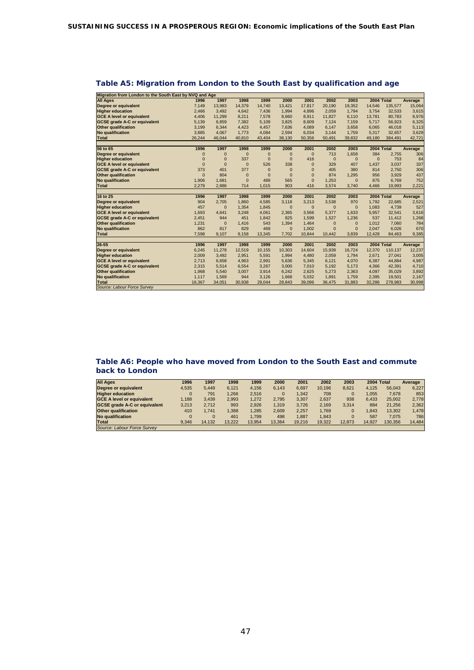| Migration from London to the South East by NVQ and Age |                 |                 |                |                 |                 |                 |                 |                 |                 |                   |                                            |
|--------------------------------------------------------|-----------------|-----------------|----------------|-----------------|-----------------|-----------------|-----------------|-----------------|-----------------|-------------------|--------------------------------------------|
| <b>All Ages</b>                                        | 1996            | 1997            | 1998           | 1999            | 2000            | 2001            | 2002            | 2003            | 2004 Total      |                   | Average                                    |
| Degree or equivalent                                   | 7,149           | 13,983          | 14,379         | 14.740          | 13,421          | 17,817          | 20,190          | 19,352          | 14,546          | 135,577           | 15,064                                     |
| <b>Higher education</b>                                | 2,466           | 3.492           | 4.642          | 7,436           | 1.994           | 4,896           | 2.059           | 1,794           | 3.754           | 32,533            | 3,615                                      |
| <b>GCE A level or equivalent</b>                       | 4,406           | 11,299          | 8,211          | 7,578           | 8,660           | 8,911           | 11,827          | 6,110           | 13,781          | 80,783            | 8,976                                      |
| <b>GCSE</b> grade A-C or equivalent                    | 5,139           | 6,859           | 7,382          | 5,109           | 3,825           | 8,609           | 7,124           | 7,159           | 5,717           | 56,923            | 6,325                                      |
| <b>Other qualification</b>                             | 3,199           | 6,344           | 4,423          | 4,457           | 7,636           | 4,089           | 6,147           | 3,658           | 6,065           | 46.018            | 5,113                                      |
| <b>No qualification</b>                                | 3,885           | 4,067           | 1,773          | 4,084           | 2,594           | 6,034           | 3,144           | 1,759           | 5,317           | 32,657            | 3,629                                      |
| <b>Total</b>                                           | 26.244          | 46.044          | 40,810         | 43,404          | 38,130          | 50,356          | 50,491          | 39,832          | 49,180          | 384,491           | 42,721                                     |
|                                                        |                 |                 |                |                 |                 |                 |                 |                 |                 |                   |                                            |
| 56 to 65                                               | 1996            | 1997            | 1998           | 1999            | 2000            | 2001            | 2002            | 2003            | 2004 Total      |                   | Average                                    |
| Degree or equivalent                                   | $\overline{0}$  | 0               | $\overline{0}$ | $\mathbf{0}$    | $\mathbf{0}$    | $\mathbf{0}$    | 713             | 1,658           | 384             | 2,755             | 306                                        |
| <b>Higher education</b>                                | $\overline{0}$  | $\overline{0}$  | 337            | $\mathbf{0}$    | $\mathbf{0}$    | 416             | $\mathbf{0}$    | $\mathbf{0}$    | $\mathbf{0}$    | 753               | 84                                         |
| <b>GCE A level or equivalent</b>                       | $\Omega$        | $\Omega$        | $\mathbf{0}$   | 526             | 338             | $\Omega$        | 329             | 407             | 1,437           | 3,037             | 337                                        |
| <b>GCSE</b> grade A-C or equivalent                    | 373             | 401             | 377            | $\mathbf{0}$    | $\mathbf{0}$    | $\Omega$        | 405             | 380             | 814             | 2,750             | 306                                        |
| <b>Other qualification</b>                             | $\Omega$        | 804             | $\overline{0}$ | $\Omega$        | $\mathbf{0}$    | $\Omega$        | 874             | 1,295           | 956             | 3,929             | 437                                        |
| <b>No qualification</b>                                | 1,906           | 1.681           | $\overline{0}$ | 489             | 565             | $\Omega$        | 1.253           | $\mathbf{0}$    | 875             | 6,769             | 752                                        |
| <b>Total</b>                                           | 2.279           | 2,886           | 714            | 1,015           | 903             | 416             | 3,574           | 3,740           | 4,466           | 19,993            | 2,221                                      |
|                                                        |                 |                 |                |                 |                 |                 |                 |                 |                 |                   |                                            |
|                                                        |                 |                 |                |                 |                 |                 |                 |                 |                 |                   |                                            |
| 16 to 25                                               | 1996            | 1997            | 1998           | 1999            | 2000            | 2001            | 2002            | 2003            | 2004 Total      |                   | Average                                    |
| Degree or equivalent                                   | 904             | 2,705           | 1.860          | 4,585           | 3.118           | 3,213           | 3,538           | 970             | 1.792           | 22,685            | 2,521                                      |
| <b>Higher education</b>                                | 457             | $\mathbf{0}$    | 1.354          | 1,845           | $\mathbf{0}$    | $\mathbf{0}$    | $\overline{0}$  | $\mathbf{0}$    | 1.083           | 4,739             | 527                                        |
| <b>GCE A level or equivalent</b>                       | 1.693           | 4,641           | 3.248          | 4,061           | 2,365           | 3,566           | 5,377           | 1.633           | 5.957           | 32,541            | 3,616                                      |
| <b>GCSE</b> grade A-C or equivalent                    | 2,451           | 944             | 451            | 1,842           | 825             | 1,599           | 1,527           | 1,236           | 537             | 11,412            | 1,268                                      |
| <b>Other qualification</b>                             | 1,231           | $\mathbf{0}$    | 1,416          | 543             | 1,394           | 1,464           | $\mathbf{0}$    | $\mathbf{0}$    | 1,012           | 7,060             | 784                                        |
| <b>No qualification</b>                                | 862             | 817             | 829            | 469             | $\mathbf{0}$    | 1.002           | $\overline{0}$  | $\mathbf{0}$    | 2.047           | 6,026             | 670                                        |
| <b>Total</b>                                           | 7,598           | 9,107           | 9,158          | 13,345          | 7.702           | 10,844          | 10,442          | 3,839           | 12,428          | 84,463            | 9,385                                      |
|                                                        |                 |                 |                |                 |                 |                 |                 |                 |                 |                   |                                            |
| $26 - 55$                                              | 1996            | 1997            | 1998           | 1999            | 2000            | 2001            | 2002            | 2003            | 2004 Total      |                   | Average                                    |
| Degree or equivalent                                   | 6,245           | 11,278          | 12,519         | 10,155          | 10,303          | 14,604          | 15,939          | 16,724          | 12,370          | 110,137           |                                            |
| <b>Higher education</b>                                | 2,009           | 3,492           | 2,951          | 5,591           | 1,994           | 4,480           | 2,059           | 1,794           | 2,671           | 27,041            |                                            |
| <b>GCE A level or equivalent</b>                       | 2,713           | 6,658           | 4,963          | 2,991           | 5,636           | 5,345           | 6,121           | 4,070           | 6,387           | 44,884            |                                            |
| <b>GCSE</b> grade A-C or equivalent                    | 2,315           | 5,514           | 6,554          | 3,267           | 3,000           | 7,010           | 5,192           | 5,173           | 4,366           | 42,391            |                                            |
| <b>Other qualification</b>                             | 1,968           | 5,540           | 3,007          | 3,914           | 6,242           | 2,625           | 5,273           | 2,363           | 4,097           | 35,029            | 12,237<br>3,005<br>4,987<br>4,710<br>3,892 |
| <b>No qualification</b><br><b>Total</b>                | 1,117<br>16.367 | 1,569<br>34,051 | 944<br>30,938  | 3,126<br>29,044 | 1,668<br>28,843 | 5,032<br>39,096 | 1,891<br>36,475 | 1,759<br>31,883 | 2,395<br>32,286 | 19,501<br>278,983 | 2,167<br>30,998                            |

# **Table A5: Migration from London to the South East by qualification and age**

#### **Table A6: People who have moved from London to the South East and commute back to London**

| <b>All Ages</b>                     | 1996     | 1997     | 1998   | 1999   | 2000        | 2001   | 2002   | 2003     | 2004 Total |         | Average |
|-------------------------------------|----------|----------|--------|--------|-------------|--------|--------|----------|------------|---------|---------|
| Degree or equivalent                | 4.535    | 5.449    | 6.121  | 4.156  | 6.143       | 6.697  | 10.196 | 8.621    | 4.125      | 56.043  | 6.227   |
| <b>Higher education</b>             | $\Omega$ | 791      | 1.266  | 2.516  | $\mathbf 0$ | 1.342  | 708    | $\Omega$ | 1.055      | 7.678   | 853     |
| <b>GCE A level or equivalent</b>    | .188     | 3.439    | 2.993  | 1.272  | 2.795       | 3.307  | 2.637  | 938      | 6.433      | 25.002  | 2.778   |
| <b>GCSE grade A-C or equivalent</b> | 3.213    | 2.712    | 993    | 2.926  | 1.319       | 3.726  | 2.169  | 3.314    | 884        | 21.256  | 2,362   |
| <b>Other qualification</b>          | 410      | 1.741    | 1.388  | 1.285  | 2.609       | 2.257  | 1.769  | $\Omega$ | .843       | 13.302  | 1.478   |
| <b>No qualification</b>             |          | $\Omega$ | 461    | 1.799  | 498         | 1.887  | 1.843  | $\Omega$ | 587        | 7.075   | 786     |
| <b>Total</b>                        | 9.346    | 14.132   | 13.222 | 13.954 | 13.364      | 19.216 | 19.322 | 12.873   | 14.927     | 130.356 | 14,484  |
| Source: Labour Force Survey         |          |          |        |        |             |        |        |          |            |         |         |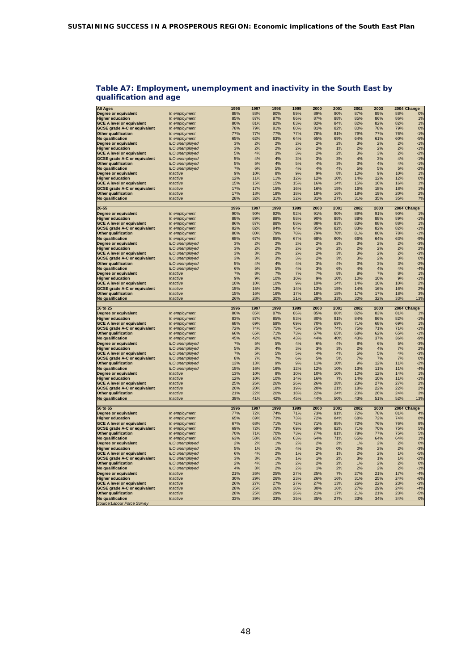| <b>All Ages</b>                                |                | 1996 | 1997 | 1998 | 1999 | 2000 | 2001 | 2002 | 2003 |     | 2004 Change |
|------------------------------------------------|----------------|------|------|------|------|------|------|------|------|-----|-------------|
| Degree or equivalent                           | In employment  | 88%  | 88%  | 90%  | 89%  | 89%  | 90%  | 87%  | 89%  | 88% | 0%          |
| <b>Higher education</b>                        | In employment  | 85%  | 87%  | 87%  | 86%  | 87%  | 88%  | 85%  | 86%  | 86% | 1%          |
| <b>GCE A level or equivalent</b>               | In employment  | 80%  | 81%  | 82%  | 83%  | 82%  | 84%  | 82%  | 82%  | 82% | 1%          |
| <b>GCSE grade A-C or equivalent</b>            | In employment  | 78%  | 79%  | 81%  | 80%  | 81%  | 82%  | 80%  | 78%  | 79% | 0%          |
| <b>Other qualification</b>                     | In employment  | 77%  | 77%  | 77%  | 77%  | 78%  | 81%  | 79%  | 77%  | 76% | $-1%$       |
| No qualification                               | In employment  | 65%  | 62%  | 63%  | 64%  | 65%  | 69%  | 64%  | 61%  | 60% | $-5%$       |
| Degree or equivalent                           | ILO unemployed | 3%   | 2%   | 2%   | 2%   | 2%   | 2%   | 3%   | 2%   | 2%  | $-1%$       |
| <b>Higher education</b>                        | ILO unemployed | 3%   | 2%   | 2%   | 2%   | 2%   | 1%   | 2%   | 2%   | 2%  | $-1%$       |
|                                                |                | 5%   | 4%   | 3%   | 3%   | 2%   | 2%   | 3%   | 3%   | 2%  | $-2%$       |
| <b>GCE A level or equivalent</b>               | ILO unemployed | 5%   | 4%   | 4%   | 3%   | 3%   | 3%   | 4%   | 3%   | 4%  | $-1%$       |
| <b>GCSE grade A-C or equivalent</b>            | ILO unemployed |      |      |      |      |      |      |      |      |     |             |
| Other qualification                            | ILO unemployed | 5%   | 5%   | 4%   | 5%   | 4%   | 3%   | 3%   | 4%   | 4%  | $-1%$       |
| No qualification                               | ILO unemployed | 7%   | 6%   | 5%   | 4%   | 4%   | 4%   | 5%   | 5%   | 5%  | $-2%$       |
| Degree or equivalent                           | Inactive       | 9%   | 10%  | 8%   | 9%   | 9%   | 8%   | 10%  | 9%   | 10% | 1%          |
| <b>Higher education</b>                        | Inactive       | 12%  | 11%  | 11%  | 12%  | 12%  | 10%  | 14%  | 12%  | 12% | 0%          |
| <b>GCE A level or equivalent</b>               | Inactive       | 15%  | 15%  | 15%  | 15%  | 16%  | 14%  | 15%  | 16%  | 16% | 1%          |
| <b>GCSE grade A-C or equivalent</b>            | Inactive       | 17%  | 17%  | 15%  | 16%  | 16%  | 15%  | 16%  | 18%  | 18% | 1%          |
| <b>Other qualification</b>                     | Inactive       | 17%  | 18%  | 18%  | 18%  | 18%  | 16%  | 18%  | 19%  | 20% | 2%          |
| No qualification                               | Inactive       | 28%  | 32%  | 31%  | 32%  | 31%  | 27%  | 31%  | 35%  | 35% | 7%          |
|                                                |                |      |      |      |      |      |      |      |      |     |             |
| 26-55                                          |                | 1996 | 1997 | 1998 | 1999 | 2000 | 2001 | 2002 | 2003 |     | 2004 Change |
| Degree or equivalent                           | In employment  | 90%  | 90%  | 92%  | 92%  | 91%  | 90%  | 89%  | 91%  | 90% | 1%          |
| <b>Higher education</b>                        | In employment  | 88%  | 89%  | 88%  | 88%  | 90%  | 88%  | 88%  | 88%  | 89% | $-1%$       |
| <b>GCE A level or equivalent</b>               | In employment  | 86%  | 87%  | 88%  | 88%  | 88%  | 83%  | 83%  | 88%  | 88% | 1%          |
| <b>GCSE grade A-C or equivalent</b>            | In employment  | 82%  | 82%  | 84%  | 84%  | 85%  | 82%  | 83%  | 82%  | 82% | $-1%$       |
| <b>Other qualification</b>                     | In employment  | 80%  | 80%  | 79%  | 78%  | 79%  | 78%  | 81%  | 80%  | 78% | $-1%$       |
| No qualification                               | In employment  | 68%  | 67%  | 65%  | 67%  | 68%  | 60%  | 66%  | 64%  | 63% | $-9%$       |
| Degree or equivalent                           | ILO unemployed | 3%   | 2%   | 2%   | 2%   | 2%   | 2%   | 3%   | 2%   | 2%  | $-3%$       |
| <b>Higher education</b>                        | ILO unemployed | 3%   | 2%   | 2%   | 2%   | 1%   | 2%   | 2%   | 2%   | 2%  | 2%          |
| <b>GCE A level or equivalent</b>               | ILO unemployed | 3%   | 3%   | 2%   | 2%   | 2%   | 3%   | 3%   | 2%   | 2%  | $-3%$       |
| <b>GCSE grade A-C or equivalent</b>            | ILO unemployed | 3%   | 3%   | 3%   | 3%   | 2%   | 3%   | 3%   | 2%   | 3%  | 0%          |
| <b>Other qualification</b>                     | ILO unemployed | 5%   | 4%   | 4%   | 4%   | 3%   | 4%   | 3%   | 3%   | 3%  | $-2%$       |
| No qualification                               | ILO unemployed | 6%   | 5%   | 5%   | 4%   | 3%   | 6%   | 4%   | 4%   | 4%  | $-4%$       |
| <b>Degree or equivalent</b>                    | Inactive       | 7%   | 8%   | 7%   | 7%   | 7%   | 8%   | 8%   | 7%   | 8%  | 1%          |
| <b>Higher education</b>                        | Inactive       | 9%   | 9%   | 10%  | 10%  | 9%   | 10%  | 10%  | 10%  | 9%  | $-1%$       |
| <b>GCE A level or equivalent</b>               | Inactive       | 10%  | 10%  | 10%  | 9%   | 10%  | 14%  | 14%  | 10%  | 10% | 2%          |
| <b>GCSE grade A-C or equivalent</b>            | Inactive       | 15%  | 15%  | 13%  | 14%  | 13%  | 15%  | 14%  | 16%  | 16% | 2%          |
| <b>Other qualification</b>                     | Inactive       | 15%  | 16%  | 16%  | 17%  | 18%  | 18%  | 17%  | 17%  | 18% | 3%          |
| No qualification                               | Inactive       | 26%  | 28%  | 30%  | 31%  | 28%  | 33%  | 30%  | 32%  | 33% | 13%         |
|                                                |                |      |      |      |      |      |      |      |      |     |             |
|                                                |                |      |      |      |      |      |      |      |      |     |             |
|                                                |                |      |      |      |      |      |      |      |      |     |             |
| 16 to 25                                       |                | 1996 | 1997 | 1998 | 1999 | 2000 | 2001 | 2002 | 2003 |     | 2004 Change |
| <b>Degree or equivalent</b>                    | In employment  | 80%  | 85%  | 87%  | 86%  | 85%  | 86%  | 82%  | 83%  | 81% | 1%          |
| <b>Higher education</b>                        | In employment  | 83%  | 87%  | 85%  | 83%  | 80%  | 91%  | 84%  | 86%  | 82% | $-1%$       |
| <b>GCE A level or equivalent</b>               | In employment  | 68%  | 69%  | 69%  | 69%  | 70%  | 69%  | 71%  | 68%  | 69% | 1%          |
| <b>GCSE grade A-C or equivalent</b>            | In employment  | 72%  | 74%  | 75%  | 75%  | 75%  | 74%  | 75%  | 71%  | 71% | $-1%$       |
| <b>Other qualification</b>                     | In employment  | 66%  | 65%  | 71%  | 73%  | 67%  | 65%  | 68%  | 62%  | 65% | $-1%$       |
| No qualification                               | In employment  | 45%  | 42%  | 42%  | 43%  | 44%  | 40%  | 43%  | 37%  | 36% | $-9%$       |
| Degree or equivalent                           | ILO unemployed | 7%   | 5%   | 5%   | 4%   | 6%   | 4%   | 8%   | 6%   | 5%  | $-3%$       |
| <b>Higher education</b>                        | ILO unemployed | 5%   | 3%   | 4%   | 3%   | 3%   | 3%   | 2%   | 4%   | 7%  | 2%          |
| <b>GCE A level or equivalent</b>               | ILO unemployed | 7%   | 5%   | 5%   | 5%   | 4%   | 4%   | 5%   | 5%   | 4%  | $-3%$       |
| <b>GCSE grade A-C or equivalent</b>            | ILO unemployed | 8%   | 7%   | 7%   | 6%   | 5%   | 5%   | 7%   | 7%   | 7%  | 0%          |
| <b>Other qualification</b>                     | ILO unemployed | 13%  | 13%  | 9%   | 9%   | 11%  | 10%  | 9%   | 12%  | 11% | $-2%$       |
| No qualification                               | ILO unemployed | 15%  | 16%  | 16%  | 12%  | 12%  | 10%  | 13%  | 11%  | 11% | $-4%$       |
| Degree or equivalent                           | Inactive       | 13%  | 10%  | 8%   | 10%  | 10%  | 10%  | 10%  | 12%  | 14% | 1%          |
| <b>Higher education</b>                        | Inactive       | 12%  | 10%  | 10%  | 14%  | 16%  | 7%   | 14%  | 10%  | 11% | $-1%$       |
| <b>GCE A level or equivalent</b>               | Inactive       | 25%  | 26%  | 26%  | 26%  | 26%  | 28%  | 23%  | 27%  | 27% | 2%          |
| <b>GCSE grade A-C or equivalent</b>            | Inactive       | 20%  | 20%  | 18%  | 19%  | 20%  | 21%  | 18%  | 22%  | 22% | 2%          |
| <b>Other qualification</b>                     | Inactive       | 21%  | 22%  | 20%  | 18%  | 22%  | 24%  | 23%  | 26%  | 24% | 3%          |
| No qualification                               | Inactive       | 39%  | 41%  | 42%  | 45%  | 44%  | 50%  | 43%  | 51%  | 52% | 13%         |
|                                                |                |      |      |      |      |      |      |      |      |     |             |
| 56 to 65                                       |                | 1996 | 1997 | 1998 | 1999 | 2000 | 2001 | 2002 | 2003 |     | 2004 Change |
| Degree or equivalent                           | In employment  | 77%  | 72%  | 74%  | 71%  | 73%  | 91%  | 72%  | 78%  | 81% | 4%          |
| <b>Higher education</b>                        | In employment  | 65%  | 69%  | 73%  | 73%  | 72%  | 84%  | 68%  | 72%  | 74% | 8%          |
| <b>GCE A level or equivalent</b>               | In employment  | 67%  | 68%  | 71%  | 72%  | 71%  | 85%  | 72%  | 76%  | 76% | 8%          |
| <b>GCSE grade A-C or equivalent</b>            | In employment  | 69%  | 72%  | 73%  | 69%  | 69%  | 82%  | 71%  | 70%  | 75% | 5%          |
| <b>Other qualification</b>                     | In employment  | 70%  | 71%  | 70%  | 73%  | 77%  | 81%  | 78%  | 77%  | 75% | 5%          |
| <b>No qualification</b>                        | In employment  | 63%  | 58%  | 65%  | 63%  | 64%  | 71%  | 65%  | 64%  | 64% | 1%          |
| Degree or equivalent                           | ILO unemployed | 2%   | 2%   | 1%   | 2%   | 2%   | 2%   | 1%   | 2%   | 2%  | 0%          |
| <b>Higher education</b>                        | ILO unemployed | 5%   | 1%   | 1%   | 4%   | 2%   | 0%   | 0%   | 2%   | 2%  | $-3%$       |
|                                                |                | 6%   | 4%   | 2%   | 1%   | 2%   | 1%   | 2%   | 2%   | 1%  | $-5%$       |
| <b>GCE A level or equivalent</b>               | ILO unemployed | 3%   | 3%   | 1%   | 1%   | 1%   | 2%   | 3%   | 1%   | 1%  | $-2%$       |
| <b>GCSE grade A-C or equivalent</b>            | ILO unemployed |      |      |      |      |      |      |      |      |     |             |
| <b>Other qualification</b>                     | ILO unemployed | 2%   | 4%   | 1%   | 2%   | 2%   | 2%   | 1%   | 2%   | 2%  | 0%          |
| No qualification                               | ILO unemployed | 4%   | 3%   | 2%   | 2%   | 1%   | 2%   | 2%   | 2%   | 2%  | $-1%$       |
| <b>Degree or equivalent</b>                    | Inactive       | 21%  | 26%  | 25%  | 27%  | 25%  | 7%   | 27%  | 21%  | 17% | $-4%$       |
| <b>Higher education</b>                        | Inactive       | 30%  | 29%  | 26%  | 23%  | 26%  | 16%  | 31%  | 25%  | 24% | $-6%$       |
| <b>GCE A level or equivalent</b>               | Inactive       | 26%  | 27%  | 27%  | 27%  | 27%  | 13%  | 26%  | 22%  | 23% | $-3%$       |
| <b>GCSE grade A-C or equivalent</b>            | Inactive       | 28%  | 25%  | 26%  | 30%  | 30%  | 16%  | 27%  | 29%  | 24% | $-4%$       |
| <b>Other qualification</b>                     | Inactive       | 28%  | 25%  | 29%  | 26%  | 21%  | 17%  | 21%  | 21%  | 23% | $-5%$       |
| No qualification<br>Source:Labour Force Survey | Inactive       | 33%  | 39%  | 33%  | 35%  | 35%  | 27%  | 33%  | 34%  | 34% | 0%          |

#### **Table A7: Employment, unemployment and inactivity in the South East by qualification and age**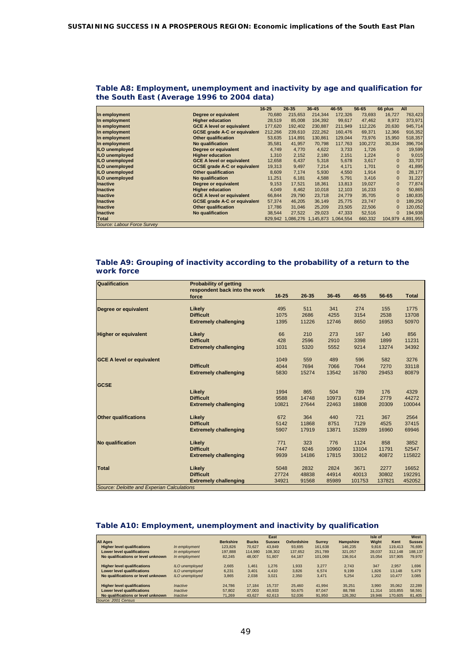|  | Table A8: Employment, unemployment and inactivity by age and qualification for |  |  |
|--|--------------------------------------------------------------------------------|--|--|
|  | the South East (Average 1996 to 2004 data)                                     |  |  |

|                             |                                     | $16 - 25$ | 26-35             | $36 - 45$ | 46-55               | 56-65   | 66 plus      | All       |
|-----------------------------|-------------------------------------|-----------|-------------------|-----------|---------------------|---------|--------------|-----------|
| In employment               | Degree or equivalent                | 70,680    | 215,653           | 214,344   | 172,326             | 73,693  | 16,727       | 763,423   |
| In employment               | <b>Higher education</b>             | 28,519    | 85,008            | 104,392   | 99,617              | 47,462  | 8,972        | 373,971   |
| In employment               | <b>GCE A level or equivalent</b>    | 177,620   | 192.402           | 230.887   | 211,949             | 112,226 | 20,630       | 945,714   |
| In employment               | <b>GCSE grade A-C or equivalent</b> | 212,266   | 239.610           | 222.262   | 160,476             | 69,371  | 12,366       | 916,352   |
| In employment               | Other qualification                 | 53,635    | 114,891           | 130,861   | 129,044             | 73,976  | 15,950       | 518,357   |
| In employment               | No qualification                    | 35,581    | 41.957            | 70.798    | 117.763             | 100.272 | 30.334       | 396,704   |
| ILO unemployed              | Degree or equivalent                | 4,749     | 4,770             | 4,622     | 3,733               | 1,726   | $\Omega$     | 19,599    |
| <b>ILO</b> unemployed       | <b>Higher education</b>             | 1.310     | 2,152             | 2,180     | 2,151               | 1,224   | $\mathbf{0}$ | 9,015     |
| <b>ILO</b> unemployed       | <b>GCE A level or equivalent</b>    | 12,658    | 6,437             | 5,318     | 5,678               | 3,617   | $\mathbf{0}$ | 33,707    |
| <b>ILO</b> unemployed       | <b>GCSE grade A-C or equivalent</b> | 19,313    | 9,497             | 7,214     | 4,171               | 1,701   | $\mathbf{0}$ | 41,895    |
| <b>ILO</b> unemployed       | <b>Other qualification</b>          | 8,609     | 7,174             | 5,930     | 4,550               | 1,914   | 0            | 28,177    |
| <b>ILO</b> unemployed       | No qualification                    | 11,251    | 6,181             | 4,588     | 5,791               | 3,416   | $\mathbf{0}$ | 31,227    |
| <b>Inactive</b>             | Degree or equivalent                | 9,153     | 17,521            | 18,361    | 13,813              | 19,027  | $\mathbf{0}$ | 77,874    |
| <b>Inactive</b>             | <b>Higher education</b>             | 4,049     | 8.462             | 10.018    | 12,103              | 16,233  | $\mathbf{0}$ | 50,865    |
| <b>Inactive</b>             | <b>GCE A level or equivalent</b>    | 66,844    | 29,790            | 23,718    | 24,779              | 35,705  |              | 180,835   |
| <b>Inactive</b>             | <b>GCSE grade A-C or equivalent</b> | 57,374    | 46,205            | 36,149    | 25,775              | 23,747  | $\mathbf{0}$ | 189,250   |
| <b>Inactive</b>             | <b>Other qualification</b>          | 17,786    | 31.046            | 25,209    | 23,505              | 22,506  | $\Omega$     | 120,052   |
| <b>Inactive</b>             | No qualification                    | 38,544    | 27,522            | 29,023    | 47,333              | 52,516  | $\mathbf{0}$ | 194,938   |
| <b>Total</b>                |                                     |           | 829.942 1.086.276 |           | 1,145,873 1,064,554 | 660,332 | 104,979      | 4,891,955 |
| Source: Labour Force Survey |                                     |           |                   |           |                     |         |              |           |

#### **Table A9: Grouping of inactivity according to the probability of a return to the work force**

| Qualification                              | <b>Probability of getting</b> |           |       |       |        |        |              |
|--------------------------------------------|-------------------------------|-----------|-------|-------|--------|--------|--------------|
|                                            | respondent back into the work |           |       |       |        |        |              |
|                                            | force                         | $16 - 25$ | 26-35 | 36-45 | 46-55  | 56-65  | <b>Total</b> |
|                                            |                               |           |       |       |        |        |              |
| Degree or equivalent                       | Likely                        | 495       | 511   | 341   | 274    | 155    | 1775         |
|                                            | <b>Difficult</b>              | 1075      | 2686  | 4255  | 3154   | 2538   | 13708        |
|                                            | <b>Extremely challenging</b>  | 1395      | 11226 | 12746 | 8650   | 16953  | 50970        |
| <b>Higher or equivalent</b>                | Likely                        | 66        | 210   | 273   | 167    | 140    | 856          |
|                                            | <b>Difficult</b>              | 428       | 2596  | 2910  | 3398   | 1899   | 11231        |
|                                            | <b>Extremely challenging</b>  | 1031      | 5320  | 5552  | 9214   | 13274  | 34392        |
|                                            |                               |           |       |       |        |        |              |
| <b>GCE A level or equivalent</b>           |                               | 1049      | 559   | 489   | 596    | 582    | 3276         |
|                                            | <b>Difficult</b>              | 4044      | 7694  | 7066  | 7044   | 7270   | 33118        |
|                                            | <b>Extremely challenging</b>  | 5830      | 15274 | 13542 | 16780  | 29453  | 80879        |
| <b>GCSE</b>                                |                               |           |       |       |        |        |              |
|                                            | Likely                        | 1994      | 865   | 504   | 789    | 176    | 4329         |
|                                            | <b>Difficult</b>              | 9588      | 14748 | 10973 | 6184   | 2779   | 44272        |
|                                            | <b>Extremely challenging</b>  | 10821     | 27644 | 22463 | 18808  | 20309  | 100044       |
| <b>Other qualifications</b>                | Likely                        | 672       | 364   | 440   | 721    | 367    | 2564         |
|                                            | <b>Difficult</b>              | 5142      | 11868 | 8751  | 7129   | 4525   | 37415        |
|                                            | <b>Extremely challenging</b>  | 5907      | 17919 | 13871 | 15289  | 16960  | 69946        |
| <b>No qualification</b>                    | Likely                        | 771       | 323   | 776   | 1124   | 858    | 3852         |
|                                            | <b>Difficult</b>              | 7447      | 9246  | 10960 | 13104  | 11791  | 52547        |
|                                            | <b>Extremely challenging</b>  | 9939      | 14186 | 17815 | 33012  | 40872  | 115822       |
|                                            |                               |           |       |       |        |        |              |
| <b>Total</b>                               | Likely                        | 5048      | 2832  | 2824  | 3671   | 2277   | 16652        |
|                                            | <b>Difficult</b>              | 27724     | 48838 | 44914 | 40013  | 30802  | 192291       |
| Source: Deloitte and Experian Calculations | <b>Extremely challenging</b>  | 34921     | 91568 | 85989 | 101753 | 137821 | 452052       |

### **Table A10: Employment, unemployment and inactivity by qualification**

|                                    |                |                  |              | East          |             |               |                  | Isle of |         | West          |
|------------------------------------|----------------|------------------|--------------|---------------|-------------|---------------|------------------|---------|---------|---------------|
| <b>All Ages</b>                    |                | <b>Berkshire</b> | <b>Bucks</b> | <b>Sussex</b> | Oxfordshire | <b>Surrey</b> | <b>Hampshire</b> | Wight   | Kent    | <b>Sussex</b> |
| <b>Higher level qualifications</b> | In employment  | 123.826          | 70.627       | 43.849        | 93.695      | 161.638       | 146.235          | 9.816   | 119,413 | 76.695        |
| <b>Lower level qualifications</b>  | In employment  | 197.888          | 114.980      | 108.302       | 137.652     | 251,789       | 321.057          | 28.037  | 312.148 | 188.137       |
| No qualifications or level unknown | In employment  | 82.245           | 48,007       | 51.807        | 64.187      | 101.069       | 136.914          | 15.054  | 157.905 | 79.970        |
| <b>Higher level qualifications</b> | ILO unemployed | 2.665            | 1.461        | 1.276         | 1.933       | 3.277         | 2.743            | 347     | 2.957   | 1,696         |
| <b>Lower level qualifications</b>  | ILO unemployed | 6.231            | 3.401        | 4.410         | 3.826       | 6.574         | 9.199            | 1.826   | 13.148  | 5.479         |
| No qualifications or level unknown | ILO unemployed | 3.865            | 2.038        | 3.021         | 2.350       | 3.471         | 5.254            | 1.202   | 10.477  | 3,085         |
| <b>Higher level qualifications</b> | Inactive       | 24,786           | 17.184       | 15.737        | 25.460      | 41.994        | 35.251           | 3.990   | 35,062  | 22.289        |
| Lower level qualifications         | Inactive       | 57,802           | 37,003       | 40.933        | 50.675      | 87,047        | 88.788           | 11.314  | 103.855 | 58,591        |
| No qualifications or level unknown | Inactive       | 71.269           | 43.627       | 62.613        | 52,036      | 91,950        | 126,392          | 19.946  | 170.605 | 81,405        |
| Source: 2001 Census                |                |                  |              |               |             |               |                  |         |         |               |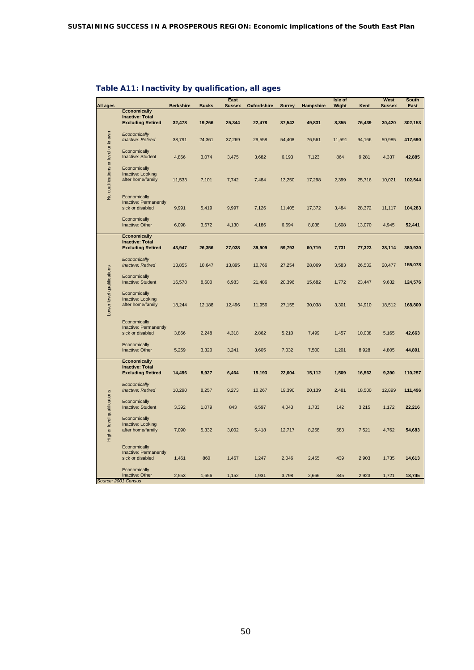| All ages                           |                                                                           | <b>Berkshire</b> | <b>Bucks</b> | East<br><b>Sussex</b> | Oxfordshire | <b>Surrey</b> | Hampshire | Isle of<br>Wight | Kent   | West<br><b>Sussex</b> | <b>South</b><br>East |
|------------------------------------|---------------------------------------------------------------------------|------------------|--------------|-----------------------|-------------|---------------|-----------|------------------|--------|-----------------------|----------------------|
|                                    | <b>Economically</b>                                                       |                  |              |                       |             |               |           |                  |        |                       |                      |
|                                    | <b>Inactive: Total</b><br><b>Excluding Retired</b>                        | 32,478           | 19,266       | 25,344                | 22,478      | 37,542        | 49,831    | 8,355            | 76,439 | 30,420                | 302,153              |
|                                    | Economically<br><b>Inactive: Retired</b>                                  | 38,791           | 24,361       | 37,269                | 29,558      | 54,408        | 76,561    | 11,591           | 94,166 | 50,985                | 417,690              |
|                                    | Economically<br><b>Inactive: Student</b>                                  | 4,856            | 3,074        | 3,475                 | 3,682       | 6,193         | 7,123     | 864              | 9,281  | 4,337                 | 42,885               |
| No qualifications or level unknown | Economically<br>Inactive: Looking<br>after home/family                    | 11,533           | 7,101        | 7,742                 | 7,484       | 13,250        | 17,298    | 2,399            | 25,716 | 10,021                | 102,544              |
|                                    | Economically<br>Inactive: Permanently<br>sick or disabled                 | 9,991            | 5,419        | 9,997                 | 7,126       | 11,405        | 17,372    | 3,484            | 28,372 | 11,117                | 104,283              |
|                                    | Economically<br>Inactive: Other                                           | 6,098            | 3,672        | 4,130                 | 4,186       | 6,694         | 8,038     | 1,608            | 13,070 | 4,945                 | 52,441               |
|                                    | <b>Economically</b><br><b>Inactive: Total</b><br><b>Excluding Retired</b> | 43,947           | 26,356       | 27,038                | 39,909      | 59,793        | 60,719    | 7,731            | 77,323 | 38,114                | 380,930              |
|                                    | Economically<br><b>Inactive: Retired</b>                                  | 13,855           | 10,647       | 13,895                | 10,766      | 27,254        | 28,069    | 3,583            | 26,532 | 20,477                | 155,078              |
|                                    | Economically<br>Inactive: Student                                         | 16,578           | 8,600        | 6,983                 | 21,486      | 20,396        | 15,682    | 1,772            | 23,447 | 9,632                 | 124,576              |
| Lower level qualifications         | Economically<br>Inactive: Looking<br>after home/family                    | 18,244           | 12,188       | 12,496                | 11,956      | 27,155        | 30,038    | 3,301            | 34,910 | 18,512                | 168,800              |
|                                    | Economically<br>Inactive: Permanently<br>sick or disabled                 | 3,866            | 2,248        | 4,318                 | 2,862       | 5,210         | 7,499     | 1,457            | 10,038 | 5,165                 | 42,663               |
|                                    | Economically<br>Inactive: Other                                           | 5,259            | 3,320        | 3,241                 | 3,605       | 7,032         | 7,500     | 1,201            | 8,928  | 4,805                 | 44,891               |
|                                    | <b>Economically</b><br><b>Inactive: Total</b><br><b>Excluding Retired</b> | 14,496           | 8,927        | 6,464                 | 15,193      | 22,604        | 15,112    | 1,509            | 16,562 | 9,390                 | 110,257              |
|                                    | Economically<br>Inactive: Retired                                         | 10,290           | 8,257        | 9,273                 | 10,267      | 19,390        | 20,139    | 2,481            | 18,500 | 12,899                | 111,496              |
|                                    | Economically<br><b>Inactive: Student</b>                                  | 3,392            | 1,079        | 843                   | 6,597       | 4,043         | 1,733     | 142              | 3,215  | 1,172                 | 22,216               |
| Higher level qualifications        | Economically<br>Inactive: Looking<br>after home/family                    | 7,090            | 5,332        | 3,002                 | 5,418       | 12,717        | 8,258     | 583              | 7,521  | 4,762                 | 54,683               |
|                                    | Economically<br>Inactive: Permanently<br>sick or disabled                 | 1,461            | 860          | 1,467                 | 1,247       | 2,046         | 2,455     | 439              | 2,903  | 1,735                 | 14,613               |
|                                    | Economically<br>Inactive: Other                                           | 2,553            | 1,656        | 1,152                 | 1,931       | 3,798         | 2,666     | 345              | 2,923  | 1,721                 | 18,745               |
|                                    | Source: 2001 Census                                                       |                  |              |                       |             |               |           |                  |        |                       |                      |

# **Table A11: Inactivity by qualification, all ages**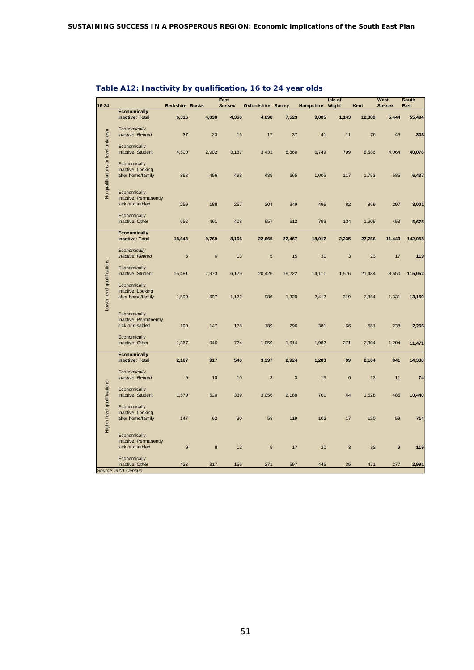| Hampshire Wight<br><b>Berkshire Bucks</b><br><b>Oxfordshire Surrey</b><br><b>Economically</b><br><b>Inactive: Total</b><br>6,316<br>4,030<br>4,366<br>4,698<br>7,523<br>9,085<br>1,143<br>12,889<br>5,444<br>Economically<br>No qualifications or level unknown<br>Inactive: Retired<br>37<br>17<br>11<br>76<br>303<br>23<br>16<br>37<br>41<br>45<br>Economically<br>Inactive: Student<br>4,500<br>2,902<br>3,187<br>3,431<br>5,860<br>6,749<br>799<br>8,586<br>4,064<br>Economically<br>Inactive: Looking<br>after home/family<br>498<br>489<br>868<br>456<br>665<br>1,006<br>117<br>1,753<br>585<br>Economically<br>Inactive: Permanently<br>sick or disabled<br>257<br>204<br>349<br>496<br>82<br>869<br>297<br>3,001<br>259<br>188<br>Economically<br>Inactive: Other<br>652<br>461<br>408<br>557<br>793<br>134<br>1,605<br>453<br>612<br><b>Economically</b><br>142,058<br><b>Inactive: Total</b><br>18,643<br>9,769<br>8,166<br>22,665<br>22,467<br>18,917<br>2,235<br>27,756<br>11,440<br>Economically<br>Inactive: Retired<br>6<br>$6\phantom{1}$<br>13<br>$\overline{5}$<br>31<br>3<br>23<br>17<br>15<br>Lower level qualifications<br>Economically<br>Inactive: Student<br>15,481<br>7,973<br>6,129<br>20,426<br>19,222<br>14,111<br>1,576<br>21,484<br>8,650<br>Economically<br>Inactive: Looking<br>after home/family<br>1,599<br>697<br>1,122<br>1,320<br>1,331<br>986<br>2,412<br>319<br>3,364<br>Economically<br>Inactive: Permanently<br>sick or disabled<br>178<br>296<br>381<br>190<br>147<br>189<br>66<br>581<br>238<br>Economically<br>Inactive: Other<br>1,367<br>946<br>724<br>1,059<br>1,614<br>1,982<br>271<br>2,304<br>1,204<br>11,471<br><b>Economically</b><br><b>Inactive: Total</b><br>917<br>2,167<br>546<br>3,397<br>2,924<br>1,283<br>99<br>2,164<br>841<br>Economically<br><b>Inactive: Retired</b><br>9<br>10<br>10<br>$\sqrt{3}$<br>$\sqrt{3}$<br>15<br>$\pmb{0}$<br>13<br>11<br>Higher level qualifications<br>Economically<br>Inactive: Student<br>1,579<br>520<br>339<br>3,056<br>701<br>44<br>1,528<br>485<br>2,188<br>Economically<br>Inactive: Looking<br>17<br>after home/family<br>147<br>62<br>30<br>58<br>119<br>102<br>120<br>59<br>Economically<br>Inactive: Permanently<br>$\bf8$<br>sick or disabled<br>9<br>12<br>$\boldsymbol{9}$<br>17<br>20<br>$\sqrt{3}$<br>32<br>9<br>Economically<br>Inactive: Other<br>423<br>317<br>155<br>271<br>597<br>445<br>471<br>2,991<br>35<br>277<br>Source: 2001 Census |           |  | East          |  | Isle of |      | West          | <b>South</b> |
|------------------------------------------------------------------------------------------------------------------------------------------------------------------------------------------------------------------------------------------------------------------------------------------------------------------------------------------------------------------------------------------------------------------------------------------------------------------------------------------------------------------------------------------------------------------------------------------------------------------------------------------------------------------------------------------------------------------------------------------------------------------------------------------------------------------------------------------------------------------------------------------------------------------------------------------------------------------------------------------------------------------------------------------------------------------------------------------------------------------------------------------------------------------------------------------------------------------------------------------------------------------------------------------------------------------------------------------------------------------------------------------------------------------------------------------------------------------------------------------------------------------------------------------------------------------------------------------------------------------------------------------------------------------------------------------------------------------------------------------------------------------------------------------------------------------------------------------------------------------------------------------------------------------------------------------------------------------------------------------------------------------------------------------------------------------------------------------------------------------------------------------------------------------------------------------------------------------------------------------------------------------------------------------------------------------------------------------------------------------------------------------------------------------------------------------------------------|-----------|--|---------------|--|---------|------|---------------|--------------|
|                                                                                                                                                                                                                                                                                                                                                                                                                                                                                                                                                                                                                                                                                                                                                                                                                                                                                                                                                                                                                                                                                                                                                                                                                                                                                                                                                                                                                                                                                                                                                                                                                                                                                                                                                                                                                                                                                                                                                                                                                                                                                                                                                                                                                                                                                                                                                                                                                                                            | $16 - 24$ |  | <b>Sussex</b> |  |         | Kent | <b>Sussex</b> | East         |
|                                                                                                                                                                                                                                                                                                                                                                                                                                                                                                                                                                                                                                                                                                                                                                                                                                                                                                                                                                                                                                                                                                                                                                                                                                                                                                                                                                                                                                                                                                                                                                                                                                                                                                                                                                                                                                                                                                                                                                                                                                                                                                                                                                                                                                                                                                                                                                                                                                                            |           |  |               |  |         |      |               | 55,494       |
|                                                                                                                                                                                                                                                                                                                                                                                                                                                                                                                                                                                                                                                                                                                                                                                                                                                                                                                                                                                                                                                                                                                                                                                                                                                                                                                                                                                                                                                                                                                                                                                                                                                                                                                                                                                                                                                                                                                                                                                                                                                                                                                                                                                                                                                                                                                                                                                                                                                            |           |  |               |  |         |      |               |              |
|                                                                                                                                                                                                                                                                                                                                                                                                                                                                                                                                                                                                                                                                                                                                                                                                                                                                                                                                                                                                                                                                                                                                                                                                                                                                                                                                                                                                                                                                                                                                                                                                                                                                                                                                                                                                                                                                                                                                                                                                                                                                                                                                                                                                                                                                                                                                                                                                                                                            |           |  |               |  |         |      |               |              |
|                                                                                                                                                                                                                                                                                                                                                                                                                                                                                                                                                                                                                                                                                                                                                                                                                                                                                                                                                                                                                                                                                                                                                                                                                                                                                                                                                                                                                                                                                                                                                                                                                                                                                                                                                                                                                                                                                                                                                                                                                                                                                                                                                                                                                                                                                                                                                                                                                                                            |           |  |               |  |         |      |               | 40,078       |
|                                                                                                                                                                                                                                                                                                                                                                                                                                                                                                                                                                                                                                                                                                                                                                                                                                                                                                                                                                                                                                                                                                                                                                                                                                                                                                                                                                                                                                                                                                                                                                                                                                                                                                                                                                                                                                                                                                                                                                                                                                                                                                                                                                                                                                                                                                                                                                                                                                                            |           |  |               |  |         |      |               | 6,437        |
|                                                                                                                                                                                                                                                                                                                                                                                                                                                                                                                                                                                                                                                                                                                                                                                                                                                                                                                                                                                                                                                                                                                                                                                                                                                                                                                                                                                                                                                                                                                                                                                                                                                                                                                                                                                                                                                                                                                                                                                                                                                                                                                                                                                                                                                                                                                                                                                                                                                            |           |  |               |  |         |      |               |              |
|                                                                                                                                                                                                                                                                                                                                                                                                                                                                                                                                                                                                                                                                                                                                                                                                                                                                                                                                                                                                                                                                                                                                                                                                                                                                                                                                                                                                                                                                                                                                                                                                                                                                                                                                                                                                                                                                                                                                                                                                                                                                                                                                                                                                                                                                                                                                                                                                                                                            |           |  |               |  |         |      |               | 5,675        |
|                                                                                                                                                                                                                                                                                                                                                                                                                                                                                                                                                                                                                                                                                                                                                                                                                                                                                                                                                                                                                                                                                                                                                                                                                                                                                                                                                                                                                                                                                                                                                                                                                                                                                                                                                                                                                                                                                                                                                                                                                                                                                                                                                                                                                                                                                                                                                                                                                                                            |           |  |               |  |         |      |               |              |
|                                                                                                                                                                                                                                                                                                                                                                                                                                                                                                                                                                                                                                                                                                                                                                                                                                                                                                                                                                                                                                                                                                                                                                                                                                                                                                                                                                                                                                                                                                                                                                                                                                                                                                                                                                                                                                                                                                                                                                                                                                                                                                                                                                                                                                                                                                                                                                                                                                                            |           |  |               |  |         |      |               |              |
|                                                                                                                                                                                                                                                                                                                                                                                                                                                                                                                                                                                                                                                                                                                                                                                                                                                                                                                                                                                                                                                                                                                                                                                                                                                                                                                                                                                                                                                                                                                                                                                                                                                                                                                                                                                                                                                                                                                                                                                                                                                                                                                                                                                                                                                                                                                                                                                                                                                            |           |  |               |  |         |      |               | 119          |
|                                                                                                                                                                                                                                                                                                                                                                                                                                                                                                                                                                                                                                                                                                                                                                                                                                                                                                                                                                                                                                                                                                                                                                                                                                                                                                                                                                                                                                                                                                                                                                                                                                                                                                                                                                                                                                                                                                                                                                                                                                                                                                                                                                                                                                                                                                                                                                                                                                                            |           |  |               |  |         |      |               | 115,052      |
|                                                                                                                                                                                                                                                                                                                                                                                                                                                                                                                                                                                                                                                                                                                                                                                                                                                                                                                                                                                                                                                                                                                                                                                                                                                                                                                                                                                                                                                                                                                                                                                                                                                                                                                                                                                                                                                                                                                                                                                                                                                                                                                                                                                                                                                                                                                                                                                                                                                            |           |  |               |  |         |      |               | 13,150       |
|                                                                                                                                                                                                                                                                                                                                                                                                                                                                                                                                                                                                                                                                                                                                                                                                                                                                                                                                                                                                                                                                                                                                                                                                                                                                                                                                                                                                                                                                                                                                                                                                                                                                                                                                                                                                                                                                                                                                                                                                                                                                                                                                                                                                                                                                                                                                                                                                                                                            |           |  |               |  |         |      |               | 2,266        |
|                                                                                                                                                                                                                                                                                                                                                                                                                                                                                                                                                                                                                                                                                                                                                                                                                                                                                                                                                                                                                                                                                                                                                                                                                                                                                                                                                                                                                                                                                                                                                                                                                                                                                                                                                                                                                                                                                                                                                                                                                                                                                                                                                                                                                                                                                                                                                                                                                                                            |           |  |               |  |         |      |               |              |
|                                                                                                                                                                                                                                                                                                                                                                                                                                                                                                                                                                                                                                                                                                                                                                                                                                                                                                                                                                                                                                                                                                                                                                                                                                                                                                                                                                                                                                                                                                                                                                                                                                                                                                                                                                                                                                                                                                                                                                                                                                                                                                                                                                                                                                                                                                                                                                                                                                                            |           |  |               |  |         |      |               | 14,338       |
|                                                                                                                                                                                                                                                                                                                                                                                                                                                                                                                                                                                                                                                                                                                                                                                                                                                                                                                                                                                                                                                                                                                                                                                                                                                                                                                                                                                                                                                                                                                                                                                                                                                                                                                                                                                                                                                                                                                                                                                                                                                                                                                                                                                                                                                                                                                                                                                                                                                            |           |  |               |  |         |      |               | 74           |
|                                                                                                                                                                                                                                                                                                                                                                                                                                                                                                                                                                                                                                                                                                                                                                                                                                                                                                                                                                                                                                                                                                                                                                                                                                                                                                                                                                                                                                                                                                                                                                                                                                                                                                                                                                                                                                                                                                                                                                                                                                                                                                                                                                                                                                                                                                                                                                                                                                                            |           |  |               |  |         |      |               | 10,440       |
|                                                                                                                                                                                                                                                                                                                                                                                                                                                                                                                                                                                                                                                                                                                                                                                                                                                                                                                                                                                                                                                                                                                                                                                                                                                                                                                                                                                                                                                                                                                                                                                                                                                                                                                                                                                                                                                                                                                                                                                                                                                                                                                                                                                                                                                                                                                                                                                                                                                            |           |  |               |  |         |      |               | 714          |
|                                                                                                                                                                                                                                                                                                                                                                                                                                                                                                                                                                                                                                                                                                                                                                                                                                                                                                                                                                                                                                                                                                                                                                                                                                                                                                                                                                                                                                                                                                                                                                                                                                                                                                                                                                                                                                                                                                                                                                                                                                                                                                                                                                                                                                                                                                                                                                                                                                                            |           |  |               |  |         |      |               | 119          |
|                                                                                                                                                                                                                                                                                                                                                                                                                                                                                                                                                                                                                                                                                                                                                                                                                                                                                                                                                                                                                                                                                                                                                                                                                                                                                                                                                                                                                                                                                                                                                                                                                                                                                                                                                                                                                                                                                                                                                                                                                                                                                                                                                                                                                                                                                                                                                                                                                                                            |           |  |               |  |         |      |               |              |

# **Table A12: Inactivity by qualification, 16 to 24 year olds**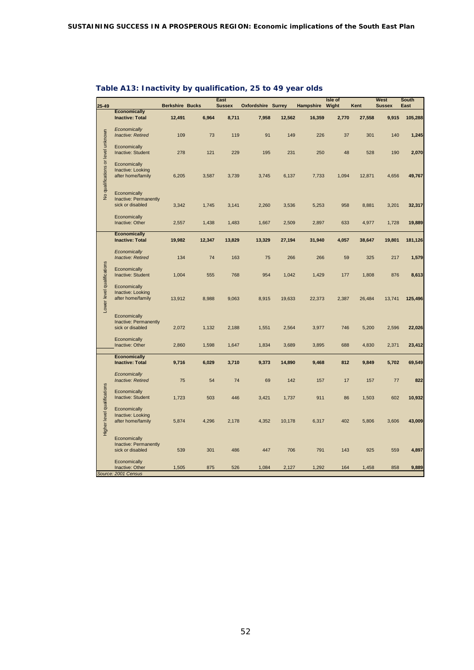| $25 - 49$                          |                                           | <b>Berkshire Bucks</b> |        | East<br><b>Sussex</b> | <b>Oxfordshire Surrey</b> |        | Hampshire | Isle of<br>Wight | Kent   | West<br><b>Sussex</b> | South<br>East |
|------------------------------------|-------------------------------------------|------------------------|--------|-----------------------|---------------------------|--------|-----------|------------------|--------|-----------------------|---------------|
|                                    | <b>Economically</b>                       |                        |        |                       |                           |        |           |                  |        |                       |               |
|                                    | <b>Inactive: Total</b>                    | 12,491                 | 6,964  | 8,711                 | 7,958                     | 12,562 | 16,359    | 2,770            | 27,558 | 9,915                 | 105,288       |
|                                    | Economically                              |                        |        |                       |                           |        |           |                  |        |                       |               |
|                                    | Inactive: Retired                         | 109                    | 73     | 119                   | 91                        | 149    | 226       | 37               | 301    | 140                   | 1,245         |
|                                    |                                           |                        |        |                       |                           |        |           |                  |        |                       |               |
|                                    | Economically                              |                        |        | 229                   |                           |        |           |                  |        |                       |               |
|                                    | Inactive: Student                         | 278                    | 121    |                       | 195                       | 231    | 250       | 48               | 528    | 190                   | 2,070         |
|                                    | Economically                              |                        |        |                       |                           |        |           |                  |        |                       |               |
|                                    | Inactive: Looking                         |                        |        |                       |                           |        |           |                  |        |                       |               |
|                                    | after home/family                         | 6,205                  | 3,587  | 3,739                 | 3,745                     | 6,137  | 7,733     | 1,094            | 12,871 | 4,656                 | 49,767        |
| No qualifications or level unknown |                                           |                        |        |                       |                           |        |           |                  |        |                       |               |
|                                    | Economically                              |                        |        |                       |                           |        |           |                  |        |                       |               |
|                                    | Inactive: Permanently<br>sick or disabled | 3,342                  | 1,745  | 3,141                 | 2,260                     | 3,536  | 5,253     | 958              | 8,881  | 3,201                 | 32,317        |
|                                    |                                           |                        |        |                       |                           |        |           |                  |        |                       |               |
|                                    | Economically                              |                        |        |                       |                           |        |           |                  |        |                       |               |
|                                    | Inactive: Other                           | 2,557                  | 1,438  | 1,483                 | 1,667                     | 2,509  | 2,897     | 633              | 4,977  | 1,728                 | 19,889        |
|                                    | <b>Economically</b>                       |                        |        |                       |                           |        |           |                  |        |                       |               |
|                                    | <b>Inactive: Total</b>                    | 19,982                 | 12,347 | 13,829                | 13,329                    | 27,194 | 31,940    | 4,057            | 38,647 | 19,801                | 181,126       |
|                                    |                                           |                        |        |                       |                           |        |           |                  |        |                       |               |
|                                    | Economically<br>Inactive: Retired         | 134                    | 74     | 163                   | 75                        | 266    | 266       | 59               | 325    | 217                   | 1,579         |
|                                    |                                           |                        |        |                       |                           |        |           |                  |        |                       |               |
|                                    | Economically                              |                        |        |                       |                           |        |           |                  |        |                       |               |
|                                    | Inactive: Student                         | 1,004                  | 555    | 768                   | 954                       | 1,042  | 1,429     | 177              | 1,808  | 876                   | 8,613         |
|                                    | Economically                              |                        |        |                       |                           |        |           |                  |        |                       |               |
|                                    | Inactive: Looking                         |                        |        |                       |                           |        |           |                  |        |                       |               |
|                                    | after home/family                         | 13,912                 | 8,988  | 9,063                 | 8,915                     | 19,633 | 22,373    | 2,387            | 26,484 | 13,741                | 125,496       |
| Lower level qualifications         |                                           |                        |        |                       |                           |        |           |                  |        |                       |               |
|                                    | Economically                              |                        |        |                       |                           |        |           |                  |        |                       |               |
|                                    | Inactive: Permanently                     |                        |        |                       |                           |        |           |                  |        |                       |               |
|                                    | sick or disabled                          | 2,072                  | 1,132  | 2,188                 | 1,551                     | 2,564  | 3,977     | 746              | 5,200  | 2,596                 | 22,026        |
|                                    | Economically                              |                        |        |                       |                           |        |           |                  |        |                       |               |
|                                    | Inactive: Other                           | 2,860                  | 1,598  | 1,647                 | 1,834                     | 3,689  | 3,895     | 688              | 4,830  | 2,371                 | 23,412        |
|                                    | <b>Economically</b>                       |                        |        |                       |                           |        |           |                  |        |                       |               |
|                                    | <b>Inactive: Total</b>                    | 9,716                  | 6,029  | 3,710                 | 9,373                     | 14,890 | 9,468     | 812              | 9,849  | 5,702                 | 69,549        |
|                                    |                                           |                        |        |                       |                           |        |           |                  |        |                       |               |
|                                    | Economically<br>Inactive: Retired         | 75                     | 54     | 74                    | 69                        | 142    | 157       | 17               | 157    | 77                    | 822           |
|                                    |                                           |                        |        |                       |                           |        |           |                  |        |                       |               |
|                                    | Economically                              |                        |        |                       |                           |        |           |                  |        |                       |               |
|                                    | Inactive: Student                         | 1,723                  | 503    | 446                   | 3,421                     | 1,737  | 911       | 86               | 1,503  | 602                   | 10,932        |
|                                    | Economically                              |                        |        |                       |                           |        |           |                  |        |                       |               |
|                                    | Inactive: Looking                         |                        |        |                       |                           |        |           |                  |        |                       |               |
|                                    | after home/family                         | 5,874                  | 4,296  | 2,178                 | 4,352                     | 10,178 | 6,317     | 402              | 5,806  | 3,606                 | 43,009        |
| Higher level qualifications        |                                           |                        |        |                       |                           |        |           |                  |        |                       |               |
|                                    | Economically                              |                        |        |                       |                           |        |           |                  |        |                       |               |
|                                    | Inactive: Permanently                     |                        |        |                       |                           |        |           |                  |        |                       |               |
|                                    | sick or disabled                          | 539                    | 301    | 486                   | 447                       | 706    | 791       | 143              | 925    | 559                   | 4,897         |
|                                    | Economically                              |                        |        |                       |                           |        |           |                  |        |                       |               |
|                                    | Inactive: Other                           | 1,505                  | 875    | 526                   | 1,084                     | 2,127  | 1,292     | 164              | 1,458  | 858                   | 9,889         |
|                                    | Source: 2001 Census                       |                        |        |                       |                           |        |           |                  |        |                       |               |

# **Table A13: Inactivity by qualification, 25 to 49 year olds**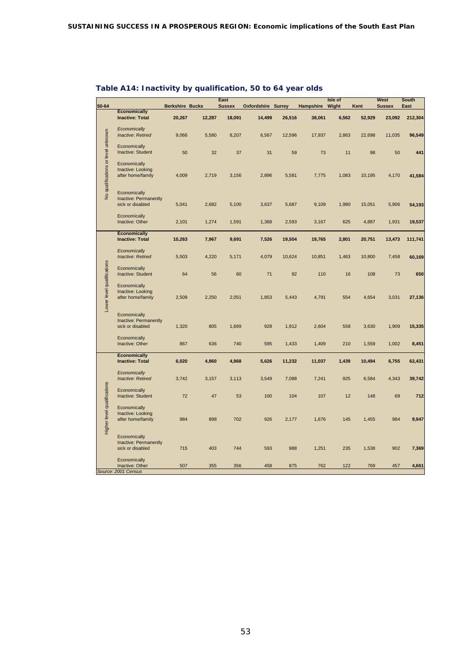| 50-64                              |                                           | <b>Berkshire Bucks</b> |        | East<br><b>Sussex</b> | <b>Oxfordshire Surrey</b> |        | Hampshire | Isle of<br>Wight | Kent   | West<br><b>Sussex</b> | South<br>East |
|------------------------------------|-------------------------------------------|------------------------|--------|-----------------------|---------------------------|--------|-----------|------------------|--------|-----------------------|---------------|
|                                    | <b>Economically</b>                       |                        |        |                       |                           |        |           |                  |        |                       |               |
|                                    | <b>Inactive: Total</b>                    | 20,267                 | 12,287 | 18,091                | 14,499                    | 26,516 | 38,061    | 6,562            | 52,929 | 23,092                | 212,304       |
|                                    | Economically                              |                        |        |                       |                           |        |           |                  |        |                       |               |
|                                    | Inactive: Retired                         | 9,066                  | 5,580  | 8,207                 | 6,567                     | 12,596 | 17,937    | 2,863            | 22,698 | 11,035                | 96,549        |
|                                    | Economically                              |                        |        |                       |                           |        |           |                  |        |                       |               |
| No qualifications or level unknown | Inactive: Student                         | 50                     | 32     | 37                    | 31                        | 59     | 73        | 11               | 98     | 50                    | 441           |
|                                    | Economically                              |                        |        |                       |                           |        |           |                  |        |                       |               |
|                                    | Inactive: Looking                         |                        |        |                       |                           |        |           |                  |        |                       |               |
|                                    | after home/family                         | 4,009                  | 2,719  | 3,156                 | 2,896                     | 5,581  | 7,775     | 1,083            | 10,195 | 4,170                 | 41,584        |
|                                    |                                           |                        |        |                       |                           |        |           |                  |        |                       |               |
|                                    |                                           |                        |        |                       |                           |        |           |                  |        |                       |               |
|                                    | Economically                              |                        |        |                       |                           |        |           |                  |        |                       |               |
|                                    | Inactive: Permanently<br>sick or disabled | 5,041                  |        | 5,100                 |                           |        |           |                  | 15,051 | 5,906                 | 54,193        |
|                                    |                                           |                        | 2,682  |                       | 3,637                     | 5,687  | 9,109     | 1,980            |        |                       |               |
|                                    | Economically                              |                        |        |                       |                           |        |           |                  |        |                       |               |
|                                    | Inactive: Other                           | 2,101                  | 1,274  | 1,591                 | 1,368                     | 2,593  | 3,167     | 625              | 4,887  | 1,931                 | 19,537        |
|                                    |                                           |                        |        |                       |                           |        |           |                  |        |                       |               |
|                                    | <b>Economically</b>                       |                        |        |                       |                           |        |           |                  |        |                       |               |
|                                    | <b>Inactive: Total</b>                    | 10,263                 | 7,967  | 9,691                 | 7,526                     | 19,504 | 19,765    | 2,801            | 20,751 | 13,473                | 111,741       |
|                                    | Economically                              |                        |        |                       |                           |        |           |                  |        |                       |               |
|                                    | Inactive: Retired                         | 5,503                  | 4,220  | 5,171                 | 4,079                     | 10,624 | 10,851    | 1,463            | 10,800 | 7,458                 | 60,169        |
|                                    |                                           |                        |        |                       |                           |        |           |                  |        |                       |               |
|                                    | Economically                              |                        |        |                       |                           |        |           |                  |        |                       |               |
|                                    | Inactive: Student                         | 64                     | 56     | 60                    | 71                        | 92     | 110       | 16               | 108    | 73                    | 650           |
| Lower level qualifications         |                                           |                        |        |                       |                           |        |           |                  |        |                       |               |
|                                    | Economically                              |                        |        |                       |                           |        |           |                  |        |                       |               |
|                                    | Inactive: Looking                         |                        |        |                       |                           |        |           |                  |        |                       |               |
|                                    | after home/family                         | 2,509                  | 2,250  | 2,051                 | 1,853                     | 5,443  | 4,791     | 554              | 4,654  | 3,031                 | 27,136        |
|                                    |                                           |                        |        |                       |                           |        |           |                  |        |                       |               |
|                                    | Economically                              |                        |        |                       |                           |        |           |                  |        |                       |               |
|                                    | Inactive: Permanently                     |                        |        |                       |                           |        |           |                  |        |                       |               |
|                                    | sick or disabled                          | 1,320                  | 805    | 1,669                 | 928                       | 1,912  | 2,604     | 558              | 3,630  | 1,909                 | 15,335        |
|                                    |                                           |                        |        |                       |                           |        |           |                  |        |                       |               |
|                                    | Economically                              |                        |        |                       |                           |        |           |                  |        |                       |               |
|                                    | Inactive: Other                           | 867                    | 636    | 740                   | 595                       | 1,433  | 1,409     | 210              | 1,559  | 1,002                 | 8,451         |
|                                    |                                           |                        |        |                       |                           |        |           |                  |        |                       |               |
|                                    | <b>Economically</b>                       |                        |        |                       |                           |        |           |                  |        |                       |               |
|                                    | <b>Inactive: Total</b>                    | 6,020                  | 4,860  | 4,968                 | 5,626                     | 11,232 | 11,037    | 1,439            | 10,494 | 6,755                 | 62,431        |
|                                    | Economically                              |                        |        |                       |                           |        |           |                  |        |                       |               |
|                                    | Inactive: Retired                         | 3,742                  | 3,157  | 3,113                 | 3,549                     | 7,088  | 7,241     | 925              | 6,584  | 4,343                 | 39,742        |
|                                    |                                           |                        |        |                       |                           |        |           |                  |        |                       |               |
|                                    | Economically                              |                        |        |                       |                           |        |           |                  |        |                       |               |
|                                    | Inactive: Student                         | 72                     | 47     | 53                    | 100                       | 104    | 107       | 12               | 148    | 69                    | 712           |
|                                    |                                           |                        |        |                       |                           |        |           |                  |        |                       |               |
|                                    | Economically                              |                        |        |                       |                           |        |           |                  |        |                       |               |
|                                    | Inactive: Looking                         |                        |        |                       |                           |        |           |                  |        |                       |               |
|                                    | after home/family                         | 984                    | 898    | 702                   | 926                       | 2,177  | 1,676     | 145              | 1,455  | 984                   | 9,947         |
| Higher level qualifications        |                                           |                        |        |                       |                           |        |           |                  |        |                       |               |
|                                    | Economically                              |                        |        |                       |                           |        |           |                  |        |                       |               |
|                                    | Inactive: Permanently                     |                        |        |                       |                           |        |           |                  |        |                       |               |
|                                    | sick or disabled                          | 715                    | 403    | 744                   | 593                       | 988    | 1,251     | 235              | 1,538  | 902                   | 7,369         |
|                                    |                                           |                        |        |                       |                           |        |           |                  |        |                       |               |
|                                    | Economically                              |                        |        |                       |                           |        |           |                  |        |                       |               |
|                                    | Inactive: Other                           | 507                    | 355    | 356                   | 458                       | 875    | 762       | 122              | 769    | 457                   | 4,661         |
|                                    | Source: 2001 Census                       |                        |        |                       |                           |        |           |                  |        |                       |               |

# **Table A14: Inactivity by qualification, 50 to 64 year olds**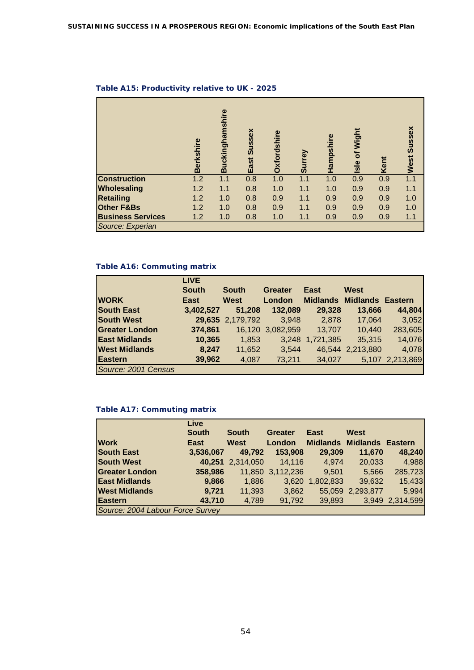|                          | <b>Berkshire</b> | nshire<br>uckingha<br>$\mathbf{m}$ | Sussex<br>East | rdshire<br>Oxfor | <b>Tey</b><br>ູ້ສ | Hampshire | Wight<br>$\overline{\sigma}$<br>$s$ le | Kent | Sussex<br>West |
|--------------------------|------------------|------------------------------------|----------------|------------------|-------------------|-----------|----------------------------------------|------|----------------|
| <b>Construction</b>      | 1.2              | 1.1                                | 0.8            | 1.0              | 1.1               | 1.0       | 0.9                                    | 0.9  | 1.1            |
| Wholesaling              | 1.2              | 1.1                                | 0.8            | 1.0              | 1.1               | 1.0       | 0.9                                    | 0.9  | 1.1            |
| <b>Retailing</b>         | 1.2              | 1.0                                | 0.8            | 0.9              | 1.1               | 0.9       | 0.9                                    | 0.9  | 1.0            |
| <b>Other F&amp;Bs</b>    | 1.2              | 1.0                                | 0.8            | 0.9              | 1.1               | 0.9       | 0.9                                    | 0.9  | 1.0            |
| <b>Business Services</b> | 1.2              | 1.0                                | 0.8            | 1.0              | 1.1               | 0.9       | 0.9                                    | 0.9  | 1.1            |
| Source: Experian         |                  |                                    |                |                  |                   |           |                                        |      |                |

#### **Table A15: Productivity relative to UK - 2025**

# **Table A16: Commuting matrix**

|                       | <b>LIVE</b>  |                  |                  |                 |                         |                 |
|-----------------------|--------------|------------------|------------------|-----------------|-------------------------|-----------------|
|                       | <b>South</b> | <b>South</b>     | <b>Greater</b>   | <b>East</b>     | West                    |                 |
| <b>WORK</b>           | <b>East</b>  | <b>West</b>      | London           | <b>Midlands</b> | <b>Midlands Eastern</b> |                 |
| <b>South East</b>     | 3,402,527    | 51,208           | 132,089          | 29,328          | 13,666                  | 44,804          |
| <b>South West</b>     |              | 29,635 2,179,792 | 3,948            | 2.878           | 17,064                  | 3,052           |
| <b>Greater London</b> | 374,861      |                  | 16,120 3,082,959 | 13,707          | 10,440                  | 283,605         |
| <b>East Midlands</b>  | 10,365       | 1,853            |                  | 3,248 1,721,385 | 35,315                  | 14,076          |
| <b>West Midlands</b>  | 8,247        | 11,652           | 3,544            | 46,544          | 2,213,880               | 4,078           |
| <b>Eastern</b>        | 39,962       | 4,087            | 73,211           | 34,027          |                         | 5,107 2,213,869 |
| Source: 2001 Census   |              |                  |                  |                 |                         |                 |

# **Table A17: Commuting matrix**

|                                  | Live         |                  |                  |                 |                           |                 |
|----------------------------------|--------------|------------------|------------------|-----------------|---------------------------|-----------------|
|                                  | <b>South</b> | <b>South</b>     | <b>Greater</b>   | <b>East</b>     | West                      |                 |
| <b>Work</b>                      | <b>East</b>  | West             | London           |                 | Midlands Midlands Eastern |                 |
| <b>South East</b>                | 3,536,067    | 49.792           | 153,908          | 29,309          | 11,670                    | 48,240          |
| <b>South West</b>                |              | 40,251 2,314,050 | 14,116           | 4.974           | 20,033                    | 4,988           |
| <b>Greater London</b>            | 358,986      |                  | 11,850 3,112,236 | 9,501           | 5,566                     | 285,723         |
| <b>East Midlands</b>             | 9,866        | 1,886            |                  | 3,620 1,802,833 | 39,632                    | 15,433          |
| <b>West Midlands</b>             | 9,721        | 11,393           | 3,862            |                 | 55,059 2,293,877          | 5,994           |
| <b>Eastern</b>                   | 43,710       | 4,789            | 91,792           | 39,893          |                           | 3,949 2,314,599 |
| Source: 2004 Labour Force Survey |              |                  |                  |                 |                           |                 |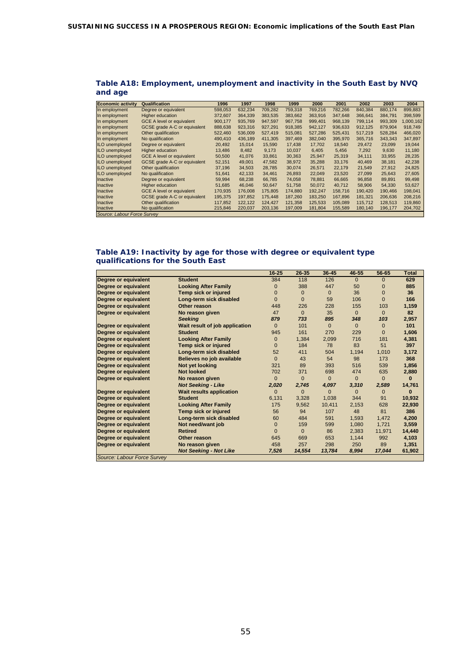| <b>Economic activity</b>    | Qualification                       | 1996    | 1997    | 1998    | 1999    | 2000    | 2001    | 2002    | 2003    | 2004      |
|-----------------------------|-------------------------------------|---------|---------|---------|---------|---------|---------|---------|---------|-----------|
| In employment               | Degree or equivalent                | 598.053 | 632,234 | 709.282 | 759.318 | 769.216 | 782.266 | 840.384 | 880.174 | 899.883   |
| In employment               | Higher education                    | 372,607 | 364.339 | 383.535 | 383.662 | 363.916 | 347.648 | 366.641 | 384.791 | 398,599   |
| In employment               | <b>GCE A level or equivalent</b>    | 900,177 | 935,769 | 947.597 | 967.758 | 999,401 | 968.139 | 799.114 | 993,309 | 1,000,162 |
| In employment               | GCSE grade A-C or equivalent        | 888,638 | 923,316 | 927,291 | 918,385 | 942,127 | 936,633 | 912,125 | 879,904 | 918,749   |
| In employment               | Other qualification                 | 522.460 | 536,009 | 527.419 | 515,081 | 527.286 | 525.431 | 517.219 | 528.284 | 466.020   |
| In employment               | No qualification                    | 490,410 | 436.189 | 411.305 | 397.469 | 382.040 | 395.970 | 365.716 | 343.343 | 347,897   |
| <b>ILO</b> unemployed       | Degree or equivalent                | 20,492  | 15,014  | 15,590  | 17,438  | 17,702  | 18,540  | 29,472  | 23,099  | 19,044    |
| <b>ILO</b> unemployed       | Higher education                    | 13.486  | 8,482   | 9.173   | 10.037  | 6,405   | 5,456   | 7.292   | 9,630   | 11,180    |
| <b>ILO</b> unemployed       | <b>GCE A level or equivalent</b>    | 50,500  | 41,076  | 33,861  | 30,363  | 25,947  | 25,319  | 34,111  | 33,955  | 28,235    |
| <b>ILO</b> unemployed       | <b>GCSE</b> grade A-C or equivalent | 52.151  | 49,001  | 47.582  | 38.972  | 35,288  | 33.176  | 40.469  | 38.181  | 42,238    |
| <b>ILO</b> unemployed       | Other qualification                 | 37,196  | 34,503  | 28.785  | 30.074  | 26,571  | 22.179  | 21.549  | 27,912  | 24,825    |
| <b>ILO</b> unemployed       | No qualification                    | 51,641  | 42.133  | 34.461  | 26,893  | 22,049  | 23.520  | 27.099  | 25.643  | 27,605    |
| Inactive                    | Degree or equivalent                | 59,994  | 68.238  | 66.785  | 74.058  | 78.881  | 66.665  | 96.858  | 89.891  | 99,498    |
| Inactive                    | Higher education                    | 51,685  | 46,046  | 50,647  | 51,758  | 50,072  | 40,712  | 58,906  | 54,330  | 53,627    |
| <b>Inactive</b>             | <b>GCE A level or equivalent</b>    | 170,935 | 176,008 | 175,805 | 174,880 | 192,247 | 158,716 | 190,420 | 190,466 | 198,041   |
| Inactive                    | <b>GCSE</b> grade A-C or equivalent | 195.375 | 197.852 | 175.448 | 187.260 | 183.250 | 167.896 | 181.321 | 206.636 | 208.216   |
| <b>Inactive</b>             | Other qualification                 | 117.852 | 122.122 | 124.427 | 121.358 | 125.533 | 105.089 | 115.712 | 128.513 | 119,860   |
| <b>Inactive</b>             | No qualification                    | 215,846 | 220,037 | 203,136 | 197,009 | 181,804 | 155,589 | 180,140 | 196,177 | 204,702   |
| Source: Labour Force Survey |                                     |         |         |         |         |         |         |         |         |           |

| Table A18: Employment, unemployment and inactivity in the South East by NVQ |  |  |
|-----------------------------------------------------------------------------|--|--|
| and age                                                                     |  |  |

#### **Table A19: Inactivity by age for those with degree or equivalent type qualifications for the South East**

|                             |                                 | $16 - 25$    | $26 - 35$    | 36-45        | 46-55        | 56-65        | Total    |
|-----------------------------|---------------------------------|--------------|--------------|--------------|--------------|--------------|----------|
| Degree or equivalent        | <b>Student</b>                  | 384          | 118          | 126          | $\Omega$     | $\Omega$     | 629      |
| Degree or equivalent        | <b>Looking After Family</b>     | $\mathbf 0$  | 388          | 447          | 50           | $\Omega$     | 885      |
| Degree or equivalent        | Temp sick or injured            | 0            | 0            | $\mathbf{0}$ | 36           | $\Omega$     | 36       |
| <b>Degree or equivalent</b> | Long-term sick disabled         | $\Omega$     | $\Omega$     | 59           | 106          | $\Omega$     | 166      |
| Degree or equivalent        | Other reason                    | 448          | 226          | 228          | 155          | 103          | 1,159    |
| Degree or equivalent        | No reason given                 | 47           | $\mathbf{0}$ | 35           | $\mathbf{0}$ | $\mathbf{0}$ | 82       |
|                             | <b>Seeking</b>                  | 879          | 733          | 895          | 348          | 103          | 2,957    |
| Degree or equivalent        | Wait result of job application  | $\mathbf{0}$ | 101          | $\mathbf{0}$ | $\mathbf{0}$ | $\mathbf{0}$ | 101      |
| Degree or equivalent        | <b>Student</b>                  | 945          | 161          | 270          | 229          | $\Omega$     | 1,606    |
| Degree or equivalent        | <b>Looking After Family</b>     | $\mathbf 0$  | 1,384        | 2,099        | 716          | 181          | 4,381    |
| Degree or equivalent        | Temp sick or injured            | $\Omega$     | 184          | 78           | 83           | 51           | 397      |
| Degree or equivalent        | Long-term sick disabled         | 52           | 411          | 504          | 1,194        | 1,010        | 3,172    |
| Degree or equivalent        | Believes no job available       | $\mathbf{0}$ | 43           | 54           | 98           | 173          | 368      |
| Degree or equivalent        | Not yet looking                 | 321          | 89           | 393          | 516          | 539          | 1,856    |
| Degree or equivalent        | <b>Not looked</b>               | 702          | 371          | 698          | 474          | 635          | 2,880    |
| Degree or equivalent        | No reason given                 | $\Omega$     | $\Omega$     | $\Omega$     | $\mathbf{0}$ | $\Omega$     | $\Omega$ |
|                             | <b>Not Seeking - Like</b>       | 2,020        | 2,745        | 4,097        | 3,310        | 2,589        | 14,761   |
| Degree or equivalent        | <b>Wait results application</b> | $\Omega$     | $\mathbf 0$  | $\Omega$     | $\mathbf{0}$ | $\mathbf{0}$ | 0        |
| Degree or equivalent        | <b>Student</b>                  | 6,131        | 3,328        | 1,038        | 344          | 91           | 10,932   |
| Degree or equivalent        | <b>Looking After Family</b>     | 175          | 9,562        | 10,411       | 2,153        | 628          | 22,930   |
| Degree or equivalent        | Temp sick or injured            | 56           | 94           | 107          | 48           | 81           | 386      |
| Degree or equivalent        | Long-term sick disabled         | 60           | 484          | 591          | 1,593        | 1,472        | 4,200    |
| Degree or equivalent        | Not need/want job               | $\mathbf 0$  | 159          | 599          | 1.080        | 1,721        | 3.559    |
| Degree or equivalent        | <b>Retired</b>                  | $\Omega$     | $\mathbf{0}$ | 86           | 2,383        | 11,971       | 14,440   |
| Degree or equivalent        | Other reason                    | 645          | 669          | 653          | 1,144        | 992          | 4,103    |
| Degree or equivalent        | No reason given                 | 458          | 257          | 298          | 250          | 89           | 1,351    |
|                             | <b>Not Seeking - Not Like</b>   | 7,526        | 14,554       | 13,784       | 8,994        | 17,044       | 61,902   |
| Source: Labour Force Survey |                                 |              |              |              |              |              |          |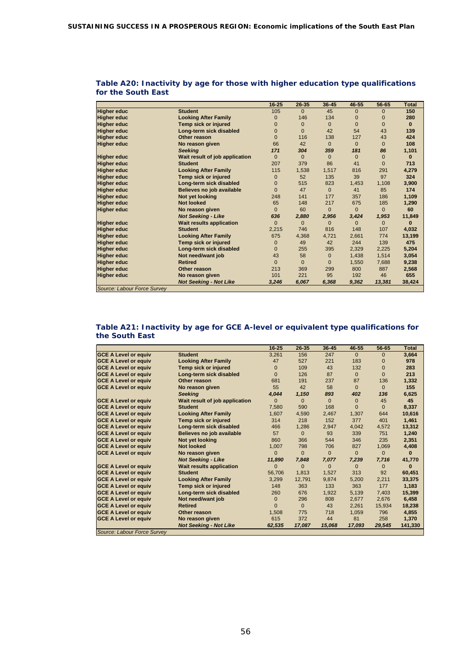|                             |                                 | $16 - 25$    | $26 - 35$    | $36 - 45$    | 46-55        | 56-65        | <b>Total</b> |
|-----------------------------|---------------------------------|--------------|--------------|--------------|--------------|--------------|--------------|
| <b>Higher educ</b>          | <b>Student</b>                  | 105          | $\Omega$     | 45           | $\Omega$     | $\Omega$     | 150          |
| <b>Higher educ</b>          | <b>Looking After Family</b>     | $\Omega$     | 146          | 134          | $\Omega$     | $\Omega$     | 280          |
| <b>Higher educ</b>          | Temp sick or injured            | $\mathbf{0}$ | $\mathbf{0}$ | $\mathbf{0}$ | $\mathbf{0}$ | $\mathbf{0}$ | $\mathbf{0}$ |
| <b>Higher educ</b>          | Long-term sick disabled         | $\Omega$     | $\Omega$     | 42           | 54           | 43           | 139          |
| <b>Higher educ</b>          | Other reason                    | $\Omega$     | 116          | 138          | 127          | 43           | 424          |
| <b>Higher educ</b>          | No reason given                 | 66           | 42           | $\Omega$     | $\Omega$     | $\Omega$     | 108          |
|                             | <b>Seeking</b>                  | 171          | 304          | 359          | 181          | 86           | 1,101        |
| <b>Higher educ</b>          | Wait result of job application  | $\Omega$     | $\Omega$     | $\Omega$     | $\Omega$     | $\Omega$     | $\bf{0}$     |
| <b>Higher educ</b>          | <b>Student</b>                  | 207          | 379          | 86           | 41           | $\Omega$     | 713          |
| <b>Higher educ</b>          | <b>Looking After Family</b>     | 115          | 1,538        | 1,517        | 816          | 291          | 4,279        |
| <b>Higher educ</b>          | <b>Temp sick or injured</b>     | $\mathbf{0}$ | 52           | 135          | 39           | 97           | 324          |
| <b>Higher educ</b>          | Long-term sick disabled         | $\Omega$     | 515          | 823          | 1,453        | 1,108        | 3,900        |
| <b>Higher educ</b>          | Believes no job available       | $\Omega$     | 47           | $\Omega$     | 41           | 85           | 174          |
| <b>Higher educ</b>          | Not yet looking                 | 248          | 141          | 177          | 357          | 186          | 1,109        |
| <b>Higher educ</b>          | <b>Not looked</b>               | 65           | 148          | 217          | 675          | 185          | 1,290        |
| <b>Higher educ</b>          | No reason given                 | $\Omega$     | 60           | $\Omega$     | $\Omega$     | $\Omega$     | 60           |
|                             | <b>Not Seeking - Like</b>       | 636          | 2,880        | 2,956        | 3,424        | 1,953        | 11,849       |
| <b>Higher educ</b>          | <b>Wait results application</b> | $\Omega$     | $\Omega$     | $\Omega$     | $\Omega$     | $\Omega$     | $\bf{0}$     |
| <b>Higher educ</b>          | <b>Student</b>                  | 2,215        | 746          | 816          | 148          | 107          | 4,032        |
| <b>Higher educ</b>          | <b>Looking After Family</b>     | 675          | 4,368        | 4,721        | 2,661        | 774          | 13,199       |
| <b>Higher educ</b>          | Temp sick or injured            | $\mathbf{0}$ | 49           | 42           | 244          | 139          | 475          |
| <b>Higher educ</b>          | Long-term sick disabled         | $\Omega$     | 255          | 395          | 2,329        | 2,225        | 5,204        |
| <b>Higher educ</b>          | Not need/want job               | 43           | 58           | $\mathbf{0}$ | 1.438        | 1,514        | 3,054        |
| <b>Higher educ</b>          | <b>Retired</b>                  | $\Omega$     | $\Omega$     | $\Omega$     | 1,550        | 7,688        | 9,238        |
| <b>Higher educ</b>          | Other reason                    | 213          | 369          | 299          | 800          | 887          | 2,568        |
| <b>Higher educ</b>          | No reason given                 | 101          | 221          | 95           | 192          | 46           | 655          |
|                             | <b>Not Seeking - Not Like</b>   | 3,246        | 6,067        | 6,368        | 9,362        | 13,381       | 38,424       |
| Source: Labour Force Survey |                                 |              |              |              |              |              |              |

#### **Table A20: Inactivity by age for those with higher education type qualifications for the South East**

#### **Table A21: Inactivity by age for GCE A-level or equivalent type qualifications for the South East**

|                              |                                 | $16 - 25$ | $26 - 35$ | 36-45        | 46-55        | 56-65        | <b>Total</b> |
|------------------------------|---------------------------------|-----------|-----------|--------------|--------------|--------------|--------------|
| <b>GCE A Level or equiv</b>  | <b>Student</b>                  | 3,261     | 156       | 247          | $\Omega$     | $\mathbf{0}$ | 3,664        |
| <b>GCE A Level or equiv</b>  | <b>Looking After Family</b>     | 47        | 527       | 221          | 183          | $\Omega$     | 978          |
| <b>GCE A Level or equive</b> | Temp sick or injured            | $\Omega$  | 109       | 43           | 132          | $\Omega$     | 283          |
| <b>GCE A Level or equiv</b>  | Long-term sick disabled         | $\Omega$  | 126       | 87           | $\Omega$     | $\Omega$     | 213          |
| <b>GCE A Level or equiv</b>  | Other reason                    | 681       | 191       | 237          | 87           | 136          | 1,332        |
| <b>GCE A Level or equiv</b>  | No reason given                 | 55        | 42        | 58           | $\Omega$     | $\Omega$     | 155          |
|                              | <b>Seeking</b>                  | 4.044     | 1,150     | 893          | 402          | 136          | 6,625        |
| <b>GCE A Level or equiv</b>  | Wait result of job application  | 0         | $\Omega$  | $\Omega$     | $\Omega$     | 45           | 45           |
| <b>GCE A Level or equiv</b>  | <b>Student</b>                  | 7,580     | 590       | 168          | $\Omega$     | $\Omega$     | 8,337        |
| <b>GCE A Level or equiv</b>  | <b>Looking After Family</b>     | 1,607     | 4,590     | 2,467        | 1,307        | 644          | 10,616       |
| <b>GCE A Level or equiv</b>  | Temp sick or injured            | 314       | 218       | 152          | 377          | 401          | 1.461        |
| <b>GCE A Level or equiv</b>  | Long-term sick disabled         | 466       | 1,286     | 2.947        | 4,042        | 4.572        | 13,312       |
| <b>GCE A Level or equiv</b>  | Believes no job available       | 57        | $\Omega$  | 93           | 339          | 751          | 1,240        |
| <b>GCE A Level or equiv</b>  | Not yet looking                 | 860       | 366       | 544          | 346          | 235          | 2,351        |
| <b>GCE A Level or equiv</b>  | <b>Not looked</b>               | 1.007     | 798       | 706          | 827          | 1.069        | 4.408        |
| <b>GCE A Level or equiv</b>  | No reason given                 | $\Omega$  | $\Omega$  | $\Omega$     | $\Omega$     | $\Omega$     | $\Omega$     |
|                              | <b>Not Seeking - Like</b>       | 11,890    | 7,848     | 7,077        | 7,239        | 7.716        | 41,770       |
| <b>GCE A Level or equiv</b>  | <b>Wait results application</b> | $\Omega$  | $\Omega$  | $\mathbf{0}$ | $\mathbf{0}$ | $\mathbf{0}$ | $\Omega$     |
| <b>GCE A Level or equiv</b>  | <b>Student</b>                  | 56,706    | 1,813     | 1,527        | 313          | 92           | 60,451       |
| <b>GCE A Level or equiv</b>  | <b>Looking After Family</b>     | 3,299     | 12,791    | 9.874        | 5,200        | 2,211        | 33,375       |
| <b>GCE A Level or equiv</b>  | Temp sick or injured            | 148       | 363       | 133          | 363          | 177          | 1,183        |
| <b>GCE A Level or equiv</b>  | Long-term sick disabled         | 260       | 676       | 1,922        | 5,139        | 7,403        | 15,399       |
| <b>GCE A Level or equiv</b>  | Not need/want job               | $\Omega$  | 296       | 808          | 2,677        | 2,676        | 6,458        |
| <b>GCE A Level or equiv</b>  | <b>Retired</b>                  | O         | $\Omega$  | 43           | 2.261        | 15,934       | 18,238       |
| <b>GCE A Level or equiv</b>  | Other reason                    | 1,508     | 775       | 718          | 1,059        | 796          | 4,855        |
| <b>GCE A Level or equiv</b>  | No reason given                 | 615       | 372       | 44           | 81           | 258          | 1,370        |
|                              | <b>Not Seeking - Not Like</b>   | 62,535    | 17,087    | 15,068       | 17,093       | 29,545       | 141,330      |
| Source: Labour Force Survey  |                                 |           |           |              |              |              |              |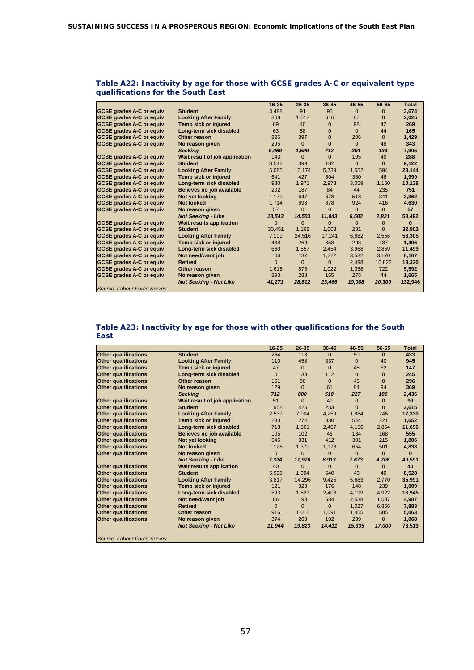|                                 |                                 | $16 - 25$    | 26-35        | 36-45        | 46-55        | $56 - 65$    | <b>Total</b> |
|---------------------------------|---------------------------------|--------------|--------------|--------------|--------------|--------------|--------------|
| <b>GCSE grades A-C or equiv</b> | <b>Student</b>                  | 3,488        | 91           | 95           | $\Omega$     | $\Omega$     | 3.674        |
| <b>GCSE grades A-C or equiv</b> | <b>Looking After Family</b>     | 308          | 1,013        | 616          | 87           | $\Omega$     | 2,025        |
| <b>GCSE grades A-C or equiv</b> | <b>Temp sick or injured</b>     | 89           | 40           | $\Omega$     | 98           | 42           | 269          |
| <b>GCSE grades A-C or equiv</b> | Long-term sick disabled         | 63           | 58           | $\Omega$     | $\Omega$     | 44           | 165          |
| <b>GCSE grades A-C or equiv</b> | Other reason                    | 826          | 397          | $\Omega$     | 206          | $\Omega$     | 1,429        |
| <b>GCSE grades A-C or equiv</b> | No reason given                 | 295          | $\Omega$     | $\Omega$     | $\Omega$     | 48           | 343          |
|                                 | <b>Seeking</b>                  | 5,069        | 1,599        | 712          | 391          | 134          | 7,905        |
| <b>GCSE grades A-C or equiv</b> | Wait result of job application  | 143          | $\Omega$     | $\Omega$     | 105          | 40           | 288          |
| <b>GCSE grades A-C or equiv</b> | <b>Student</b>                  | 8,542        | 399          | 182          | $\Omega$     | $\Omega$     | 9.122        |
| <b>GCSE grades A-C or equiv</b> | <b>Looking After Family</b>     | 5,085        | 10.174       | 5.739        | 1.552        | 594          | 23,144       |
| <b>GCSE grades A-C or equiv</b> | Temp sick or injured            | 641          | 427          | 504          | 380          | 46           | 1.999        |
| <b>GCSE grades A-C or equiv</b> | Long-term sick disabled         | 980          | 1,971        | 2.978        | 3.059        | 1,150        | 10,138       |
| <b>GCSE grades A-C or equiv</b> | Believes no job available       | 202          | 187          | 84           | 44           | 235          | 751          |
| <b>GCSE grades A-C or equiv</b> | Not yet looking                 | 1.179        | 647          | 678          | 518          | 341          | 3,362        |
| <b>GCSE grades A-C or equiv</b> | <b>Not looked</b>               | 1.714        | 698          | 878          | 924          | 416          | 4,630        |
| <b>GCSE grades A-C or equiv</b> | No reason given                 | 57           | $\mathbf{0}$ | $\mathbf{0}$ | $\mathbf{0}$ | $\Omega$     | 57           |
|                                 | <b>Not Seeking - Like</b>       | 18.543       | 14.503       | 11.043       | 6.582        | 2.821        | 53.492       |
| <b>GCSE grades A-C or equiv</b> | <b>Wait results application</b> | $\mathbf{0}$ | $\mathbf{0}$ | $\mathbf{0}$ | $\mathbf{0}$ | $\mathbf{0}$ | $\bf{0}$     |
| <b>GCSE grades A-C or equiv</b> | <b>Student</b>                  | 30.451       | 1.168        | 1.003        | 281          | $\Omega$     | 32.902       |
| <b>GCSE grades A-C or equiv</b> | <b>Looking After Family</b>     | 7,109        | 24,516       | 17,241       | 6,882        | 2,556        | 58,305       |
| <b>GCSE grades A-C or equiv</b> | Temp sick or injured            | 438          | 269          | 358          | 293          | 137          | 1.496        |
| <b>GCSE grades A-C or equiv</b> | Long-term sick disabled         | 660          | 1,557        | 2,454        | 3,968        | 2,859        | 11,499       |
| <b>GCSE grades A-C or equiv</b> | Not need/want job               | 106          | 137          | 1.222        | 3,532        | 3,170        | 8.167        |
| <b>GCSE grades A-C or equiv</b> | <b>Retired</b>                  | $\Omega$     | $\Omega$     | $\Omega$     | 2.498        | 10,822       | 13,320       |
| <b>GCSE grades A-C or equiv</b> | Other reason                    | 1,615        | 876          | 1,022        | 1,358        | 722          | 5,592        |
| <b>GCSE grades A-C or equiv</b> | No reason given                 | 893          | 288          | 165          | 275          | 44           | 1,665        |
|                                 | <b>Not Seeking - Not Like</b>   | 41,271       | 28,812       | 23,466       | 19,088       | 20,309       | 132,946      |
| Source: Labour Force Survey     |                                 |              |              |              |              |              |              |

#### **Table A22: Inactivity by age for those with GCSE grades A-C or equivalent type qualifications for the South East**

#### **Table A23: Inactivity by age for those with other qualifications for the South East**

|                             |                                 | $16 - 25$ | $26 - 35$      | 36-45        | 46-55    | 56-65    | <b>Total</b> |
|-----------------------------|---------------------------------|-----------|----------------|--------------|----------|----------|--------------|
| <b>Other qualifications</b> | <b>Student</b>                  | 264       | 118            | $\mathbf{0}$ | 50       | $\Omega$ | 433          |
| <b>Other qualifications</b> | <b>Looking After Family</b>     | 110       | 458            | 337          | $\Omega$ | 40       | 945          |
| <b>Other qualifications</b> | Temp sick or injured            | 47        | $\Omega$       | $\Omega$     | 48       | 52       | 147          |
| <b>Other qualifications</b> | Long-term sick disabled         | $\Omega$  | 133            | 112          | $\Omega$ | $\Omega$ | 245          |
| <b>Other qualifications</b> | Other reason                    | 161       | 90             | $\Omega$     | 45       | $\Omega$ | 296          |
| <b>Other qualifications</b> | No reason given                 | 129       | $\Omega$       | 61           | 84       | 94       | 369          |
|                             | <b>Seeking</b>                  | 712       | 800            | 510          | 227      | 186      | 2,436        |
| <b>Other qualifications</b> | Wait result of job application  | 51        | $\Omega$       | 49           | $\Omega$ | $\Omega$ | 99           |
| <b>Other qualifications</b> | <b>Student</b>                  | 1.958     | 425            | 233          | $\Omega$ | $\Omega$ | 2,615        |
| <b>Other qualifications</b> | <b>Looking After Family</b>     | 2,537     | 7,904          | 4,259        | 1.884    | 746      | 17,330       |
| <b>Other qualifications</b> | Temp sick or injured            | 283       | 274            | 330          | 544      | 221      | 1,652        |
| <b>Other qualifications</b> | Long-term sick disabled         | 718       | 1,561          | 2,407        | 4.156    | 2.854    | 11,696       |
| <b>Other qualifications</b> | Believes no job available       | 105       | 102            | 46           | 134      | 168      | 555          |
| <b>Other qualifications</b> | Not yet looking                 | 546       | 331            | 412          | 301      | 215      | 1,806        |
| <b>Other qualifications</b> | <b>Not looked</b>               | 1,126     | 1,379          | 1.178        | 654      | 501      | 4,838        |
| <b>Other qualifications</b> | No reason given                 | $\Omega$  | $\Omega$       | $\Omega$     | $\Omega$ | $\Omega$ | $\Omega$     |
|                             | <b>Not Seeking - Like</b>       | 7,324     | 11,976         | 8,913        | 7,673    | 4,706    | 40,591       |
| <b>Other qualifications</b> | <b>Wait results application</b> | 40        | $\overline{0}$ | $\Omega$     | $\Omega$ | $\Omega$ | 40           |
| <b>Other qualifications</b> | <b>Student</b>                  | 5.998     | 1.904          | 540          | 46       | 40       | 8,528        |
| <b>Other qualifications</b> | <b>Looking After Family</b>     | 3,817     | 14.296         | 9.425        | 5.683    | 2.770    | 35.991       |
| <b>Other qualifications</b> | Temp sick or injured            | 121       | 323            | 176          | 148      | 239      | 1,009        |
| <b>Other qualifications</b> | Long-term sick disabled         | 593       | 1.827          | 2,403        | 4.199    | 4.922    | 13,945       |
| <b>Other qualifications</b> | Not need/want job               | 86        | 193            | 584          | 2,538    | 1.587    | 4,987        |
| <b>Other qualifications</b> | <b>Retired</b>                  | $\Omega$  | $\Omega$       | $\Omega$     | 1.027    | 6.856    | 7,883        |
| <b>Other qualifications</b> | Other reason                    | 916       | 1,016          | 1,091        | 1,455    | 585      | 5,063        |
| <b>Other qualifications</b> | No reason given                 | 374       | 263            | 192          | 239      | $\Omega$ | 1,068        |
|                             | <b>Not Seeking - Not Like</b>   | 11,944    | 19,823         | 14,411       | 15,335   | 17,000   | 78,513       |
| Source: Labour Force Survey |                                 |           |                |              |          |          |              |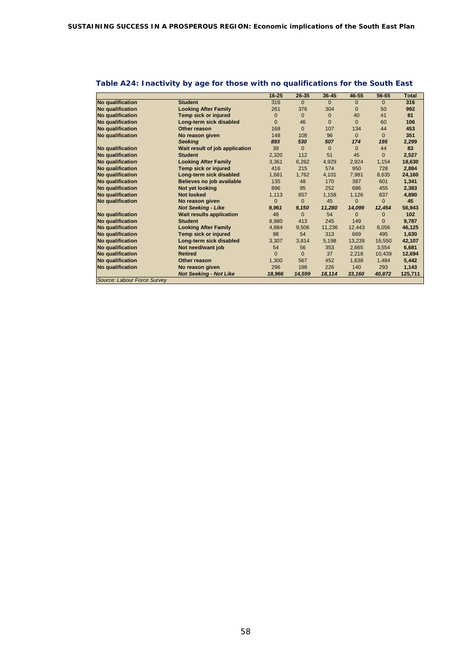|                              |                                 | $16 - 25$ | $26 - 35$    | $36 - 45$    | 46-55        | 56-65    | <b>Total</b> |
|------------------------------|---------------------------------|-----------|--------------|--------------|--------------|----------|--------------|
| <b>No qualification</b>      | <b>Student</b>                  | 316       | $\Omega$     | $\Omega$     | $\mathbf{0}$ | $\Omega$ | 316          |
| <b>No qualification</b>      | <b>Looking After Family</b>     | 261       | 376          | 304          | $\Omega$     | 50       | 992          |
| <b>No qualification</b>      | Temp sick or injured            | 0         | $\mathbf{0}$ | $\mathbf{0}$ | 40           | 41       | 81           |
| <b>No qualification</b>      | Long-term sick disabled         | 0         | 46           | $\Omega$     | $\Omega$     | 60       | 106          |
| <b>No qualification</b>      | Other reason                    | 168       | $\Omega$     | 107          | 134          | 44       | 453          |
| No qualification             | No reason given                 | 148       | 108          | 96           | $\Omega$     | $\Omega$ | 351          |
|                              | <b>Seeking</b>                  | 893       | 530          | 507          | 174          | 195      | 2,299        |
| <b>No qualification</b>      | Wait result of job application  | 39        | $\Omega$     | $\mathbf 0$  | $\Omega$     | 44       | 83           |
| <b>No qualification</b>      | <b>Student</b>                  | 2,320     | 112          | 51           | 45           | $\Omega$ | 2,527        |
| <b>No qualification</b>      | <b>Looking After Family</b>     | 3,361     | 6,262        | 4,929        | 2,924        | 1,154    | 18,630       |
| <b>No qualification</b>      | Temp sick or injured            | 416       | 215          | 574          | 950          | 728      | 2,884        |
| <b>No qualification</b>      | Long-term sick disabled         | 1,681     | 1,762        | 4,101        | 7,981        | 8.635    | 24,160       |
| <b>No qualification</b>      | Believes no job available       | 135       | 48           | 170          | 387          | 601      | 1,341        |
| <b>No qualification</b>      | Not yet looking                 | 896       | 95           | 252          | 686          | 455      | 2,383        |
| <b>No qualification</b>      | <b>Not looked</b>               | 1,113     | 657          | 1,158        | 1,126        | 837      | 4,890        |
| <b>No qualification</b>      | No reason given                 | 0         | $\Omega$     | 45           | 0            | $\Omega$ | 45           |
|                              | <b>Not Seeking - Like</b>       | 9,961     | 9,150        | 11,280       | 14,099       | 12,454   | 56,943       |
| <b>No qualification</b>      | <b>Wait results application</b> | 48        | $\Omega$     | 54           | 0            |          | 102          |
| No qualification             | <b>Student</b>                  | 8,980     | 413          | 245          | 149          | $\Omega$ | 9,787        |
| <b>No qualification</b>      | <b>Looking After Family</b>     | 4,884     | 9,506        | 11,236       | 12,443       | 8,056    | 46,125       |
| No qualification             | Temp sick or injured            | 98        | 54           | 313          | 669          | 495      | 1,630        |
| <b>No qualification</b>      | Long-term sick disabled         | 3,307     | 3.814        | 5,198        | 13,239       | 16,550   | 42,107       |
| No qualification             | Not need/want job               | 54        | 56           | 353          | 2,665        | 3,554    | 6,681        |
| <b>No qualification</b>      | <b>Retired</b>                  | O         | $\Omega$     | 37           | 2.218        | 10.439   | 12,694       |
| No qualification             | Other reason                    | 1,300     | 567          | 452          | 1,638        | 1,484    | 5,442        |
| No qualification             | No reason given                 | 296       | 188          | 226          | 140          | 293      | 1,143        |
|                              | <b>Not Seeking - Not Like</b>   | 18,966    | 14,599       | 18,114       | 33,160       | 40,872   | 125,711      |
| Course: Lobour Forgo Cunique |                                 |           |              |              |              |          |              |

# **Table A24: Inactivity by age for those with no qualifications for the South East**

*Source: Labour Force Survey*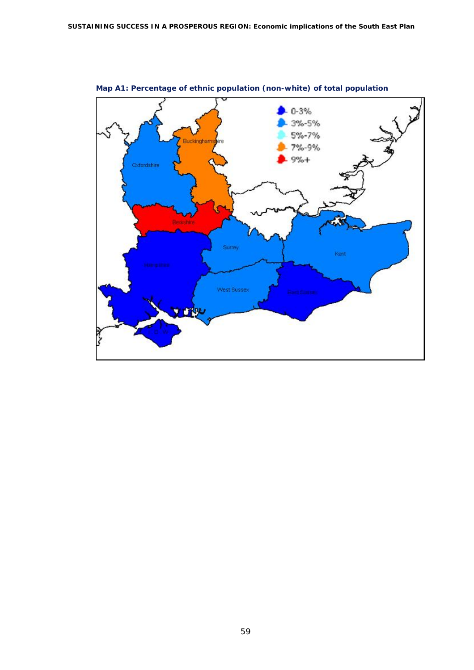

**Map A1: Percentage of ethnic population (non-white) of total population**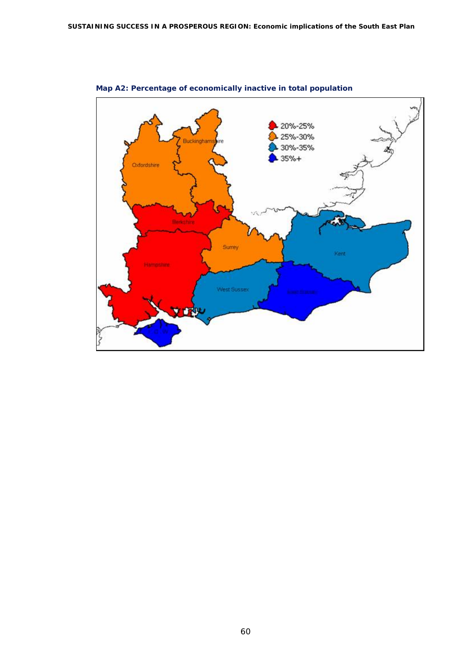

**Map A2: Percentage of economically inactive in total population**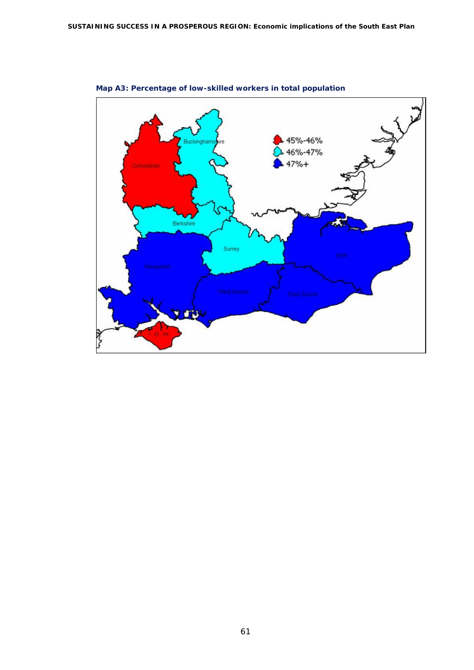

**Map A3: Percentage of low-skilled workers in total population**